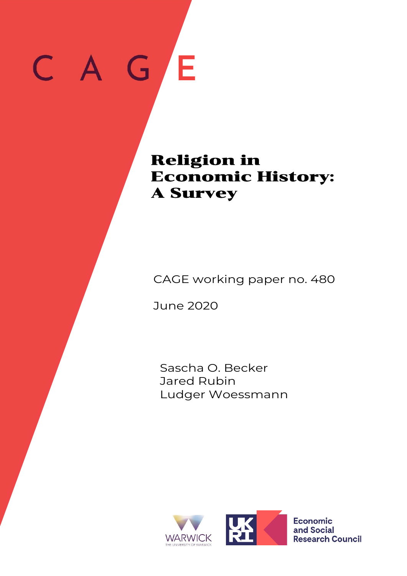# $\mathsf{C}$  $\overline{G}$ **E**

# Religion in Economic History: A Survey

CAGE working paper no. 480

June 2020

Sascha O. Becker Jared Rubin Ludger Woessmann



**Economic** and Social **Research Council**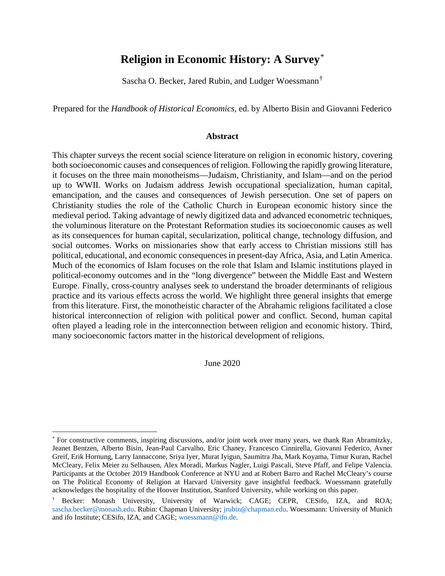# **Religion in Economic History: A Survey**\*

Sascha O. Becker, Jared Rubin, and Ludger Woessmann<sup>†</sup>

Prepared for the *Handbook of Historical Economics*, ed. by Alberto Bisin and Giovanni Federico

#### **Abstract**

This chapter surveys the recent social science literature on religion in economic history, covering both socioeconomic causes and consequences of religion. Following the rapidly growing literature, it focuses on the three main monotheisms—Judaism, Christianity, and Islam—and on the period up to WWII. Works on Judaism address Jewish occupational specialization, human capital, emancipation, and the causes and consequences of Jewish persecution. One set of papers on Christianity studies the role of the Catholic Church in European economic history since the medieval period. Taking advantage of newly digitized data and advanced econometric techniques, the voluminous literature on the Protestant Reformation studies its socioeconomic causes as well as its consequences for human capital, secularization, political change, technology diffusion, and social outcomes. Works on missionaries show that early access to Christian missions still has political, educational, and economic consequences in present-day Africa, Asia, and Latin America. Much of the economics of Islam focuses on the role that Islam and Islamic institutions played in political-economy outcomes and in the "long divergence" between the Middle East and Western Europe. Finally, cross-country analyses seek to understand the broader determinants of religious practice and its various effects across the world. We highlight three general insights that emerge from this literature. First, the monotheistic character of the Abrahamic religions facilitated a close historical interconnection of religion with political power and conflict. Second, human capital often played a leading role in the interconnection between religion and economic history. Third, many socioeconomic factors matter in the historical development of religions.

#### June 2020

 <sup>\*</sup> For constructive comments, inspiring discussions, and/or joint work over many years, we thank Ran Abramitzky, Jeanet Bentzen, Alberto Bisin, Jean-Paul Carvalho, Eric Chaney, Francesco Cinnirella, Giovanni Federico, Avner Greif, Erik Hornung, Larry Iannaccone, Sriya Iyer, Murat Iyigun, Saumitra Jha, Mark Koyama, Timur Kuran, Rachel McCleary, Felix Meier zu Selhausen, Alex Moradi, Markus Nagler, Luigi Pascali, Steve Pfaff, and Felipe Valencia. Participants at the October 2019 Handbook Conference at NYU and at Robert Barro and Rachel McCleary's course on The Political Economy of Religion at Harvard University gave insightful feedback. Woessmann gratefully acknowledges the hospitality of the Hoover Institution, Stanford University, while working on this paper.

<sup>†</sup> Becker: Monash University, University of Warwick; CAGE; CEPR, CESifo, IZA, and ROA; [sascha.becker@monash.edu.](mailto:sascha.becker@monash.edu) Rubin: Chapman University; [jrubin@chapman.edu.](mailto:jrubin@chapman.edu) Woessmann: University of Munich and ifo Institute; CESifo, IZA, and CAGE; [woessmann@ifo.de.](mailto:woessmann@ifo.de)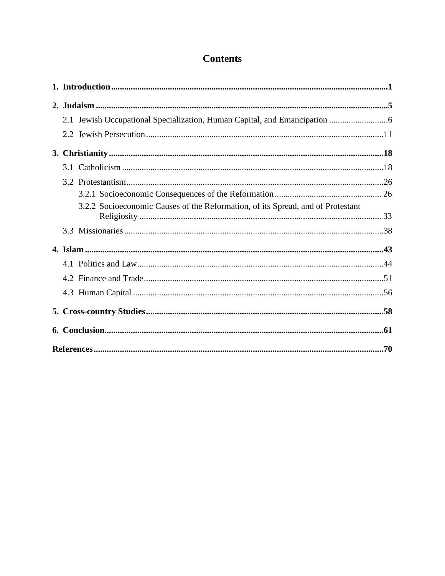# **Contents**

| 3.2.2 Socioeconomic Causes of the Reformation, of its Spread, and of Protestant |  |  |
|---------------------------------------------------------------------------------|--|--|
|                                                                                 |  |  |
|                                                                                 |  |  |
|                                                                                 |  |  |
|                                                                                 |  |  |
|                                                                                 |  |  |
|                                                                                 |  |  |
|                                                                                 |  |  |
|                                                                                 |  |  |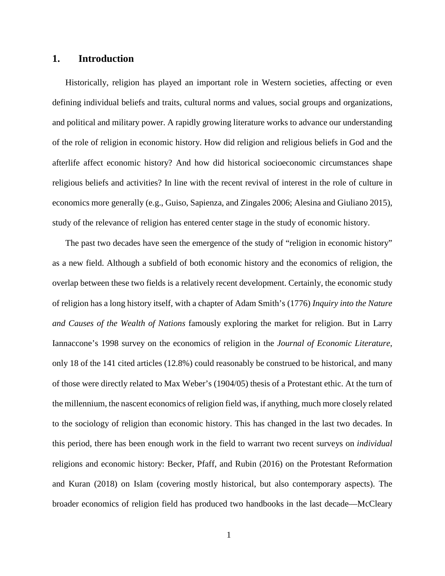# <span id="page-3-0"></span>**1. Introduction**

Historically, religion has played an important role in Western societies, affecting or even defining individual beliefs and traits, cultural norms and values, social groups and organizations, and political and military power. A rapidly growing literature works to advance our understanding of the role of religion in economic history. How did religion and religious beliefs in God and the afterlife affect economic history? And how did historical socioeconomic circumstances shape religious beliefs and activities? In line with the recent revival of interest in the role of culture in economics more generally (e.g., Guiso, Sapienza, and Zingales 2006; Alesina and Giuliano 2015), study of the relevance of religion has entered center stage in the study of economic history.

The past two decades have seen the emergence of the study of "religion in economic history" as a new field. Although a subfield of both economic history and the economics of religion, the overlap between these two fields is a relatively recent development. Certainly, the economic study of religion has a long history itself, with a chapter of Adam Smith's (1776) *Inquiry into the Nature and Causes of the Wealth of Nations* famously exploring the market for religion. But in Larry Iannaccone's 1998 survey on the economics of religion in the *Journal of Economic Literature*, only 18 of the 141 cited articles (12.8%) could reasonably be construed to be historical, and many of those were directly related to Max Weber's (1904/05) thesis of a Protestant ethic. At the turn of the millennium, the nascent economics of religion field was, if anything, much more closely related to the sociology of religion than economic history. This has changed in the last two decades. In this period, there has been enough work in the field to warrant two recent surveys on *individual*  religions and economic history: Becker, Pfaff, and Rubin (2016) on the Protestant Reformation and Kuran (2018) on Islam (covering mostly historical, but also contemporary aspects). The broader economics of religion field has produced two handbooks in the last decade—McCleary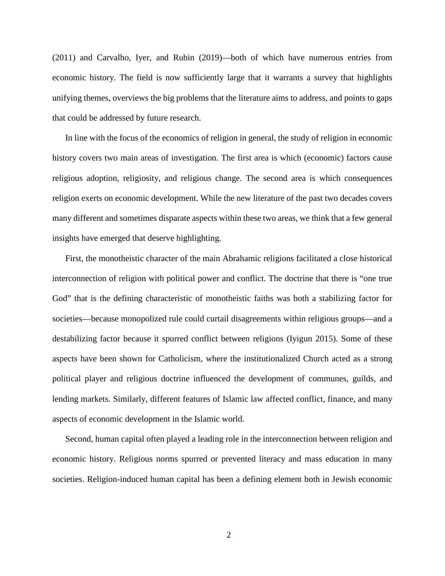(2011) and Carvalho, Iyer, and Rubin (2019)—both of which have numerous entries from economic history. The field is now sufficiently large that it warrants a survey that highlights unifying themes, overviews the big problems that the literature aims to address, and points to gaps that could be addressed by future research.

In line with the focus of the economics of religion in general, the study of religion in economic history covers two main areas of investigation. The first area is which (economic) factors cause religious adoption, religiosity, and religious change. The second area is which consequences religion exerts on economic development. While the new literature of the past two decades covers many different and sometimes disparate aspects within these two areas, we think that a few general insights have emerged that deserve highlighting.

First, the monotheistic character of the main Abrahamic religions facilitated a close historical interconnection of religion with political power and conflict. The doctrine that there is "one true God" that is the defining characteristic of monotheistic faiths was both a stabilizing factor for societies—because monopolized rule could curtail disagreements within religious groups—and a destabilizing factor because it spurred conflict between religions (Iyigun 2015). Some of these aspects have been shown for Catholicism, where the institutionalized Church acted as a strong political player and religious doctrine influenced the development of communes, guilds, and lending markets. Similarly, different features of Islamic law affected conflict, finance, and many aspects of economic development in the Islamic world.

Second, human capital often played a leading role in the interconnection between religion and economic history. Religious norms spurred or prevented literacy and mass education in many societies. Religion-induced human capital has been a defining element both in Jewish economic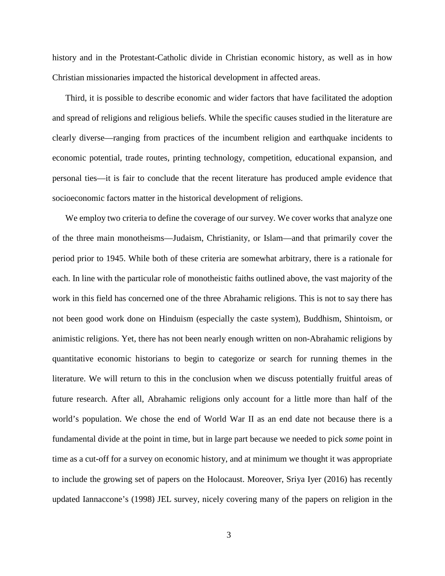history and in the Protestant-Catholic divide in Christian economic history, as well as in how Christian missionaries impacted the historical development in affected areas.

Third, it is possible to describe economic and wider factors that have facilitated the adoption and spread of religions and religious beliefs. While the specific causes studied in the literature are clearly diverse—ranging from practices of the incumbent religion and earthquake incidents to economic potential, trade routes, printing technology, competition, educational expansion, and personal ties—it is fair to conclude that the recent literature has produced ample evidence that socioeconomic factors matter in the historical development of religions.

We employ two criteria to define the coverage of our survey. We cover works that analyze one of the three main monotheisms—Judaism, Christianity, or Islam—and that primarily cover the period prior to 1945. While both of these criteria are somewhat arbitrary, there is a rationale for each. In line with the particular role of monotheistic faiths outlined above, the vast majority of the work in this field has concerned one of the three Abrahamic religions. This is not to say there has not been good work done on Hinduism (especially the caste system), Buddhism, Shintoism, or animistic religions. Yet, there has not been nearly enough written on non-Abrahamic religions by quantitative economic historians to begin to categorize or search for running themes in the literature. We will return to this in the conclusion when we discuss potentially fruitful areas of future research. After all, Abrahamic religions only account for a little more than half of the world's population. We chose the end of World War II as an end date not because there is a fundamental divide at the point in time, but in large part because we needed to pick *some* point in time as a cut-off for a survey on economic history, and at minimum we thought it was appropriate to include the growing set of papers on the Holocaust. Moreover, Sriya Iyer (2016) has recently updated Iannaccone's (1998) JEL survey, nicely covering many of the papers on religion in the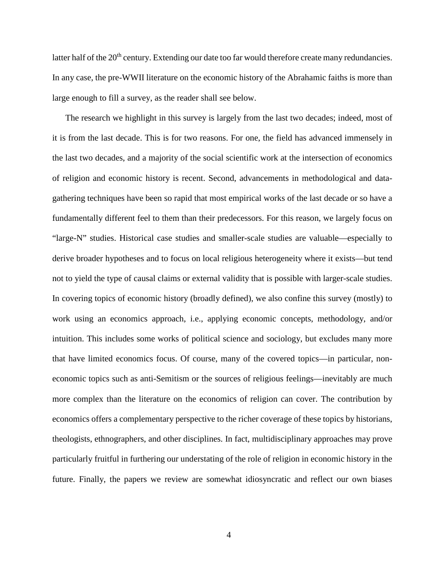latter half of the 20<sup>th</sup> century. Extending our date too far would therefore create many redundancies. In any case, the pre-WWII literature on the economic history of the Abrahamic faiths is more than large enough to fill a survey, as the reader shall see below.

The research we highlight in this survey is largely from the last two decades; indeed, most of it is from the last decade. This is for two reasons. For one, the field has advanced immensely in the last two decades, and a majority of the social scientific work at the intersection of economics of religion and economic history is recent. Second, advancements in methodological and datagathering techniques have been so rapid that most empirical works of the last decade or so have a fundamentally different feel to them than their predecessors. For this reason, we largely focus on "large-N" studies. Historical case studies and smaller-scale studies are valuable—especially to derive broader hypotheses and to focus on local religious heterogeneity where it exists—but tend not to yield the type of causal claims or external validity that is possible with larger-scale studies. In covering topics of economic history (broadly defined), we also confine this survey (mostly) to work using an economics approach, i.e., applying economic concepts, methodology, and/or intuition. This includes some works of political science and sociology, but excludes many more that have limited economics focus. Of course, many of the covered topics—in particular, noneconomic topics such as anti-Semitism or the sources of religious feelings—inevitably are much more complex than the literature on the economics of religion can cover. The contribution by economics offers a complementary perspective to the richer coverage of these topics by historians, theologists, ethnographers, and other disciplines. In fact, multidisciplinary approaches may prove particularly fruitful in furthering our understating of the role of religion in economic history in the future. Finally, the papers we review are somewhat idiosyncratic and reflect our own biases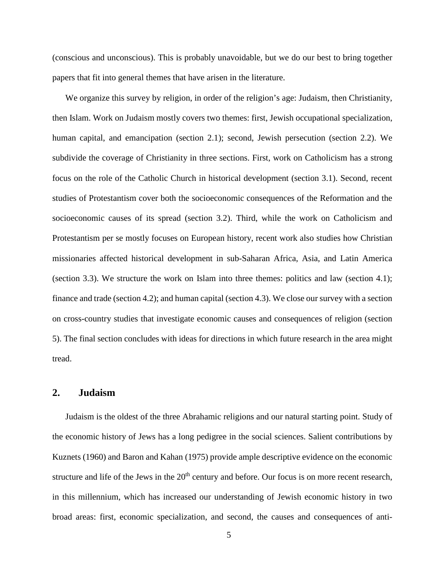(conscious and unconscious). This is probably unavoidable, but we do our best to bring together papers that fit into general themes that have arisen in the literature.

We organize this survey by religion, in order of the religion's age: Judaism, then Christianity, then Islam. Work on Judaism mostly covers two themes: first, Jewish occupational specialization, human capital, and emancipation (section 2.1); second, Jewish persecution (section 2.2). We subdivide the coverage of Christianity in three sections. First, work on Catholicism has a strong focus on the role of the Catholic Church in historical development (section 3.1). Second, recent studies of Protestantism cover both the socioeconomic consequences of the Reformation and the socioeconomic causes of its spread (section 3.2). Third, while the work on Catholicism and Protestantism per se mostly focuses on European history, recent work also studies how Christian missionaries affected historical development in sub-Saharan Africa, Asia, and Latin America (section 3.3). We structure the work on Islam into three themes: politics and law (section 4.1); finance and trade (section 4.2); and human capital (section 4.3). We close our survey with a section on cross-country studies that investigate economic causes and consequences of religion (section 5). The final section concludes with ideas for directions in which future research in the area might tread.

# <span id="page-7-0"></span>**2. Judaism**

Judaism is the oldest of the three Abrahamic religions and our natural starting point. Study of the economic history of Jews has a long pedigree in the social sciences. Salient contributions by Kuznets (1960) and Baron and Kahan (1975) provide ample descriptive evidence on the economic structure and life of the Jews in the  $20<sup>th</sup>$  century and before. Our focus is on more recent research, in this millennium, which has increased our understanding of Jewish economic history in two broad areas: first, economic specialization, and second, the causes and consequences of anti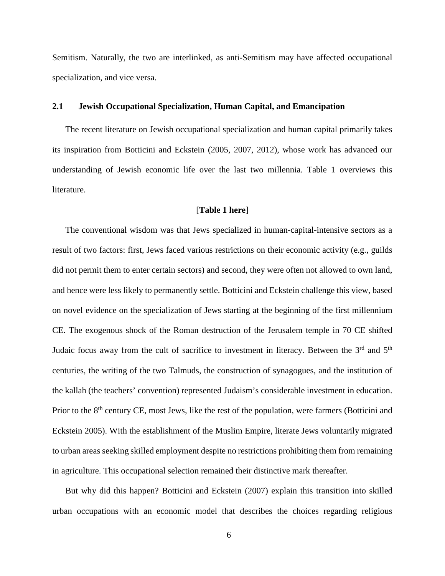Semitism. Naturally, the two are interlinked, as anti-Semitism may have affected occupational specialization, and vice versa.

#### <span id="page-8-0"></span>**2.1 Jewish Occupational Specialization, Human Capital, and Emancipation**

The recent literature on Jewish occupational specialization and human capital primarily takes its inspiration from Botticini and Eckstein (2005, 2007, 2012), whose work has advanced our understanding of Jewish economic life over the last two millennia. Table 1 overviews this literature.

## [**Table 1 here**]

The conventional wisdom was that Jews specialized in human-capital-intensive sectors as a result of two factors: first, Jews faced various restrictions on their economic activity (e.g., guilds did not permit them to enter certain sectors) and second, they were often not allowed to own land, and hence were less likely to permanently settle. Botticini and Eckstein challenge this view, based on novel evidence on the specialization of Jews starting at the beginning of the first millennium CE. The exogenous shock of the Roman destruction of the Jerusalem temple in 70 CE shifted Judaic focus away from the cult of sacrifice to investment in literacy. Between the  $3<sup>rd</sup>$  and  $5<sup>th</sup>$ centuries, the writing of the two Talmuds, the construction of synagogues, and the institution of the kallah (the teachers' convention) represented Judaism's considerable investment in education. Prior to the 8<sup>th</sup> century CE, most Jews, like the rest of the population, were farmers (Botticini and Eckstein 2005). With the establishment of the Muslim Empire, literate Jews voluntarily migrated to urban areas seeking skilled employment despite no restrictions prohibiting them from remaining in agriculture. This occupational selection remained their distinctive mark thereafter.

But why did this happen? Botticini and Eckstein (2007) explain this transition into skilled urban occupations with an economic model that describes the choices regarding religious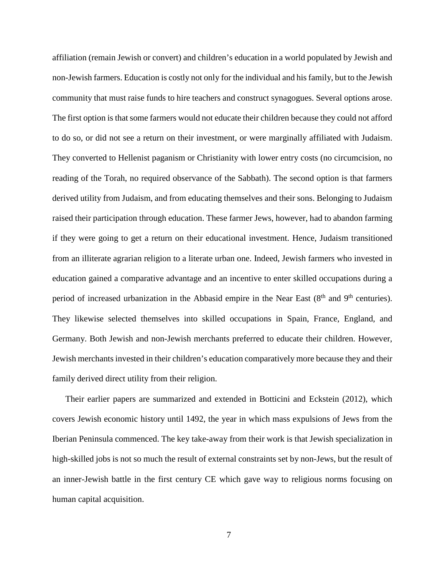affiliation (remain Jewish or convert) and children's education in a world populated by Jewish and non-Jewish farmers. Education is costly not only for the individual and his family, but to the Jewish community that must raise funds to hire teachers and construct synagogues. Several options arose. The first option is that some farmers would not educate their children because they could not afford to do so, or did not see a return on their investment, or were marginally affiliated with Judaism. They converted to Hellenist paganism or Christianity with lower entry costs (no circumcision, no reading of the Torah, no required observance of the Sabbath). The second option is that farmers derived utility from Judaism, and from educating themselves and their sons. Belonging to Judaism raised their participation through education. These farmer Jews, however, had to abandon farming if they were going to get a return on their educational investment. Hence, Judaism transitioned from an illiterate agrarian religion to a literate urban one. Indeed, Jewish farmers who invested in education gained a comparative advantage and an incentive to enter skilled occupations during a period of increased urbanization in the Abbasid empire in the Near East (8<sup>th</sup> and 9<sup>th</sup> centuries). They likewise selected themselves into skilled occupations in Spain, France, England, and Germany. Both Jewish and non-Jewish merchants preferred to educate their children. However, Jewish merchants invested in their children's education comparatively more because they and their family derived direct utility from their religion.

Their earlier papers are summarized and extended in Botticini and Eckstein (2012), which covers Jewish economic history until 1492, the year in which mass expulsions of Jews from the Iberian Peninsula commenced. The key take-away from their work is that Jewish specialization in high-skilled jobs is not so much the result of external constraints set by non-Jews, but the result of an inner-Jewish battle in the first century CE which gave way to religious norms focusing on human capital acquisition.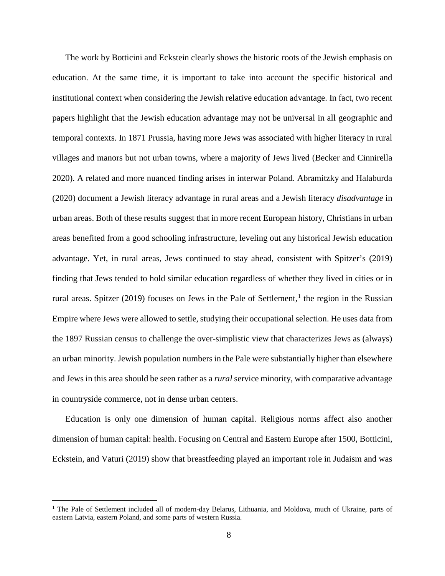The work by Botticini and Eckstein clearly shows the historic roots of the Jewish emphasis on education. At the same time, it is important to take into account the specific historical and institutional context when considering the Jewish relative education advantage. In fact, two recent papers highlight that the Jewish education advantage may not be universal in all geographic and temporal contexts. In 1871 Prussia, having more Jews was associated with higher literacy in rural villages and manors but not urban towns, where a majority of Jews lived (Becker and Cinnirella 2020). A related and more nuanced finding arises in interwar Poland. Abramitzky and Halaburda (2020) document a Jewish literacy advantage in rural areas and a Jewish literacy *disadvantage* in urban areas. Both of these results suggest that in more recent European history, Christians in urban areas benefited from a good schooling infrastructure, leveling out any historical Jewish education advantage. Yet, in rural areas, Jews continued to stay ahead, consistent with Spitzer's (2019) finding that Jews tended to hold similar education regardless of whether they lived in cities or in rural areas. Spitzer (2019) focuses on Jews in the Pale of Settlement,<sup>1</sup> the region in the Russian Empire where Jews were allowed to settle, studying their occupational selection. He uses data from the 1897 Russian census to challenge the over-simplistic view that characterizes Jews as (always) an urban minority. Jewish population numbers in the Pale were substantially higher than elsewhere and Jews in this area should be seen rather as a *rural* service minority, with comparative advantage in countryside commerce, not in dense urban centers.

Education is only one dimension of human capital. Religious norms affect also another dimension of human capital: health. Focusing on Central and Eastern Europe after 1500, Botticini, Eckstein, and Vaturi (2019) show that breastfeeding played an important role in Judaism and was

<sup>&</sup>lt;sup>1</sup> The Pale of Settlement included all of modern-day Belarus, Lithuania, and Moldova, much of Ukraine, parts of eastern Latvia, eastern Poland, and some parts of western Russia.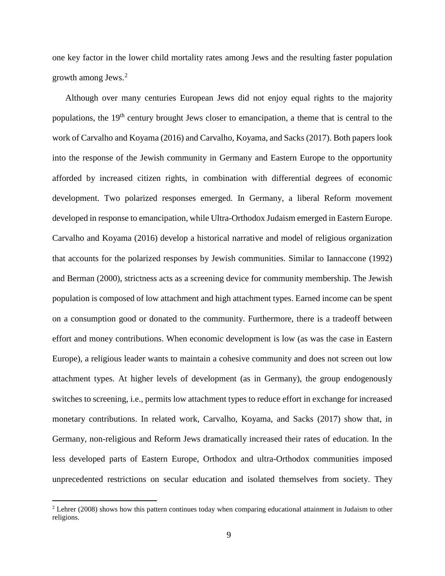one key factor in the lower child mortality rates among Jews and the resulting faster population growth among Jews. 2

Although over many centuries European Jews did not enjoy equal rights to the majority populations, the 19<sup>th</sup> century brought Jews closer to emancipation, a theme that is central to the work of Carvalho and Koyama (2016) and Carvalho, Koyama, and Sacks (2017). Both papers look into the response of the Jewish community in Germany and Eastern Europe to the opportunity afforded by increased citizen rights, in combination with differential degrees of economic development. Two polarized responses emerged. In Germany, a liberal Reform movement developed in response to emancipation, while Ultra-Orthodox Judaism emerged in Eastern Europe. Carvalho and Koyama (2016) develop a historical narrative and model of religious organization that accounts for the polarized responses by Jewish communities. Similar to Iannaccone (1992) and Berman (2000), strictness acts as a screening device for community membership. The Jewish population is composed of low attachment and high attachment types. Earned income can be spent on a consumption good or donated to the community. Furthermore, there is a tradeoff between effort and money contributions. When economic development is low (as was the case in Eastern Europe), a religious leader wants to maintain a cohesive community and does not screen out low attachment types. At higher levels of development (as in Germany), the group endogenously switches to screening, i.e., permits low attachment types to reduce effort in exchange for increased monetary contributions. In related work, Carvalho, Koyama, and Sacks (2017) show that, in Germany, non-religious and Reform Jews dramatically increased their rates of education. In the less developed parts of Eastern Europe, Orthodox and ultra-Orthodox communities imposed unprecedented restrictions on secular education and isolated themselves from society. They

<sup>&</sup>lt;sup>2</sup> Lehrer (2008) shows how this pattern continues today when comparing educational attainment in Judaism to other religions.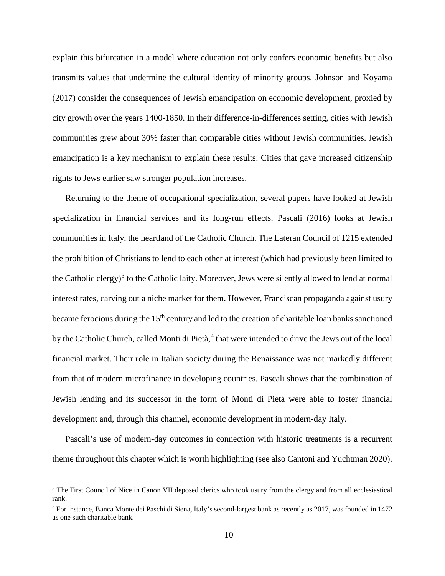explain this bifurcation in a model where education not only confers economic benefits but also transmits values that undermine the cultural identity of minority groups. Johnson and Koyama (2017) consider the consequences of Jewish emancipation on economic development, proxied by city growth over the years 1400-1850. In their difference-in-differences setting, cities with Jewish communities grew about 30% faster than comparable cities without Jewish communities. Jewish emancipation is a key mechanism to explain these results: Cities that gave increased citizenship rights to Jews earlier saw stronger population increases.

Returning to the theme of occupational specialization, several papers have looked at Jewish specialization in financial services and its long-run effects. Pascali (2016) looks at Jewish communities in Italy, the heartland of the Catholic Church. The Lateran Council of 1215 extended the prohibition of Christians to lend to each other at interest (which had previously been limited to the Catholic clergy)<sup>3</sup> to the Catholic laity. Moreover, Jews were silently allowed to lend at normal interest rates, carving out a niche market for them. However, Franciscan propaganda against usury became ferocious during the  $15<sup>th</sup>$  century and led to the creation of charitable loan banks sanctioned by the Catholic Church, called Monti di Pietà,<sup>4</sup> that were intended to drive the Jews out of the local financial market. Their role in Italian society during the Renaissance was not markedly different from that of modern microfinance in developing countries. Pascali shows that the combination of Jewish lending and its successor in the form of Monti di Pietà were able to foster financial development and, through this channel, economic development in modern-day Italy.

Pascali's use of modern-day outcomes in connection with historic treatments is a recurrent theme throughout this chapter which is worth highlighting (see also Cantoni and Yuchtman 2020).

<sup>&</sup>lt;sup>3</sup> The First Council of Nice in Canon VII deposed clerics who took usury from the clergy and from all ecclesiastical rank.

<sup>4</sup> For instance, Banca Monte dei Paschi di Siena, Italy's second-largest bank as recently as 2017, was founded in 1472 as one such charitable bank.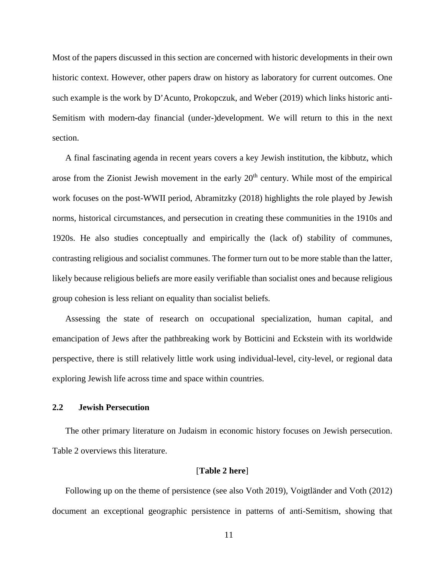Most of the papers discussed in this section are concerned with historic developments in their own historic context. However, other papers draw on history as laboratory for current outcomes. One such example is the work by D'Acunto, Prokopczuk, and Weber (2019) which links historic anti-Semitism with modern-day financial (under-)development. We will return to this in the next section.

A final fascinating agenda in recent years covers a key Jewish institution, the kibbutz, which arose from the Zionist Jewish movement in the early  $20<sup>th</sup>$  century. While most of the empirical work focuses on the post-WWII period, Abramitzky (2018) highlights the role played by Jewish norms, historical circumstances, and persecution in creating these communities in the 1910s and 1920s. He also studies conceptually and empirically the (lack of) stability of communes, contrasting religious and socialist communes. The former turn out to be more stable than the latter, likely because religious beliefs are more easily verifiable than socialist ones and because religious group cohesion is less reliant on equality than socialist beliefs.

Assessing the state of research on occupational specialization, human capital, and emancipation of Jews after the pathbreaking work by Botticini and Eckstein with its worldwide perspective, there is still relatively little work using individual-level, city-level, or regional data exploring Jewish life across time and space within countries.

# <span id="page-13-0"></span>**2.2 Jewish Persecution**

The other primary literature on Judaism in economic history focuses on Jewish persecution. Table 2 overviews this literature.

#### [**Table 2 here**]

Following up on the theme of persistence (see also Voth 2019), Voigtländer and Voth (2012) document an exceptional geographic persistence in patterns of anti-Semitism, showing that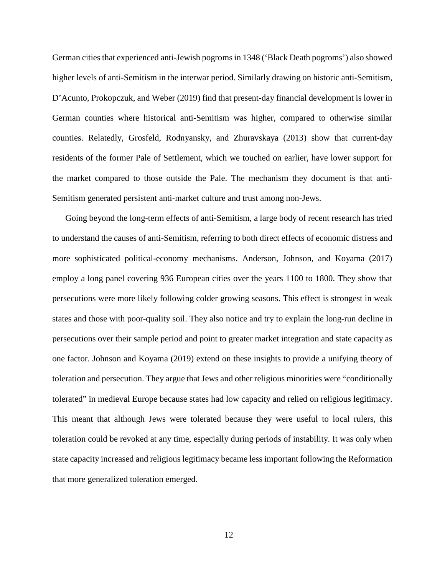German cities that experienced anti-Jewish pogroms in 1348 ('Black Death pogroms') also showed higher levels of anti-Semitism in the interwar period. Similarly drawing on historic anti-Semitism, D'Acunto, Prokopczuk, and Weber (2019) find that present-day financial development is lower in German counties where historical anti-Semitism was higher, compared to otherwise similar counties. Relatedly, Grosfeld, Rodnyansky, and Zhuravskaya (2013) show that current-day residents of the former Pale of Settlement, which we touched on earlier, have lower support for the market compared to those outside the Pale. The mechanism they document is that anti-Semitism generated persistent anti-market culture and trust among non-Jews.

Going beyond the long-term effects of anti-Semitism, a large body of recent research has tried to understand the causes of anti-Semitism, referring to both direct effects of economic distress and more sophisticated political-economy mechanisms. Anderson, Johnson, and Koyama (2017) employ a long panel covering 936 European cities over the years 1100 to 1800. They show that persecutions were more likely following colder growing seasons. This effect is strongest in weak states and those with poor-quality soil. They also notice and try to explain the long-run decline in persecutions over their sample period and point to greater market integration and state capacity as one factor. Johnson and Koyama (2019) extend on these insights to provide a unifying theory of toleration and persecution. They argue that Jews and other religious minorities were "conditionally tolerated" in medieval Europe because states had low capacity and relied on religious legitimacy. This meant that although Jews were tolerated because they were useful to local rulers, this toleration could be revoked at any time, especially during periods of instability. It was only when state capacity increased and religious legitimacy became less important following the Reformation that more generalized toleration emerged.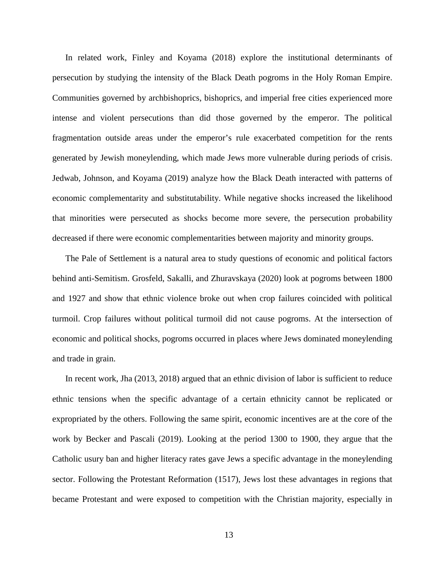In related work, Finley and Koyama (2018) explore the institutional determinants of persecution by studying the intensity of the Black Death pogroms in the Holy Roman Empire. Communities governed by archbishoprics, bishoprics, and imperial free cities experienced more intense and violent persecutions than did those governed by the emperor. The political fragmentation outside areas under the emperor's rule exacerbated competition for the rents generated by Jewish moneylending, which made Jews more vulnerable during periods of crisis. Jedwab, Johnson, and Koyama (2019) analyze how the Black Death interacted with patterns of economic complementarity and substitutability. While negative shocks increased the likelihood that minorities were persecuted as shocks become more severe, the persecution probability decreased if there were economic complementarities between majority and minority groups.

The Pale of Settlement is a natural area to study questions of economic and political factors behind anti-Semitism. Grosfeld, Sakalli, and Zhuravskaya (2020) look at pogroms between 1800 and 1927 and show that ethnic violence broke out when crop failures coincided with political turmoil. Crop failures without political turmoil did not cause pogroms. At the intersection of economic and political shocks, pogroms occurred in places where Jews dominated moneylending and trade in grain.

In recent work, Jha (2013, 2018) argued that an ethnic division of labor is sufficient to reduce ethnic tensions when the specific advantage of a certain ethnicity cannot be replicated or expropriated by the others. Following the same spirit, economic incentives are at the core of the work by Becker and Pascali (2019). Looking at the period 1300 to 1900, they argue that the Catholic usury ban and higher literacy rates gave Jews a specific advantage in the moneylending sector. Following the Protestant Reformation (1517), Jews lost these advantages in regions that became Protestant and were exposed to competition with the Christian majority, especially in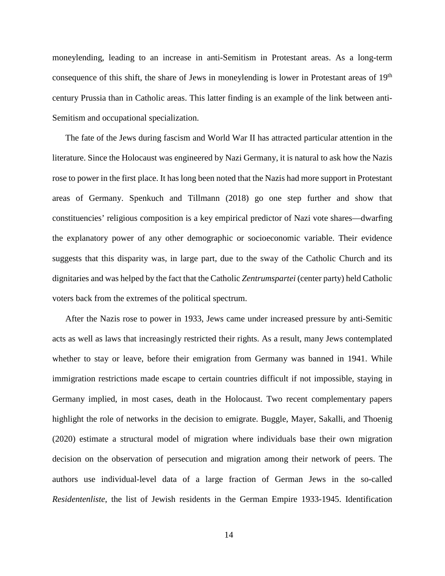moneylending, leading to an increase in anti-Semitism in Protestant areas. As a long-term consequence of this shift, the share of Jews in moneylending is lower in Protestant areas of 19<sup>th</sup> century Prussia than in Catholic areas. This latter finding is an example of the link between anti-Semitism and occupational specialization.

The fate of the Jews during fascism and World War II has attracted particular attention in the literature. Since the Holocaust was engineered by Nazi Germany, it is natural to ask how the Nazis rose to power in the first place. It has long been noted that the Nazis had more support in Protestant areas of Germany. Spenkuch and Tillmann (2018) go one step further and show that constituencies' religious composition is a key empirical predictor of Nazi vote shares—dwarfing the explanatory power of any other demographic or socioeconomic variable. Their evidence suggests that this disparity was, in large part, due to the sway of the Catholic Church and its dignitaries and was helped by the fact that the Catholic *Zentrumspartei* (center party) held Catholic voters back from the extremes of the political spectrum.

After the Nazis rose to power in 1933, Jews came under increased pressure by anti-Semitic acts as well as laws that increasingly restricted their rights. As a result, many Jews contemplated whether to stay or leave, before their emigration from Germany was banned in 1941. While immigration restrictions made escape to certain countries difficult if not impossible, staying in Germany implied, in most cases, death in the Holocaust. Two recent complementary papers highlight the role of networks in the decision to emigrate. Buggle, Mayer, Sakalli, and Thoenig (2020) estimate a structural model of migration where individuals base their own migration decision on the observation of persecution and migration among their network of peers. The authors use individual-level data of a large fraction of German Jews in the so-called *Residentenliste*, the list of Jewish residents in the German Empire 1933-1945. Identification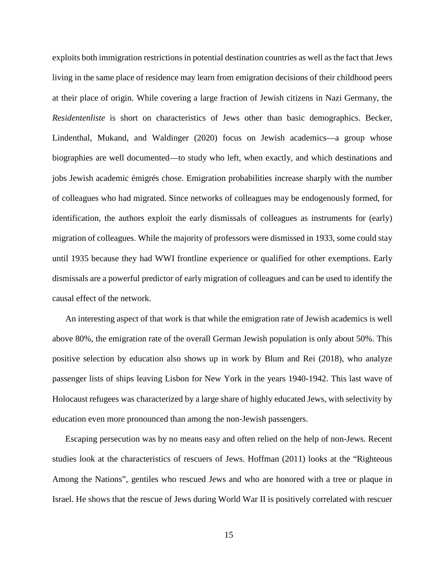exploits both immigration restrictions in potential destination countries as well as the fact that Jews living in the same place of residence may learn from emigration decisions of their childhood peers at their place of origin. While covering a large fraction of Jewish citizens in Nazi Germany, the *Residentenliste* is short on characteristics of Jews other than basic demographics. Becker, Lindenthal, Mukand, and Waldinger (2020) focus on Jewish academics—a group whose biographies are well documented—to study who left, when exactly, and which destinations and jobs Jewish academic émigrés chose. Emigration probabilities increase sharply with the number of colleagues who had migrated. Since networks of colleagues may be endogenously formed, for identification, the authors exploit the early dismissals of colleagues as instruments for (early) migration of colleagues. While the majority of professors were dismissed in 1933, some could stay until 1935 because they had WWI frontline experience or qualified for other exemptions. Early dismissals are a powerful predictor of early migration of colleagues and can be used to identify the causal effect of the network.

An interesting aspect of that work is that while the emigration rate of Jewish academics is well above 80%, the emigration rate of the overall German Jewish population is only about 50%. This positive selection by education also shows up in work by Blum and Rei (2018), who analyze passenger lists of ships leaving Lisbon for New York in the years 1940-1942. This last wave of Holocaust refugees was characterized by a large share of highly educated Jews, with selectivity by education even more pronounced than among the non-Jewish passengers.

Escaping persecution was by no means easy and often relied on the help of non-Jews. Recent studies look at the characteristics of rescuers of Jews. Hoffman (2011) looks at the "Righteous Among the Nations", gentiles who rescued Jews and who are honored with a tree or plaque in Israel. He shows that the rescue of Jews during World War II is positively correlated with rescuer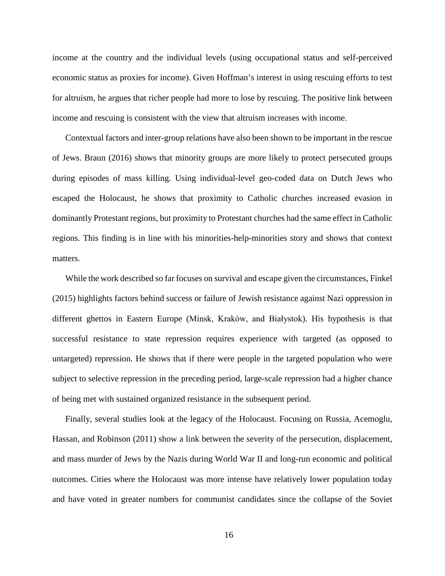income at the country and the individual levels (using occupational status and self-perceived economic status as proxies for income). Given Hoffman's interest in using rescuing efforts to test for altruism, he argues that richer people had more to lose by rescuing. The positive link between income and rescuing is consistent with the view that altruism increases with income.

Contextual factors and inter-group relations have also been shown to be important in the rescue of Jews. Braun (2016) shows that minority groups are more likely to protect persecuted groups during episodes of mass killing. Using individual-level geo-coded data on Dutch Jews who escaped the Holocaust, he shows that proximity to Catholic churches increased evasion in dominantly Protestant regions, but proximity to Protestant churches had the same effect in Catholic regions. This finding is in line with his minorities-help-minorities story and shows that context matters.

While the work described so far focuses on survival and escape given the circumstances, Finkel (2015) highlights factors behind success or failure of Jewish resistance against Nazi oppression in different ghettos in Eastern Europe (Minsk, Kraków, and Białystok). His hypothesis is that successful resistance to state repression requires experience with targeted (as opposed to untargeted) repression. He shows that if there were people in the targeted population who were subject to selective repression in the preceding period, large-scale repression had a higher chance of being met with sustained organized resistance in the subsequent period.

Finally, several studies look at the legacy of the Holocaust. Focusing on Russia, Acemoglu, Hassan, and Robinson (2011) show a link between the severity of the persecution, displacement, and mass murder of Jews by the Nazis during World War II and long-run economic and political outcomes. Cities where the Holocaust was more intense have relatively lower population today and have voted in greater numbers for communist candidates since the collapse of the Soviet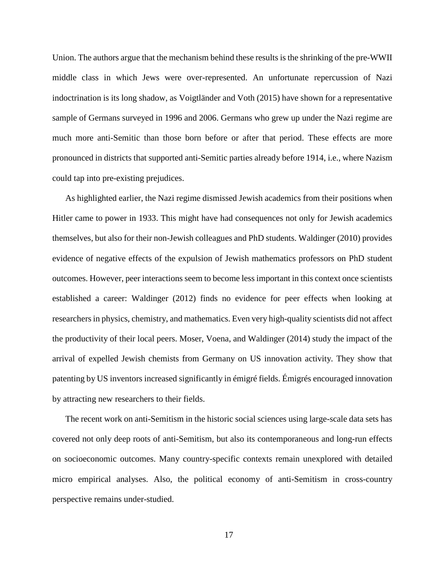Union. The authors argue that the mechanism behind these results is the shrinking of the pre-WWII middle class in which Jews were over-represented. An unfortunate repercussion of Nazi indoctrination is its long shadow, as Voigtländer and Voth (2015) have shown for a representative sample of Germans surveyed in 1996 and 2006. Germans who grew up under the Nazi regime are much more anti-Semitic than those born before or after that period. These effects are more pronounced in districts that supported anti-Semitic parties already before 1914, i.e., where Nazism could tap into pre-existing prejudices.

As highlighted earlier, the Nazi regime dismissed Jewish academics from their positions when Hitler came to power in 1933. This might have had consequences not only for Jewish academics themselves, but also for their non-Jewish colleagues and PhD students. Waldinger (2010) provides evidence of negative effects of the expulsion of Jewish mathematics professors on PhD student outcomes. However, peer interactions seem to become less important in this context once scientists established a career: Waldinger (2012) finds no evidence for peer effects when looking at researchers in physics, chemistry, and mathematics. Even very high-quality scientists did not affect the productivity of their local peers. Moser, Voena, and Waldinger (2014) study the impact of the arrival of expelled Jewish chemists from Germany on US innovation activity. They show that patenting by US inventors increased significantly in émigré fields. Émigrés encouraged innovation by attracting new researchers to their fields.

The recent work on anti-Semitism in the historic social sciences using large-scale data sets has covered not only deep roots of anti-Semitism, but also its contemporaneous and long-run effects on socioeconomic outcomes. Many country-specific contexts remain unexplored with detailed micro empirical analyses. Also, the political economy of anti-Semitism in cross-country perspective remains under-studied.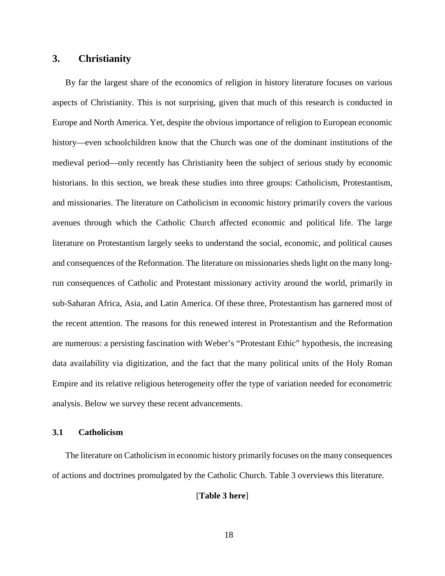# <span id="page-20-0"></span>**3. Christianity**

By far the largest share of the economics of religion in history literature focuses on various aspects of Christianity. This is not surprising, given that much of this research is conducted in Europe and North America. Yet, despite the obvious importance of religion to European economic history—even schoolchildren know that the Church was one of the dominant institutions of the medieval period—only recently has Christianity been the subject of serious study by economic historians. In this section, we break these studies into three groups: Catholicism, Protestantism, and missionaries. The literature on Catholicism in economic history primarily covers the various avenues through which the Catholic Church affected economic and political life. The large literature on Protestantism largely seeks to understand the social, economic, and political causes and consequences of the Reformation. The literature on missionaries sheds light on the many longrun consequences of Catholic and Protestant missionary activity around the world, primarily in sub-Saharan Africa, Asia, and Latin America. Of these three, Protestantism has garnered most of the recent attention. The reasons for this renewed interest in Protestantism and the Reformation are numerous: a persisting fascination with Weber's "Protestant Ethic" hypothesis, the increasing data availability via digitization, and the fact that the many political units of the Holy Roman Empire and its relative religious heterogeneity offer the type of variation needed for econometric analysis. Below we survey these recent advancements.

### <span id="page-20-1"></span>**3.1 Catholicism**

The literature on Catholicism in economic history primarily focuses on the many consequences of actions and doctrines promulgated by the Catholic Church. Table 3 overviews this literature.

[**Table 3 here**]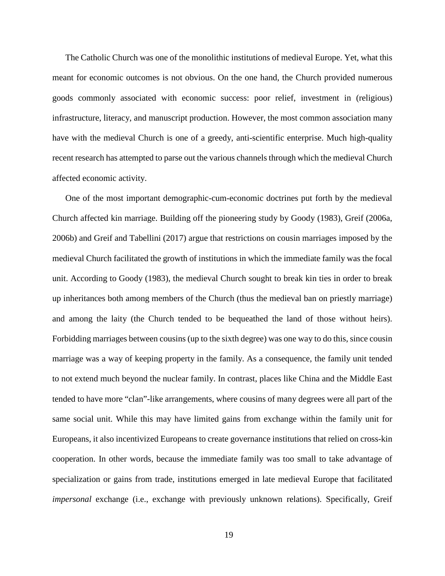The Catholic Church was one of the monolithic institutions of medieval Europe. Yet, what this meant for economic outcomes is not obvious. On the one hand, the Church provided numerous goods commonly associated with economic success: poor relief, investment in (religious) infrastructure, literacy, and manuscript production. However, the most common association many have with the medieval Church is one of a greedy, anti-scientific enterprise. Much high-quality recent research has attempted to parse out the various channels through which the medieval Church affected economic activity.

One of the most important demographic-cum-economic doctrines put forth by the medieval Church affected kin marriage. Building off the pioneering study by Goody (1983), Greif (2006a, 2006b) and Greif and Tabellini (2017) argue that restrictions on cousin marriages imposed by the medieval Church facilitated the growth of institutions in which the immediate family was the focal unit. According to Goody (1983), the medieval Church sought to break kin ties in order to break up inheritances both among members of the Church (thus the medieval ban on priestly marriage) and among the laity (the Church tended to be bequeathed the land of those without heirs). Forbidding marriages between cousins (up to the sixth degree) was one way to do this, since cousin marriage was a way of keeping property in the family. As a consequence, the family unit tended to not extend much beyond the nuclear family. In contrast, places like China and the Middle East tended to have more "clan"-like arrangements, where cousins of many degrees were all part of the same social unit. While this may have limited gains from exchange within the family unit for Europeans, it also incentivized Europeans to create governance institutions that relied on cross-kin cooperation. In other words, because the immediate family was too small to take advantage of specialization or gains from trade, institutions emerged in late medieval Europe that facilitated *impersonal* exchange (i.e., exchange with previously unknown relations). Specifically, Greif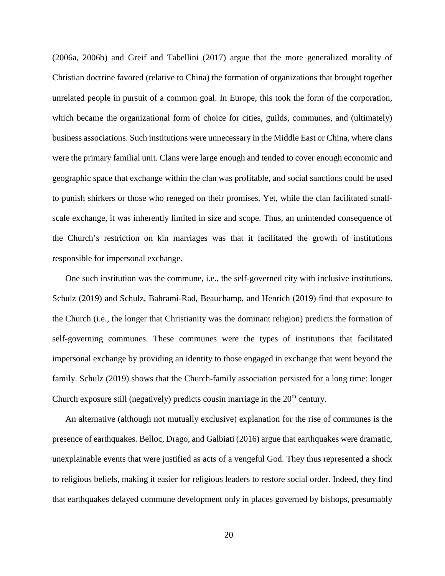(2006a, 2006b) and Greif and Tabellini (2017) argue that the more generalized morality of Christian doctrine favored (relative to China) the formation of organizations that brought together unrelated people in pursuit of a common goal. In Europe, this took the form of the corporation, which became the organizational form of choice for cities, guilds, communes, and (ultimately) business associations. Such institutions were unnecessary in the Middle East or China, where clans were the primary familial unit. Clans were large enough and tended to cover enough economic and geographic space that exchange within the clan was profitable, and social sanctions could be used to punish shirkers or those who reneged on their promises. Yet, while the clan facilitated smallscale exchange, it was inherently limited in size and scope. Thus, an unintended consequence of the Church's restriction on kin marriages was that it facilitated the growth of institutions responsible for impersonal exchange.

One such institution was the commune, i.e., the self-governed city with inclusive institutions. Schulz (2019) and Schulz, Bahrami-Rad, Beauchamp, and Henrich (2019) find that exposure to the Church (i.e., the longer that Christianity was the dominant religion) predicts the formation of self-governing communes. These communes were the types of institutions that facilitated impersonal exchange by providing an identity to those engaged in exchange that went beyond the family. Schulz (2019) shows that the Church-family association persisted for a long time: longer Church exposure still (negatively) predicts cousin marriage in the  $20<sup>th</sup>$  century.

An alternative (although not mutually exclusive) explanation for the rise of communes is the presence of earthquakes. Belloc, Drago, and Galbiati (2016) argue that earthquakes were dramatic, unexplainable events that were justified as acts of a vengeful God. They thus represented a shock to religious beliefs, making it easier for religious leaders to restore social order. Indeed, they find that earthquakes delayed commune development only in places governed by bishops, presumably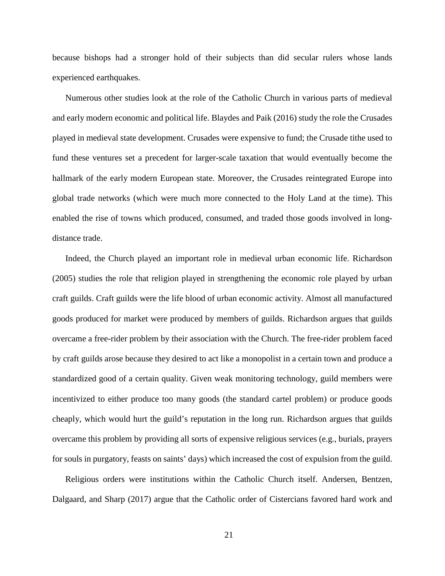because bishops had a stronger hold of their subjects than did secular rulers whose lands experienced earthquakes.

Numerous other studies look at the role of the Catholic Church in various parts of medieval and early modern economic and political life. Blaydes and Paik (2016) study the role the Crusades played in medieval state development. Crusades were expensive to fund; the Crusade tithe used to fund these ventures set a precedent for larger-scale taxation that would eventually become the hallmark of the early modern European state. Moreover, the Crusades reintegrated Europe into global trade networks (which were much more connected to the Holy Land at the time). This enabled the rise of towns which produced, consumed, and traded those goods involved in longdistance trade.

Indeed, the Church played an important role in medieval urban economic life. Richardson (2005) studies the role that religion played in strengthening the economic role played by urban craft guilds. Craft guilds were the life blood of urban economic activity. Almost all manufactured goods produced for market were produced by members of guilds. Richardson argues that guilds overcame a free-rider problem by their association with the Church. The free-rider problem faced by craft guilds arose because they desired to act like a monopolist in a certain town and produce a standardized good of a certain quality. Given weak monitoring technology, guild members were incentivized to either produce too many goods (the standard cartel problem) or produce goods cheaply, which would hurt the guild's reputation in the long run. Richardson argues that guilds overcame this problem by providing all sorts of expensive religious services (e.g., burials, prayers for souls in purgatory, feasts on saints' days) which increased the cost of expulsion from the guild.

Religious orders were institutions within the Catholic Church itself. Andersen, Bentzen, Dalgaard, and Sharp (2017) argue that the Catholic order of Cistercians favored hard work and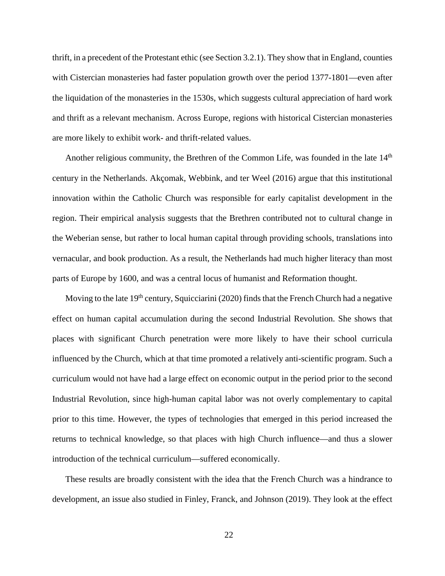thrift, in a precedent of the Protestant ethic (see Section 3.2.1). They show that in England, counties with Cistercian monasteries had faster population growth over the period 1377-1801—even after the liquidation of the monasteries in the 1530s, which suggests cultural appreciation of hard work and thrift as a relevant mechanism. Across Europe, regions with historical Cistercian monasteries are more likely to exhibit work- and thrift-related values.

Another religious community, the Brethren of the Common Life, was founded in the late  $14<sup>th</sup>$ century in the Netherlands. Akçomak, Webbink, and ter Weel (2016) argue that this institutional innovation within the Catholic Church was responsible for early capitalist development in the region. Their empirical analysis suggests that the Brethren contributed not to cultural change in the Weberian sense, but rather to local human capital through providing schools, translations into vernacular, and book production. As a result, the Netherlands had much higher literacy than most parts of Europe by 1600, and was a central locus of humanist and Reformation thought.

Moving to the late 19<sup>th</sup> century, Squicciarini (2020) finds that the French Church had a negative effect on human capital accumulation during the second Industrial Revolution. She shows that places with significant Church penetration were more likely to have their school curricula influenced by the Church, which at that time promoted a relatively anti-scientific program. Such a curriculum would not have had a large effect on economic output in the period prior to the second Industrial Revolution, since high-human capital labor was not overly complementary to capital prior to this time. However, the types of technologies that emerged in this period increased the returns to technical knowledge, so that places with high Church influence—and thus a slower introduction of the technical curriculum—suffered economically.

These results are broadly consistent with the idea that the French Church was a hindrance to development, an issue also studied in Finley, Franck, and Johnson (2019). They look at the effect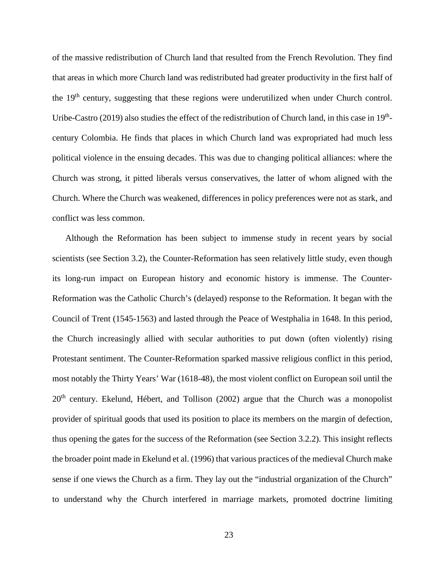of the massive redistribution of Church land that resulted from the French Revolution. They find that areas in which more Church land was redistributed had greater productivity in the first half of the 19<sup>th</sup> century, suggesting that these regions were underutilized when under Church control. Uribe-Castro (2019) also studies the effect of the redistribution of Church land, in this case in 19<sup>th</sup>century Colombia. He finds that places in which Church land was expropriated had much less political violence in the ensuing decades. This was due to changing political alliances: where the Church was strong, it pitted liberals versus conservatives, the latter of whom aligned with the Church. Where the Church was weakened, differences in policy preferences were not as stark, and conflict was less common.

Although the Reformation has been subject to immense study in recent years by social scientists (see Section 3.2), the Counter-Reformation has seen relatively little study, even though its long-run impact on European history and economic history is immense. The Counter-Reformation was the Catholic Church's (delayed) response to the Reformation. It began with the Council of Trent (1545-1563) and lasted through the Peace of Westphalia in 1648. In this period, the Church increasingly allied with secular authorities to put down (often violently) rising Protestant sentiment. The Counter-Reformation sparked massive religious conflict in this period, most notably the Thirty Years' War (1618-48), the most violent conflict on European soil until the  $20<sup>th</sup>$  century. Ekelund, Hébert, and Tollison (2002) argue that the Church was a monopolist provider of spiritual goods that used its position to place its members on the margin of defection, thus opening the gates for the success of the Reformation (see Section 3.2.2). This insight reflects the broader point made in Ekelund et al. (1996) that various practices of the medieval Church make sense if one views the Church as a firm. They lay out the "industrial organization of the Church" to understand why the Church interfered in marriage markets, promoted doctrine limiting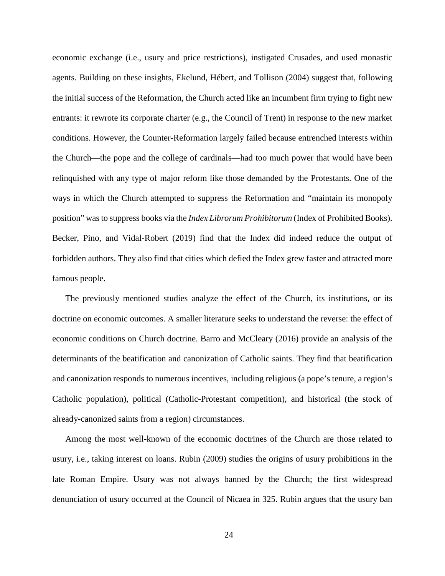economic exchange (i.e., usury and price restrictions), instigated Crusades, and used monastic agents. Building on these insights, Ekelund, Hébert, and Tollison (2004) suggest that, following the initial success of the Reformation, the Church acted like an incumbent firm trying to fight new entrants: it rewrote its corporate charter (e.g., the Council of Trent) in response to the new market conditions. However, the Counter-Reformation largely failed because entrenched interests within the Church—the pope and the college of cardinals—had too much power that would have been relinquished with any type of major reform like those demanded by the Protestants. One of the ways in which the Church attempted to suppress the Reformation and "maintain its monopoly position" was to suppress books via the *Index Librorum Prohibitorum* (Index of Prohibited Books). Becker, Pino, and Vidal-Robert (2019) find that the Index did indeed reduce the output of forbidden authors. They also find that cities which defied the Index grew faster and attracted more famous people.

The previously mentioned studies analyze the effect of the Church, its institutions, or its doctrine on economic outcomes. A smaller literature seeks to understand the reverse: the effect of economic conditions on Church doctrine. Barro and McCleary (2016) provide an analysis of the determinants of the beatification and canonization of Catholic saints. They find that beatification and canonization responds to numerous incentives, including religious (a pope's tenure, a region's Catholic population), political (Catholic-Protestant competition), and historical (the stock of already-canonized saints from a region) circumstances.

Among the most well-known of the economic doctrines of the Church are those related to usury, i.e., taking interest on loans. Rubin (2009) studies the origins of usury prohibitions in the late Roman Empire. Usury was not always banned by the Church; the first widespread denunciation of usury occurred at the Council of Nicaea in 325. Rubin argues that the usury ban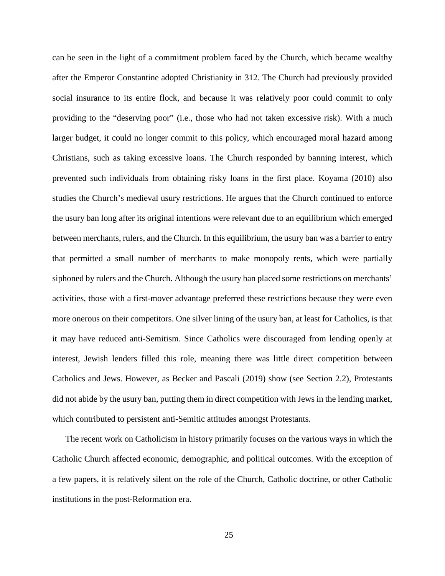can be seen in the light of a commitment problem faced by the Church, which became wealthy after the Emperor Constantine adopted Christianity in 312. The Church had previously provided social insurance to its entire flock, and because it was relatively poor could commit to only providing to the "deserving poor" (i.e., those who had not taken excessive risk). With a much larger budget, it could no longer commit to this policy, which encouraged moral hazard among Christians, such as taking excessive loans. The Church responded by banning interest, which prevented such individuals from obtaining risky loans in the first place. Koyama (2010) also studies the Church's medieval usury restrictions. He argues that the Church continued to enforce the usury ban long after its original intentions were relevant due to an equilibrium which emerged between merchants, rulers, and the Church. In this equilibrium, the usury ban was a barrier to entry that permitted a small number of merchants to make monopoly rents, which were partially siphoned by rulers and the Church. Although the usury ban placed some restrictions on merchants' activities, those with a first-mover advantage preferred these restrictions because they were even more onerous on their competitors. One silver lining of the usury ban, at least for Catholics, is that it may have reduced anti-Semitism. Since Catholics were discouraged from lending openly at interest, Jewish lenders filled this role, meaning there was little direct competition between Catholics and Jews. However, as Becker and Pascali (2019) show (see Section 2.2), Protestants did not abide by the usury ban, putting them in direct competition with Jews in the lending market, which contributed to persistent anti-Semitic attitudes amongst Protestants.

The recent work on Catholicism in history primarily focuses on the various ways in which the Catholic Church affected economic, demographic, and political outcomes. With the exception of a few papers, it is relatively silent on the role of the Church, Catholic doctrine, or other Catholic institutions in the post-Reformation era.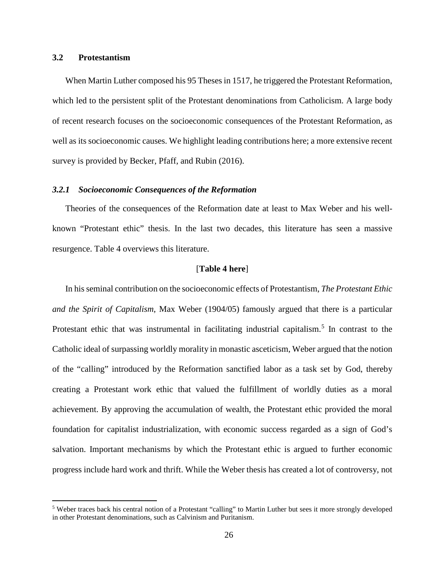### <span id="page-28-0"></span>**3.2 Protestantism**

When Martin Luther composed his 95 Theses in 1517, he triggered the Protestant Reformation, which led to the persistent split of the Protestant denominations from Catholicism. A large body of recent research focuses on the socioeconomic consequences of the Protestant Reformation, as well as its socioeconomic causes. We highlight leading contributions here; a more extensive recent survey is provided by Becker, Pfaff, and Rubin (2016).

# <span id="page-28-1"></span>*3.2.1 Socioeconomic Consequences of the Reformation*

Theories of the consequences of the Reformation date at least to Max Weber and his wellknown "Protestant ethic" thesis. In the last two decades, this literature has seen a massive resurgence. Table 4 overviews this literature.

#### [**Table 4 here**]

In his seminal contribution on the socioeconomic effects of Protestantism, *The Protestant Ethic and the Spirit of Capitalism*, Max Weber (1904/05) famously argued that there is a particular Protestant ethic that was instrumental in facilitating industrial capitalism.<sup>5</sup> In contrast to the Catholic ideal of surpassing worldly morality in monastic asceticism, Weber argued that the notion of the "calling" introduced by the Reformation sanctified labor as a task set by God, thereby creating a Protestant work ethic that valued the fulfillment of worldly duties as a moral achievement. By approving the accumulation of wealth, the Protestant ethic provided the moral foundation for capitalist industrialization, with economic success regarded as a sign of God's salvation. Important mechanisms by which the Protestant ethic is argued to further economic progress include hard work and thrift. While the Weber thesis has created a lot of controversy, not

<sup>&</sup>lt;sup>5</sup> Weber traces back his central notion of a Protestant "calling" to Martin Luther but sees it more strongly developed in other Protestant denominations, such as Calvinism and Puritanism.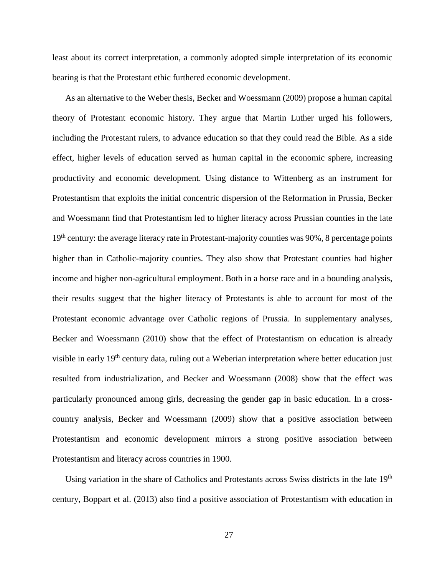least about its correct interpretation, a commonly adopted simple interpretation of its economic bearing is that the Protestant ethic furthered economic development.

As an alternative to the Weber thesis, Becker and Woessmann (2009) propose a human capital theory of Protestant economic history. They argue that Martin Luther urged his followers, including the Protestant rulers, to advance education so that they could read the Bible. As a side effect, higher levels of education served as human capital in the economic sphere, increasing productivity and economic development. Using distance to Wittenberg as an instrument for Protestantism that exploits the initial concentric dispersion of the Reformation in Prussia, Becker and Woessmann find that Protestantism led to higher literacy across Prussian counties in the late 19<sup>th</sup> century: the average literacy rate in Protestant-majority counties was 90%, 8 percentage points higher than in Catholic-majority counties. They also show that Protestant counties had higher income and higher non-agricultural employment. Both in a horse race and in a bounding analysis, their results suggest that the higher literacy of Protestants is able to account for most of the Protestant economic advantage over Catholic regions of Prussia. In supplementary analyses, Becker and Woessmann (2010) show that the effect of Protestantism on education is already visible in early 19<sup>th</sup> century data, ruling out a Weberian interpretation where better education just resulted from industrialization, and Becker and Woessmann (2008) show that the effect was particularly pronounced among girls, decreasing the gender gap in basic education. In a crosscountry analysis, Becker and Woessmann (2009) show that a positive association between Protestantism and economic development mirrors a strong positive association between Protestantism and literacy across countries in 1900.

Using variation in the share of Catholics and Protestants across Swiss districts in the late 19<sup>th</sup> century, Boppart et al. (2013) also find a positive association of Protestantism with education in

27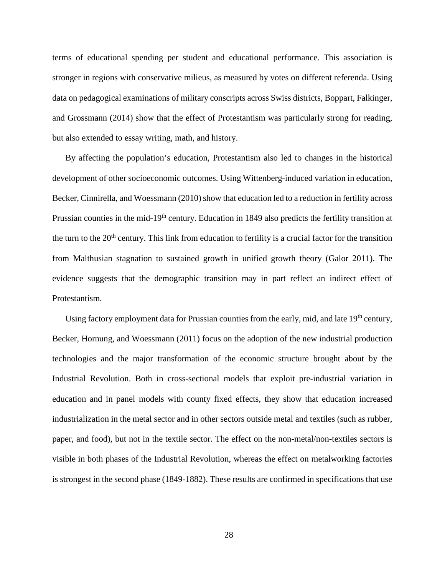terms of educational spending per student and educational performance. This association is stronger in regions with conservative milieus, as measured by votes on different referenda. Using data on pedagogical examinations of military conscripts across Swiss districts, Boppart, Falkinger, and Grossmann (2014) show that the effect of Protestantism was particularly strong for reading, but also extended to essay writing, math, and history.

By affecting the population's education, Protestantism also led to changes in the historical development of other socioeconomic outcomes. Using Wittenberg-induced variation in education, Becker, Cinnirella, and Woessmann (2010) show that education led to a reduction in fertility across Prussian counties in the mid-19<sup>th</sup> century. Education in 1849 also predicts the fertility transition at the turn to the  $20<sup>th</sup>$  century. This link from education to fertility is a crucial factor for the transition from Malthusian stagnation to sustained growth in unified growth theory (Galor 2011). The evidence suggests that the demographic transition may in part reflect an indirect effect of Protestantism.

Using factory employment data for Prussian counties from the early, mid, and late 19<sup>th</sup> century, Becker, Hornung, and Woessmann (2011) focus on the adoption of the new industrial production technologies and the major transformation of the economic structure brought about by the Industrial Revolution. Both in cross-sectional models that exploit pre-industrial variation in education and in panel models with county fixed effects, they show that education increased industrialization in the metal sector and in other sectors outside metal and textiles (such as rubber, paper, and food), but not in the textile sector. The effect on the non-metal/non-textiles sectors is visible in both phases of the Industrial Revolution, whereas the effect on metalworking factories is strongest in the second phase (1849-1882). These results are confirmed in specifications that use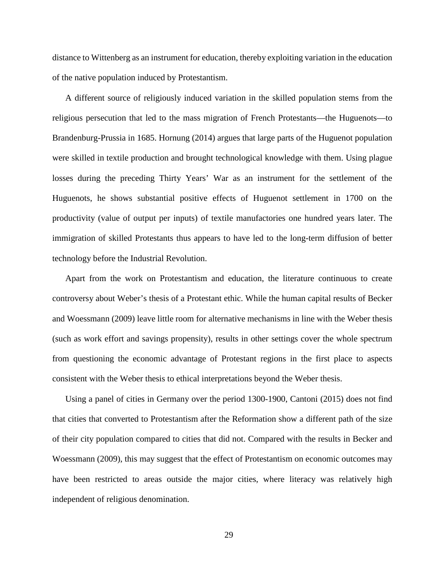distance to Wittenberg as an instrument for education, thereby exploiting variation in the education of the native population induced by Protestantism.

A different source of religiously induced variation in the skilled population stems from the religious persecution that led to the mass migration of French Protestants—the Huguenots—to Brandenburg-Prussia in 1685. Hornung (2014) argues that large parts of the Huguenot population were skilled in textile production and brought technological knowledge with them. Using plague losses during the preceding Thirty Years' War as an instrument for the settlement of the Huguenots, he shows substantial positive effects of Huguenot settlement in 1700 on the productivity (value of output per inputs) of textile manufactories one hundred years later. The immigration of skilled Protestants thus appears to have led to the long-term diffusion of better technology before the Industrial Revolution.

Apart from the work on Protestantism and education, the literature continuous to create controversy about Weber's thesis of a Protestant ethic. While the human capital results of Becker and Woessmann (2009) leave little room for alternative mechanisms in line with the Weber thesis (such as work effort and savings propensity), results in other settings cover the whole spectrum from questioning the economic advantage of Protestant regions in the first place to aspects consistent with the Weber thesis to ethical interpretations beyond the Weber thesis.

Using a panel of cities in Germany over the period 1300-1900, Cantoni (2015) does not find that cities that converted to Protestantism after the Reformation show a different path of the size of their city population compared to cities that did not. Compared with the results in Becker and Woessmann (2009), this may suggest that the effect of Protestantism on economic outcomes may have been restricted to areas outside the major cities, where literacy was relatively high independent of religious denomination.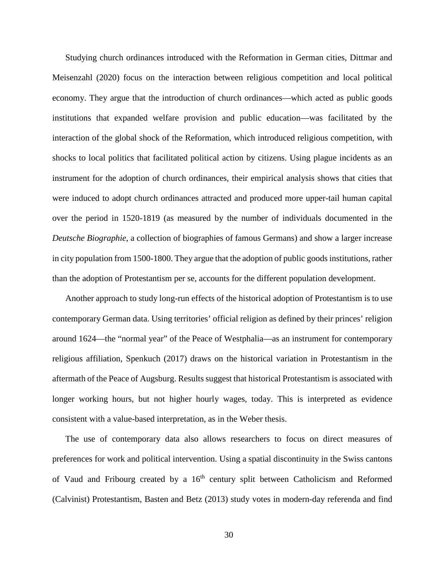Studying church ordinances introduced with the Reformation in German cities, Dittmar and Meisenzahl (2020) focus on the interaction between religious competition and local political economy. They argue that the introduction of church ordinances—which acted as public goods institutions that expanded welfare provision and public education—was facilitated by the interaction of the global shock of the Reformation, which introduced religious competition, with shocks to local politics that facilitated political action by citizens. Using plague incidents as an instrument for the adoption of church ordinances, their empirical analysis shows that cities that were induced to adopt church ordinances attracted and produced more upper-tail human capital over the period in 1520-1819 (as measured by the number of individuals documented in the *Deutsche Biographie*, a collection of biographies of famous Germans) and show a larger increase in city population from 1500-1800. They argue that the adoption of public goods institutions, rather than the adoption of Protestantism per se, accounts for the different population development.

Another approach to study long-run effects of the historical adoption of Protestantism is to use contemporary German data. Using territories' official religion as defined by their princes' religion around 1624—the "normal year" of the Peace of Westphalia—as an instrument for contemporary religious affiliation, Spenkuch (2017) draws on the historical variation in Protestantism in the aftermath of the Peace of Augsburg. Results suggest that historical Protestantism is associated with longer working hours, but not higher hourly wages, today. This is interpreted as evidence consistent with a value-based interpretation, as in the Weber thesis.

The use of contemporary data also allows researchers to focus on direct measures of preferences for work and political intervention. Using a spatial discontinuity in the Swiss cantons of Vaud and Fribourg created by a 16<sup>th</sup> century split between Catholicism and Reformed (Calvinist) Protestantism, Basten and Betz (2013) study votes in modern-day referenda and find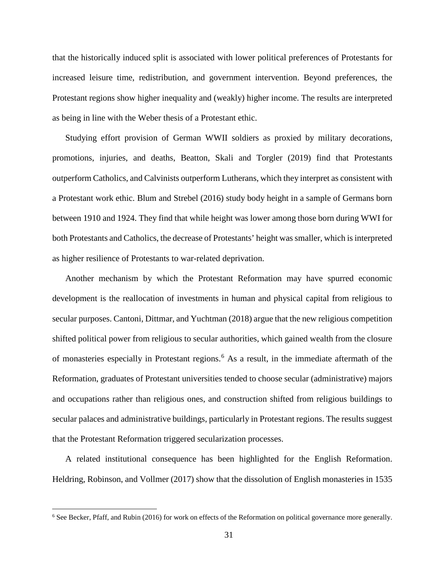that the historically induced split is associated with lower political preferences of Protestants for increased leisure time, redistribution, and government intervention. Beyond preferences, the Protestant regions show higher inequality and (weakly) higher income. The results are interpreted as being in line with the Weber thesis of a Protestant ethic.

Studying effort provision of German WWII soldiers as proxied by military decorations, promotions, injuries, and deaths, Beatton, Skali and Torgler (2019) find that Protestants outperform Catholics, and Calvinists outperform Lutherans, which they interpret as consistent with a Protestant work ethic. Blum and Strebel (2016) study body height in a sample of Germans born between 1910 and 1924. They find that while height was lower among those born during WWI for both Protestants and Catholics, the decrease of Protestants' height was smaller, which is interpreted as higher resilience of Protestants to war-related deprivation.

Another mechanism by which the Protestant Reformation may have spurred economic development is the reallocation of investments in human and physical capital from religious to secular purposes. Cantoni, Dittmar, and Yuchtman (2018) argue that the new religious competition shifted political power from religious to secular authorities, which gained wealth from the closure of monasteries especially in Protestant regions.<sup>6</sup> As a result, in the immediate aftermath of the Reformation, graduates of Protestant universities tended to choose secular (administrative) majors and occupations rather than religious ones, and construction shifted from religious buildings to secular palaces and administrative buildings, particularly in Protestant regions. The results suggest that the Protestant Reformation triggered secularization processes.

A related institutional consequence has been highlighted for the English Reformation. Heldring, Robinson, and Vollmer (2017) show that the dissolution of English monasteries in 1535

 <sup>6</sup> See Becker, Pfaff, and Rubin (2016) for work on effects of the Reformation on political governance more generally.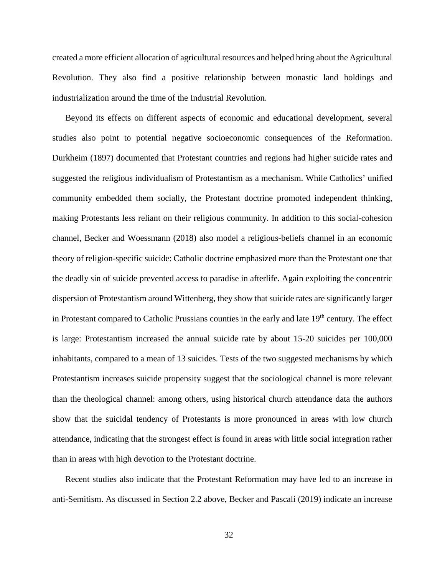created a more efficient allocation of agricultural resources and helped bring about the Agricultural Revolution. They also find a positive relationship between monastic land holdings and industrialization around the time of the Industrial Revolution.

Beyond its effects on different aspects of economic and educational development, several studies also point to potential negative socioeconomic consequences of the Reformation. Durkheim (1897) documented that Protestant countries and regions had higher suicide rates and suggested the religious individualism of Protestantism as a mechanism. While Catholics' unified community embedded them socially, the Protestant doctrine promoted independent thinking, making Protestants less reliant on their religious community. In addition to this social-cohesion channel, Becker and Woessmann (2018) also model a religious-beliefs channel in an economic theory of religion-specific suicide: Catholic doctrine emphasized more than the Protestant one that the deadly sin of suicide prevented access to paradise in afterlife. Again exploiting the concentric dispersion of Protestantism around Wittenberg, they show that suicide rates are significantly larger in Protestant compared to Catholic Prussians counties in the early and late  $19<sup>th</sup>$  century. The effect is large: Protestantism increased the annual suicide rate by about 15-20 suicides per 100,000 inhabitants, compared to a mean of 13 suicides. Tests of the two suggested mechanisms by which Protestantism increases suicide propensity suggest that the sociological channel is more relevant than the theological channel: among others, using historical church attendance data the authors show that the suicidal tendency of Protestants is more pronounced in areas with low church attendance, indicating that the strongest effect is found in areas with little social integration rather than in areas with high devotion to the Protestant doctrine.

Recent studies also indicate that the Protestant Reformation may have led to an increase in anti-Semitism. As discussed in Section 2.2 above, Becker and Pascali (2019) indicate an increase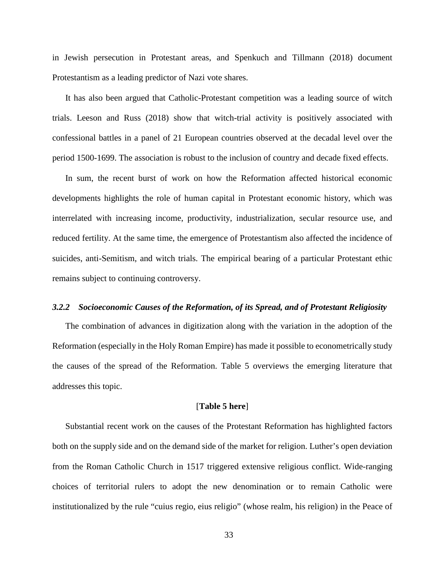in Jewish persecution in Protestant areas, and Spenkuch and Tillmann (2018) document Protestantism as a leading predictor of Nazi vote shares.

It has also been argued that Catholic-Protestant competition was a leading source of witch trials. Leeson and Russ (2018) show that witch-trial activity is positively associated with confessional battles in a panel of 21 European countries observed at the decadal level over the period 1500-1699. The association is robust to the inclusion of country and decade fixed effects.

In sum, the recent burst of work on how the Reformation affected historical economic developments highlights the role of human capital in Protestant economic history, which was interrelated with increasing income, productivity, industrialization, secular resource use, and reduced fertility. At the same time, the emergence of Protestantism also affected the incidence of suicides, anti-Semitism, and witch trials. The empirical bearing of a particular Protestant ethic remains subject to continuing controversy.

#### <span id="page-35-0"></span>*3.2.2 Socioeconomic Causes of the Reformation, of its Spread, and of Protestant Religiosity*

The combination of advances in digitization along with the variation in the adoption of the Reformation (especially in the Holy Roman Empire) has made it possible to econometrically study the causes of the spread of the Reformation. Table 5 overviews the emerging literature that addresses this topic.

#### [**Table 5 here**]

Substantial recent work on the causes of the Protestant Reformation has highlighted factors both on the supply side and on the demand side of the market for religion. Luther's open deviation from the Roman Catholic Church in 1517 triggered extensive religious conflict. Wide-ranging choices of territorial rulers to adopt the new denomination or to remain Catholic were institutionalized by the rule "cuius regio, eius religio" (whose realm, his religion) in the Peace of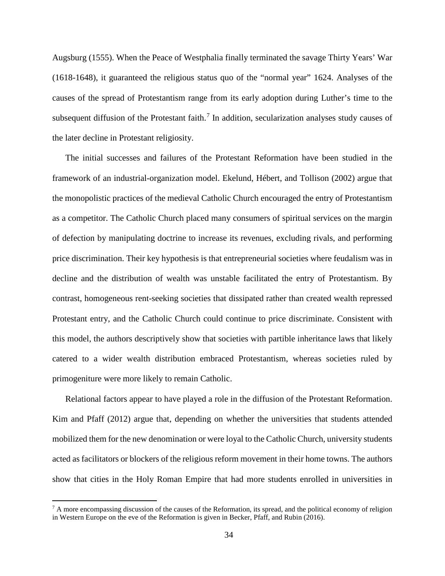Augsburg (1555). When the Peace of Westphalia finally terminated the savage Thirty Years' War (1618-1648), it guaranteed the religious status quo of the "normal year" 1624. Analyses of the causes of the spread of Protestantism range from its early adoption during Luther's time to the subsequent diffusion of the Protestant faith.<sup>7</sup> In addition, secularization analyses study causes of the later decline in Protestant religiosity.

The initial successes and failures of the Protestant Reformation have been studied in the framework of an industrial-organization model. Ekelund, Hébert, and Tollison (2002) argue that the monopolistic practices of the medieval Catholic Church encouraged the entry of Protestantism as a competitor. The Catholic Church placed many consumers of spiritual services on the margin of defection by manipulating doctrine to increase its revenues, excluding rivals, and performing price discrimination. Their key hypothesis is that entrepreneurial societies where feudalism was in decline and the distribution of wealth was unstable facilitated the entry of Protestantism. By contrast, homogeneous rent-seeking societies that dissipated rather than created wealth repressed Protestant entry, and the Catholic Church could continue to price discriminate. Consistent with this model, the authors descriptively show that societies with partible inheritance laws that likely catered to a wider wealth distribution embraced Protestantism, whereas societies ruled by primogeniture were more likely to remain Catholic.

Relational factors appear to have played a role in the diffusion of the Protestant Reformation. Kim and Pfaff (2012) argue that, depending on whether the universities that students attended mobilized them for the new denomination or were loyal to the Catholic Church, university students acted as facilitators or blockers of the religious reform movement in their home towns. The authors show that cities in the Holy Roman Empire that had more students enrolled in universities in

 $^7$  A more encompassing discussion of the causes of the Reformation, its spread, and the political economy of religion in Western Europe on the eve of the Reformation is given in Becker, Pfaff, and Rubin (2016).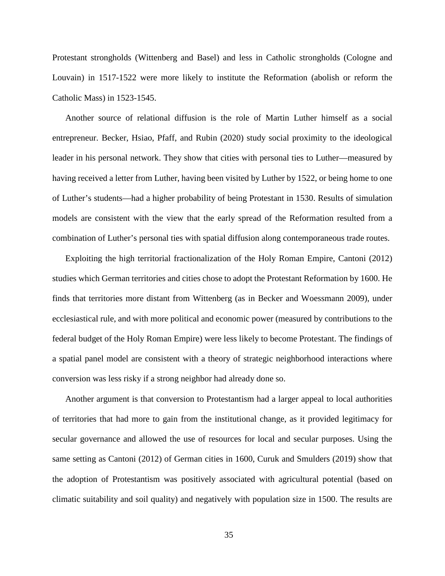Protestant strongholds (Wittenberg and Basel) and less in Catholic strongholds (Cologne and Louvain) in 1517-1522 were more likely to institute the Reformation (abolish or reform the Catholic Mass) in 1523-1545.

Another source of relational diffusion is the role of Martin Luther himself as a social entrepreneur. Becker, Hsiao, Pfaff, and Rubin (2020) study social proximity to the ideological leader in his personal network. They show that cities with personal ties to Luther—measured by having received a letter from Luther, having been visited by Luther by 1522, or being home to one of Luther's students—had a higher probability of being Protestant in 1530. Results of simulation models are consistent with the view that the early spread of the Reformation resulted from a combination of Luther's personal ties with spatial diffusion along contemporaneous trade routes.

Exploiting the high territorial fractionalization of the Holy Roman Empire, Cantoni (2012) studies which German territories and cities chose to adopt the Protestant Reformation by 1600. He finds that territories more distant from Wittenberg (as in Becker and Woessmann 2009), under ecclesiastical rule, and with more political and economic power (measured by contributions to the federal budget of the Holy Roman Empire) were less likely to become Protestant. The findings of a spatial panel model are consistent with a theory of strategic neighborhood interactions where conversion was less risky if a strong neighbor had already done so.

Another argument is that conversion to Protestantism had a larger appeal to local authorities of territories that had more to gain from the institutional change, as it provided legitimacy for secular governance and allowed the use of resources for local and secular purposes. Using the same setting as Cantoni (2012) of German cities in 1600, Curuk and Smulders (2019) show that the adoption of Protestantism was positively associated with agricultural potential (based on climatic suitability and soil quality) and negatively with population size in 1500. The results are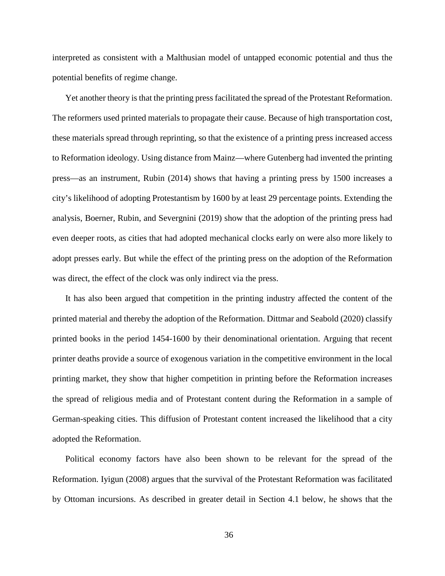interpreted as consistent with a Malthusian model of untapped economic potential and thus the potential benefits of regime change.

Yet another theory is that the printing press facilitated the spread of the Protestant Reformation. The reformers used printed materials to propagate their cause. Because of high transportation cost, these materials spread through reprinting, so that the existence of a printing press increased access to Reformation ideology. Using distance from Mainz—where Gutenberg had invented the printing press—as an instrument, Rubin (2014) shows that having a printing press by 1500 increases a city's likelihood of adopting Protestantism by 1600 by at least 29 percentage points. Extending the analysis, Boerner, Rubin, and Severgnini (2019) show that the adoption of the printing press had even deeper roots, as cities that had adopted mechanical clocks early on were also more likely to adopt presses early. But while the effect of the printing press on the adoption of the Reformation was direct, the effect of the clock was only indirect via the press.

It has also been argued that competition in the printing industry affected the content of the printed material and thereby the adoption of the Reformation. Dittmar and Seabold (2020) classify printed books in the period 1454-1600 by their denominational orientation. Arguing that recent printer deaths provide a source of exogenous variation in the competitive environment in the local printing market, they show that higher competition in printing before the Reformation increases the spread of religious media and of Protestant content during the Reformation in a sample of German-speaking cities. This diffusion of Protestant content increased the likelihood that a city adopted the Reformation.

Political economy factors have also been shown to be relevant for the spread of the Reformation. Iyigun (2008) argues that the survival of the Protestant Reformation was facilitated by Ottoman incursions. As described in greater detail in Section 4.1 below, he shows that the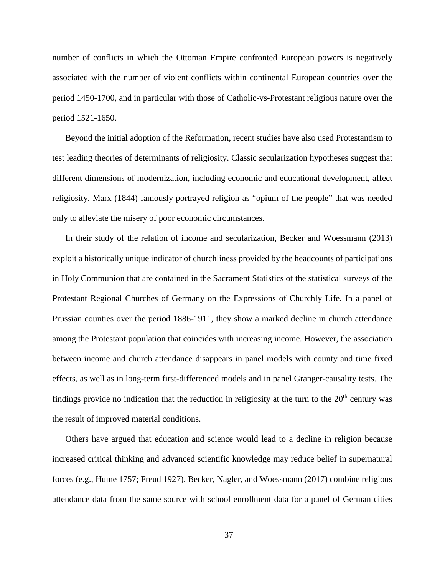number of conflicts in which the Ottoman Empire confronted European powers is negatively associated with the number of violent conflicts within continental European countries over the period 1450-1700, and in particular with those of Catholic-vs-Protestant religious nature over the period 1521-1650.

Beyond the initial adoption of the Reformation, recent studies have also used Protestantism to test leading theories of determinants of religiosity. Classic secularization hypotheses suggest that different dimensions of modernization, including economic and educational development, affect religiosity. Marx (1844) famously portrayed religion as "opium of the people" that was needed only to alleviate the misery of poor economic circumstances.

In their study of the relation of income and secularization, Becker and Woessmann (2013) exploit a historically unique indicator of churchliness provided by the headcounts of participations in Holy Communion that are contained in the Sacrament Statistics of the statistical surveys of the Protestant Regional Churches of Germany on the Expressions of Churchly Life. In a panel of Prussian counties over the period 1886-1911, they show a marked decline in church attendance among the Protestant population that coincides with increasing income. However, the association between income and church attendance disappears in panel models with county and time fixed effects, as well as in long-term first-differenced models and in panel Granger-causality tests. The findings provide no indication that the reduction in religiosity at the turn to the  $20<sup>th</sup>$  century was the result of improved material conditions.

Others have argued that education and science would lead to a decline in religion because increased critical thinking and advanced scientific knowledge may reduce belief in supernatural forces (e.g., Hume 1757; Freud 1927). Becker, Nagler, and Woessmann (2017) combine religious attendance data from the same source with school enrollment data for a panel of German cities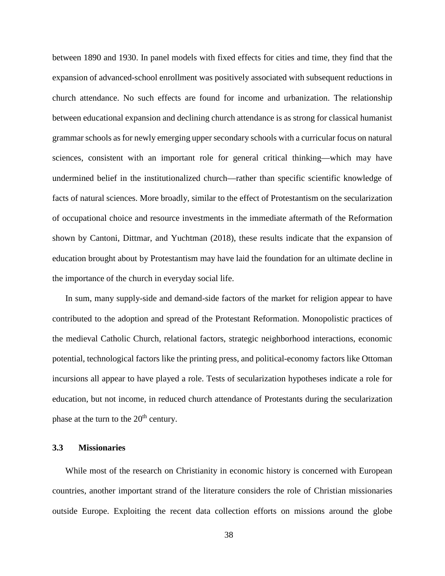between 1890 and 1930. In panel models with fixed effects for cities and time, they find that the expansion of advanced-school enrollment was positively associated with subsequent reductions in church attendance. No such effects are found for income and urbanization. The relationship between educational expansion and declining church attendance is as strong for classical humanist grammar schools as for newly emerging upper secondary schools with a curricular focus on natural sciences, consistent with an important role for general critical thinking—which may have undermined belief in the institutionalized church—rather than specific scientific knowledge of facts of natural sciences. More broadly, similar to the effect of Protestantism on the secularization of occupational choice and resource investments in the immediate aftermath of the Reformation shown by Cantoni, Dittmar, and Yuchtman (2018), these results indicate that the expansion of education brought about by Protestantism may have laid the foundation for an ultimate decline in the importance of the church in everyday social life.

In sum, many supply-side and demand-side factors of the market for religion appear to have contributed to the adoption and spread of the Protestant Reformation. Monopolistic practices of the medieval Catholic Church, relational factors, strategic neighborhood interactions, economic potential, technological factors like the printing press, and political-economy factors like Ottoman incursions all appear to have played a role. Tests of secularization hypotheses indicate a role for education, but not income, in reduced church attendance of Protestants during the secularization phase at the turn to the  $20<sup>th</sup>$  century.

### **3.3 Missionaries**

While most of the research on Christianity in economic history is concerned with European countries, another important strand of the literature considers the role of Christian missionaries outside Europe. Exploiting the recent data collection efforts on missions around the globe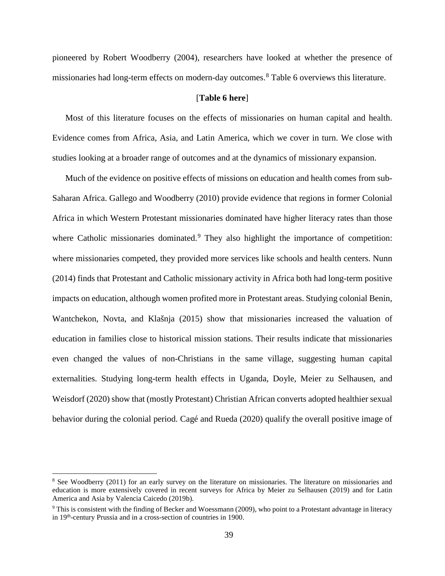pioneered by Robert Woodberry (2004), researchers have looked at whether the presence of missionaries had long-term effects on modern-day outcomes.<sup>8</sup> Table 6 overviews this literature.

## [**Table 6 here**]

Most of this literature focuses on the effects of missionaries on human capital and health. Evidence comes from Africa, Asia, and Latin America, which we cover in turn. We close with studies looking at a broader range of outcomes and at the dynamics of missionary expansion.

Much of the evidence on positive effects of missions on education and health comes from sub-Saharan Africa. Gallego and Woodberry (2010) provide evidence that regions in former Colonial Africa in which Western Protestant missionaries dominated have higher literacy rates than those where Catholic missionaries dominated.<sup>9</sup> They also highlight the importance of competition: where missionaries competed, they provided more services like schools and health centers. Nunn (2014) finds that Protestant and Catholic missionary activity in Africa both had long-term positive impacts on education, although women profited more in Protestant areas. Studying colonial Benin, Wantchekon, Novta, and Klašnja (2015) show that missionaries increased the valuation of education in families close to historical mission stations. Their results indicate that missionaries even changed the values of non-Christians in the same village, suggesting human capital externalities. Studying long-term health effects in Uganda, Doyle, Meier zu Selhausen, and Weisdorf (2020) show that (mostly Protestant) Christian African converts adopted healthier sexual behavior during the colonial period. Cagé and Rueda (2020) qualify the overall positive image of

<sup>&</sup>lt;sup>8</sup> See Woodberry (2011) for an early survey on the literature on missionaries. The literature on missionaries and education is more extensively covered in recent surveys for Africa by Meier zu Selhausen (2019) and for Latin America and Asia by Valencia Caicedo (2019b).

<sup>&</sup>lt;sup>9</sup> This is consistent with the finding of Becker and Woessmann (2009), who point to a Protestant advantage in literacy in 19th-century Prussia and in a cross-section of countries in 1900.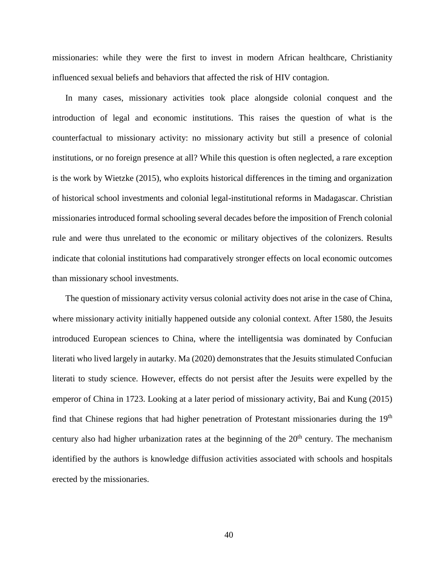missionaries: while they were the first to invest in modern African healthcare, Christianity influenced sexual beliefs and behaviors that affected the risk of HIV contagion.

In many cases, missionary activities took place alongside colonial conquest and the introduction of legal and economic institutions. This raises the question of what is the counterfactual to missionary activity: no missionary activity but still a presence of colonial institutions, or no foreign presence at all? While this question is often neglected, a rare exception is the work by Wietzke (2015), who exploits historical differences in the timing and organization of historical school investments and colonial legal-institutional reforms in Madagascar. Christian missionaries introduced formal schooling several decades before the imposition of French colonial rule and were thus unrelated to the economic or military objectives of the colonizers. Results indicate that colonial institutions had comparatively stronger effects on local economic outcomes than missionary school investments.

The question of missionary activity versus colonial activity does not arise in the case of China, where missionary activity initially happened outside any colonial context. After 1580, the Jesuits introduced European sciences to China, where the intelligentsia was dominated by Confucian literati who lived largely in autarky. Ma (2020) demonstrates that the Jesuits stimulated Confucian literati to study science. However, effects do not persist after the Jesuits were expelled by the emperor of China in 1723. Looking at a later period of missionary activity, Bai and Kung (2015) find that Chinese regions that had higher penetration of Protestant missionaries during the  $19<sup>th</sup>$ century also had higher urbanization rates at the beginning of the  $20<sup>th</sup>$  century. The mechanism identified by the authors is knowledge diffusion activities associated with schools and hospitals erected by the missionaries.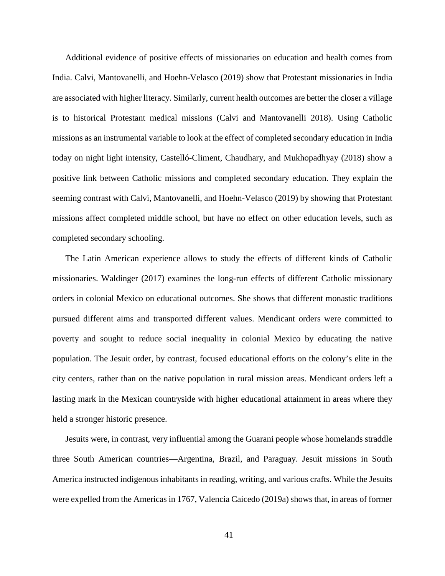Additional evidence of positive effects of missionaries on education and health comes from India. Calvi, Mantovanelli, and Hoehn-Velasco (2019) show that Protestant missionaries in India are associated with higher literacy. Similarly, current health outcomes are better the closer a village is to historical Protestant medical missions (Calvi and Mantovanelli 2018). Using Catholic missions as an instrumental variable to look at the effect of completed secondary education in India today on night light intensity, Castelló-Climent, Chaudhary, and Mukhopadhyay (2018) show a positive link between Catholic missions and completed secondary education. They explain the seeming contrast with Calvi, Mantovanelli, and Hoehn-Velasco (2019) by showing that Protestant missions affect completed middle school, but have no effect on other education levels, such as completed secondary schooling.

The Latin American experience allows to study the effects of different kinds of Catholic missionaries. Waldinger (2017) examines the long-run effects of different Catholic missionary orders in colonial Mexico on educational outcomes. She shows that different monastic traditions pursued different aims and transported different values. Mendicant orders were committed to poverty and sought to reduce social inequality in colonial Mexico by educating the native population. The Jesuit order, by contrast, focused educational efforts on the colony's elite in the city centers, rather than on the native population in rural mission areas. Mendicant orders left a lasting mark in the Mexican countryside with higher educational attainment in areas where they held a stronger historic presence.

Jesuits were, in contrast, very influential among the Guarani people whose homelands straddle three South American countries—Argentina, Brazil, and Paraguay. Jesuit missions in South America instructed indigenous inhabitants in reading, writing, and various crafts. While the Jesuits were expelled from the Americas in 1767, Valencia Caicedo (2019a) shows that, in areas of former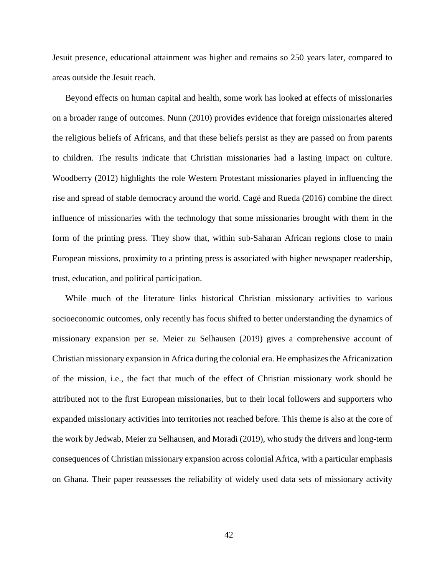Jesuit presence, educational attainment was higher and remains so 250 years later, compared to areas outside the Jesuit reach.

Beyond effects on human capital and health, some work has looked at effects of missionaries on a broader range of outcomes. Nunn (2010) provides evidence that foreign missionaries altered the religious beliefs of Africans, and that these beliefs persist as they are passed on from parents to children. The results indicate that Christian missionaries had a lasting impact on culture. Woodberry (2012) highlights the role Western Protestant missionaries played in influencing the rise and spread of stable democracy around the world. Cagé and Rueda (2016) combine the direct influence of missionaries with the technology that some missionaries brought with them in the form of the printing press. They show that, within sub-Saharan African regions close to main European missions, proximity to a printing press is associated with higher newspaper readership, trust, education, and political participation.

While much of the literature links historical Christian missionary activities to various socioeconomic outcomes, only recently has focus shifted to better understanding the dynamics of missionary expansion per se. Meier zu Selhausen (2019) gives a comprehensive account of Christian missionary expansion in Africa during the colonial era. He emphasizesthe Africanization of the mission, i.e., the fact that much of the effect of Christian missionary work should be attributed not to the first European missionaries, but to their local followers and supporters who expanded missionary activities into territories not reached before. This theme is also at the core of the work by Jedwab, Meier zu Selhausen, and Moradi (2019), who study the drivers and long-term consequences of Christian missionary expansion across colonial Africa, with a particular emphasis on Ghana. Their paper reassesses the reliability of widely used data sets of missionary activity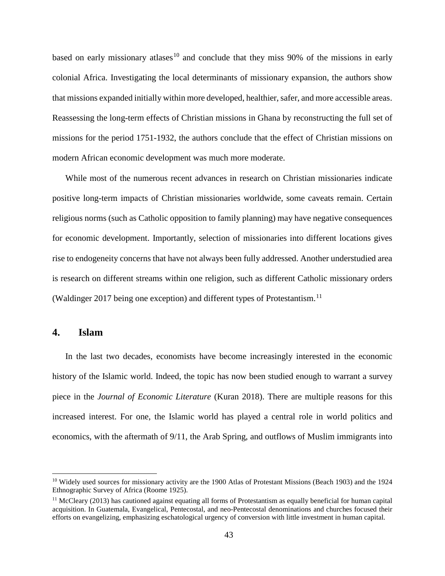based on early missionary atlases<sup>10</sup> and conclude that they miss 90% of the missions in early colonial Africa. Investigating the local determinants of missionary expansion, the authors show that missions expanded initially within more developed, healthier, safer, and more accessible areas. Reassessing the long-term effects of Christian missions in Ghana by reconstructing the full set of missions for the period 1751-1932, the authors conclude that the effect of Christian missions on modern African economic development was much more moderate.

While most of the numerous recent advances in research on Christian missionaries indicate positive long-term impacts of Christian missionaries worldwide, some caveats remain. Certain religious norms (such as Catholic opposition to family planning) may have negative consequences for economic development. Importantly, selection of missionaries into different locations gives rise to endogeneity concerns that have not always been fully addressed. Another understudied area is research on different streams within one religion, such as different Catholic missionary orders (Waldinger 2017 being one exception) and different types of Protestantism.<sup>11</sup>

## **4. Islam**

In the last two decades, economists have become increasingly interested in the economic history of the Islamic world. Indeed, the topic has now been studied enough to warrant a survey piece in the *Journal of Economic Literature* (Kuran 2018). There are multiple reasons for this increased interest. For one, the Islamic world has played a central role in world politics and economics, with the aftermath of 9/11, the Arab Spring, and outflows of Muslim immigrants into

<sup>&</sup>lt;sup>10</sup> Widely used sources for missionary activity are the 1900 Atlas of Protestant Missions (Beach 1903) and the 1924 Ethnographic Survey of Africa (Roome 1925).

<sup>&</sup>lt;sup>11</sup> McCleary (2013) has cautioned against equating all forms of Protestantism as equally beneficial for human capital acquisition. In Guatemala, Evangelical, Pentecostal, and neo-Pentecostal denominations and churches focused their efforts on evangelizing, emphasizing eschatological urgency of conversion with little investment in human capital.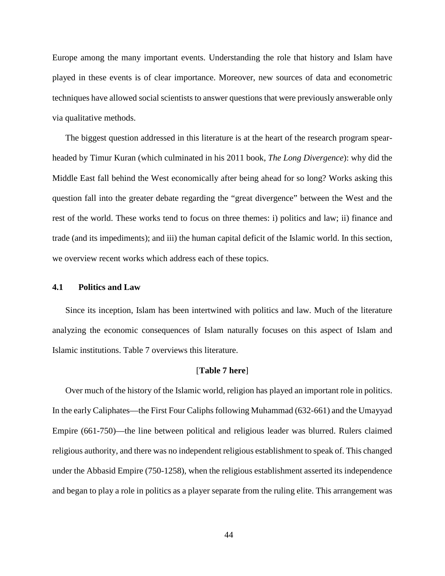Europe among the many important events. Understanding the role that history and Islam have played in these events is of clear importance. Moreover, new sources of data and econometric techniques have allowed social scientists to answer questions that were previously answerable only via qualitative methods.

The biggest question addressed in this literature is at the heart of the research program spearheaded by Timur Kuran (which culminated in his 2011 book, *The Long Divergence*): why did the Middle East fall behind the West economically after being ahead for so long? Works asking this question fall into the greater debate regarding the "great divergence" between the West and the rest of the world. These works tend to focus on three themes: i) politics and law; ii) finance and trade (and its impediments); and iii) the human capital deficit of the Islamic world. In this section, we overview recent works which address each of these topics.

#### **4.1 Politics and Law**

Since its inception, Islam has been intertwined with politics and law. Much of the literature analyzing the economic consequences of Islam naturally focuses on this aspect of Islam and Islamic institutions. Table 7 overviews this literature.

#### [**Table 7 here**]

Over much of the history of the Islamic world, religion has played an important role in politics. In the early Caliphates—the First Four Caliphs following Muhammad (632-661) and the Umayyad Empire (661-750)—the line between political and religious leader was blurred. Rulers claimed religious authority, and there was no independent religious establishment to speak of. This changed under the Abbasid Empire (750-1258), when the religious establishment asserted its independence and began to play a role in politics as a player separate from the ruling elite. This arrangement was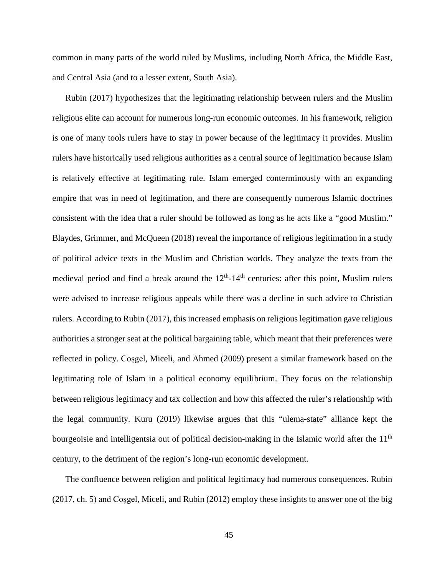common in many parts of the world ruled by Muslims, including North Africa, the Middle East, and Central Asia (and to a lesser extent, South Asia).

Rubin (2017) hypothesizes that the legitimating relationship between rulers and the Muslim religious elite can account for numerous long-run economic outcomes. In his framework, religion is one of many tools rulers have to stay in power because of the legitimacy it provides. Muslim rulers have historically used religious authorities as a central source of legitimation because Islam is relatively effective at legitimating rule. Islam emerged conterminously with an expanding empire that was in need of legitimation, and there are consequently numerous Islamic doctrines consistent with the idea that a ruler should be followed as long as he acts like a "good Muslim." Blaydes, Grimmer, and McQueen (2018) reveal the importance of religious legitimation in a study of political advice texts in the Muslim and Christian worlds. They analyze the texts from the medieval period and find a break around the  $12<sup>th</sup>-14<sup>th</sup>$  centuries: after this point, Muslim rulers were advised to increase religious appeals while there was a decline in such advice to Christian rulers. According to Rubin (2017), this increased emphasis on religious legitimation gave religious authorities a stronger seat at the political bargaining table, which meant that their preferences were reflected in policy. Coşgel, Miceli, and Ahmed (2009) present a similar framework based on the legitimating role of Islam in a political economy equilibrium. They focus on the relationship between religious legitimacy and tax collection and how this affected the ruler's relationship with the legal community. Kuru (2019) likewise argues that this "ulema-state" alliance kept the bourgeoisie and intelligentsia out of political decision-making in the Islamic world after the 11<sup>th</sup> century, to the detriment of the region's long-run economic development.

The confluence between religion and political legitimacy had numerous consequences. Rubin (2017, ch. 5) and Coşgel, Miceli, and Rubin (2012) employ these insights to answer one of the big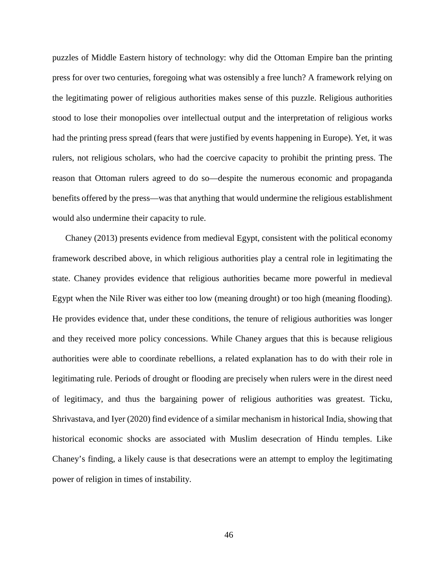puzzles of Middle Eastern history of technology: why did the Ottoman Empire ban the printing press for over two centuries, foregoing what was ostensibly a free lunch? A framework relying on the legitimating power of religious authorities makes sense of this puzzle. Religious authorities stood to lose their monopolies over intellectual output and the interpretation of religious works had the printing press spread (fears that were justified by events happening in Europe). Yet, it was rulers, not religious scholars, who had the coercive capacity to prohibit the printing press. The reason that Ottoman rulers agreed to do so—despite the numerous economic and propaganda benefits offered by the press—was that anything that would undermine the religious establishment would also undermine their capacity to rule.

Chaney (2013) presents evidence from medieval Egypt, consistent with the political economy framework described above, in which religious authorities play a central role in legitimating the state. Chaney provides evidence that religious authorities became more powerful in medieval Egypt when the Nile River was either too low (meaning drought) or too high (meaning flooding). He provides evidence that, under these conditions, the tenure of religious authorities was longer and they received more policy concessions. While Chaney argues that this is because religious authorities were able to coordinate rebellions, a related explanation has to do with their role in legitimating rule. Periods of drought or flooding are precisely when rulers were in the direst need of legitimacy, and thus the bargaining power of religious authorities was greatest. Ticku, Shrivastava, and Iyer (2020) find evidence of a similar mechanism in historical India, showing that historical economic shocks are associated with Muslim desecration of Hindu temples. Like Chaney's finding, a likely cause is that desecrations were an attempt to employ the legitimating power of religion in times of instability.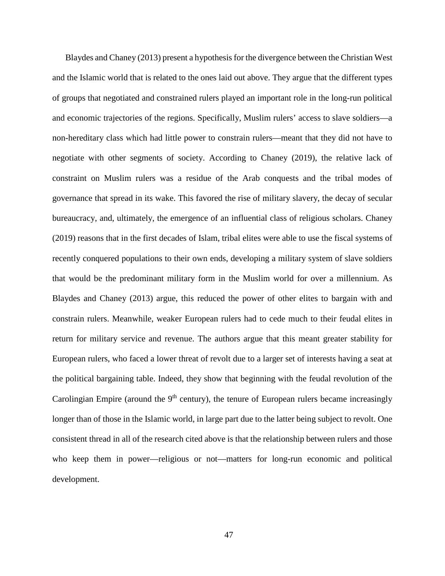Blaydes and Chaney (2013) present a hypothesis for the divergence between the Christian West and the Islamic world that is related to the ones laid out above. They argue that the different types of groups that negotiated and constrained rulers played an important role in the long-run political and economic trajectories of the regions. Specifically, Muslim rulers' access to slave soldiers—a non-hereditary class which had little power to constrain rulers—meant that they did not have to negotiate with other segments of society. According to Chaney (2019), the relative lack of constraint on Muslim rulers was a residue of the Arab conquests and the tribal modes of governance that spread in its wake. This favored the rise of military slavery, the decay of secular bureaucracy, and, ultimately, the emergence of an influential class of religious scholars. Chaney (2019) reasons that in the first decades of Islam, tribal elites were able to use the fiscal systems of recently conquered populations to their own ends, developing a military system of slave soldiers that would be the predominant military form in the Muslim world for over a millennium. As Blaydes and Chaney (2013) argue, this reduced the power of other elites to bargain with and constrain rulers. Meanwhile, weaker European rulers had to cede much to their feudal elites in return for military service and revenue. The authors argue that this meant greater stability for European rulers, who faced a lower threat of revolt due to a larger set of interests having a seat at the political bargaining table. Indeed, they show that beginning with the feudal revolution of the Carolingian Empire (around the  $9<sup>th</sup>$  century), the tenure of European rulers became increasingly longer than of those in the Islamic world, in large part due to the latter being subject to revolt. One consistent thread in all of the research cited above is that the relationship between rulers and those who keep them in power—religious or not—matters for long-run economic and political development.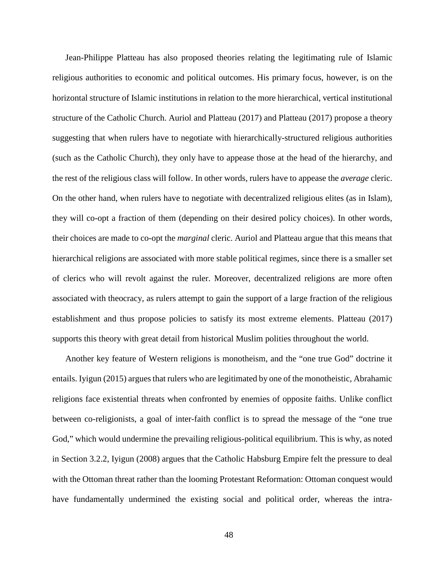Jean-Philippe Platteau has also proposed theories relating the legitimating rule of Islamic religious authorities to economic and political outcomes. His primary focus, however, is on the horizontal structure of Islamic institutions in relation to the more hierarchical, vertical institutional structure of the Catholic Church. Auriol and Platteau (2017) and Platteau (2017) propose a theory suggesting that when rulers have to negotiate with hierarchically-structured religious authorities (such as the Catholic Church), they only have to appease those at the head of the hierarchy, and the rest of the religious class will follow. In other words, rulers have to appease the *average* cleric. On the other hand, when rulers have to negotiate with decentralized religious elites (as in Islam), they will co-opt a fraction of them (depending on their desired policy choices). In other words, their choices are made to co-opt the *marginal* cleric. Auriol and Platteau argue that this means that hierarchical religions are associated with more stable political regimes, since there is a smaller set of clerics who will revolt against the ruler. Moreover, decentralized religions are more often associated with theocracy, as rulers attempt to gain the support of a large fraction of the religious establishment and thus propose policies to satisfy its most extreme elements. Platteau (2017) supports this theory with great detail from historical Muslim polities throughout the world.

Another key feature of Western religions is monotheism, and the "one true God" doctrine it entails. Iyigun (2015) argues that rulers who are legitimated by one of the monotheistic, Abrahamic religions face existential threats when confronted by enemies of opposite faiths. Unlike conflict between co-religionists, a goal of inter-faith conflict is to spread the message of the "one true God," which would undermine the prevailing religious-political equilibrium. This is why, as noted in Section 3.2.2, Iyigun (2008) argues that the Catholic Habsburg Empire felt the pressure to deal with the Ottoman threat rather than the looming Protestant Reformation: Ottoman conquest would have fundamentally undermined the existing social and political order, whereas the intra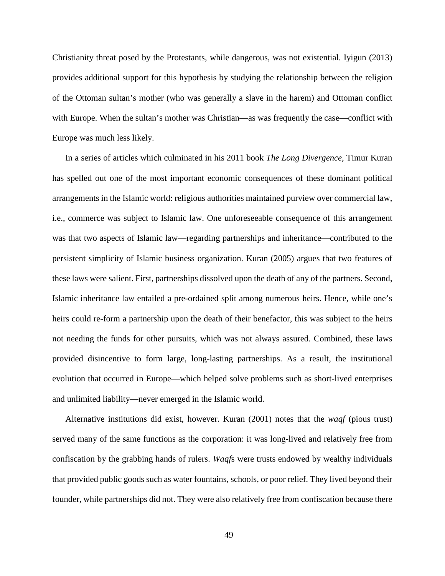Christianity threat posed by the Protestants, while dangerous, was not existential. Iyigun (2013) provides additional support for this hypothesis by studying the relationship between the religion of the Ottoman sultan's mother (who was generally a slave in the harem) and Ottoman conflict with Europe. When the sultan's mother was Christian—as was frequently the case—conflict with Europe was much less likely.

In a series of articles which culminated in his 2011 book *The Long Divergence*, Timur Kuran has spelled out one of the most important economic consequences of these dominant political arrangements in the Islamic world: religious authorities maintained purview over commercial law, i.e., commerce was subject to Islamic law. One unforeseeable consequence of this arrangement was that two aspects of Islamic law—regarding partnerships and inheritance—contributed to the persistent simplicity of Islamic business organization. Kuran (2005) argues that two features of these laws were salient. First, partnerships dissolved upon the death of any of the partners. Second, Islamic inheritance law entailed a pre-ordained split among numerous heirs. Hence, while one's heirs could re-form a partnership upon the death of their benefactor, this was subject to the heirs not needing the funds for other pursuits, which was not always assured. Combined, these laws provided disincentive to form large, long-lasting partnerships. As a result, the institutional evolution that occurred in Europe—which helped solve problems such as short-lived enterprises and unlimited liability—never emerged in the Islamic world.

Alternative institutions did exist, however. Kuran (2001) notes that the *waqf* (pious trust) served many of the same functions as the corporation: it was long-lived and relatively free from confiscation by the grabbing hands of rulers. *Waqf*s were trusts endowed by wealthy individuals that provided public goods such as water fountains, schools, or poor relief. They lived beyond their founder, while partnerships did not. They were also relatively free from confiscation because there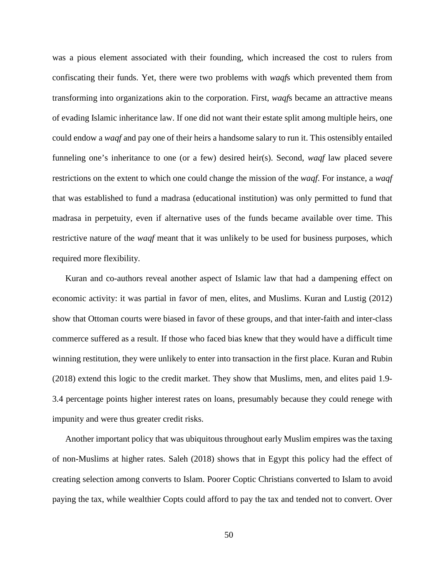was a pious element associated with their founding, which increased the cost to rulers from confiscating their funds. Yet, there were two problems with *waqf*s which prevented them from transforming into organizations akin to the corporation. First, *waqf*s became an attractive means of evading Islamic inheritance law. If one did not want their estate split among multiple heirs, one could endow a *waqf* and pay one of their heirs a handsome salary to run it. This ostensibly entailed funneling one's inheritance to one (or a few) desired heir(s). Second, *waqf* law placed severe restrictions on the extent to which one could change the mission of the *waqf*. For instance, a *waqf* that was established to fund a madrasa (educational institution) was only permitted to fund that madrasa in perpetuity, even if alternative uses of the funds became available over time. This restrictive nature of the *waqf* meant that it was unlikely to be used for business purposes, which required more flexibility.

Kuran and co-authors reveal another aspect of Islamic law that had a dampening effect on economic activity: it was partial in favor of men, elites, and Muslims. Kuran and Lustig (2012) show that Ottoman courts were biased in favor of these groups, and that inter-faith and inter-class commerce suffered as a result. If those who faced bias knew that they would have a difficult time winning restitution, they were unlikely to enter into transaction in the first place. Kuran and Rubin (2018) extend this logic to the credit market. They show that Muslims, men, and elites paid 1.9- 3.4 percentage points higher interest rates on loans, presumably because they could renege with impunity and were thus greater credit risks.

Another important policy that was ubiquitous throughout early Muslim empires was the taxing of non-Muslims at higher rates. Saleh (2018) shows that in Egypt this policy had the effect of creating selection among converts to Islam. Poorer Coptic Christians converted to Islam to avoid paying the tax, while wealthier Copts could afford to pay the tax and tended not to convert. Over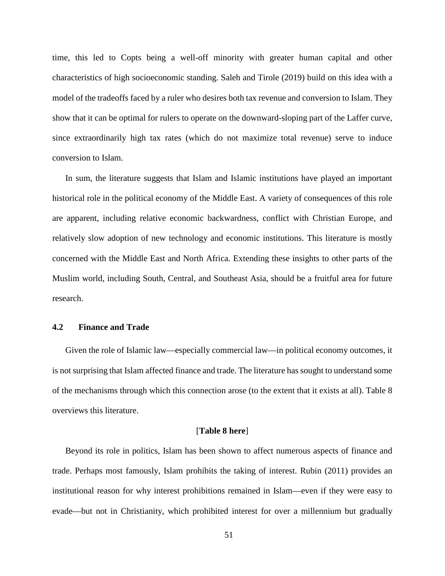time, this led to Copts being a well-off minority with greater human capital and other characteristics of high socioeconomic standing. Saleh and Tirole (2019) build on this idea with a model of the tradeoffs faced by a ruler who desires both tax revenue and conversion to Islam. They show that it can be optimal for rulers to operate on the downward-sloping part of the Laffer curve, since extraordinarily high tax rates (which do not maximize total revenue) serve to induce conversion to Islam.

In sum, the literature suggests that Islam and Islamic institutions have played an important historical role in the political economy of the Middle East. A variety of consequences of this role are apparent, including relative economic backwardness, conflict with Christian Europe, and relatively slow adoption of new technology and economic institutions. This literature is mostly concerned with the Middle East and North Africa. Extending these insights to other parts of the Muslim world, including South, Central, and Southeast Asia, should be a fruitful area for future research.

#### **4.2 Finance and Trade**

Given the role of Islamic law—especially commercial law—in political economy outcomes, it is not surprising that Islam affected finance and trade. The literature has sought to understand some of the mechanisms through which this connection arose (to the extent that it exists at all). Table 8 overviews this literature.

## [**Table 8 here**]

Beyond its role in politics, Islam has been shown to affect numerous aspects of finance and trade. Perhaps most famously, Islam prohibits the taking of interest. Rubin (2011) provides an institutional reason for why interest prohibitions remained in Islam—even if they were easy to evade—but not in Christianity, which prohibited interest for over a millennium but gradually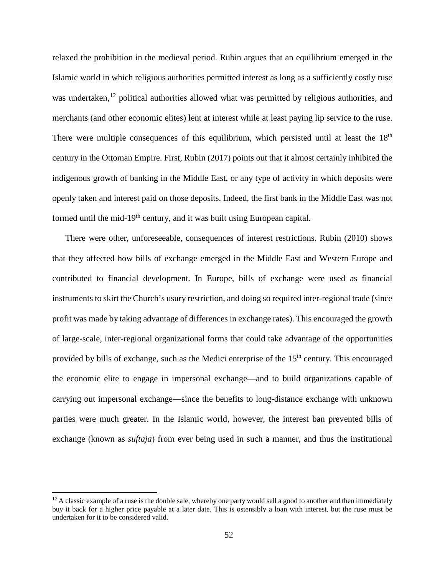relaxed the prohibition in the medieval period. Rubin argues that an equilibrium emerged in the Islamic world in which religious authorities permitted interest as long as a sufficiently costly ruse was undertaken,<sup>12</sup> political authorities allowed what was permitted by religious authorities, and merchants (and other economic elites) lent at interest while at least paying lip service to the ruse. There were multiple consequences of this equilibrium, which persisted until at least the 18<sup>th</sup> century in the Ottoman Empire. First, Rubin (2017) points out that it almost certainly inhibited the indigenous growth of banking in the Middle East, or any type of activity in which deposits were openly taken and interest paid on those deposits. Indeed, the first bank in the Middle East was not formed until the mid-19<sup>th</sup> century, and it was built using European capital.

There were other, unforeseeable, consequences of interest restrictions. Rubin (2010) shows that they affected how bills of exchange emerged in the Middle East and Western Europe and contributed to financial development. In Europe, bills of exchange were used as financial instruments to skirt the Church's usury restriction, and doing so required inter-regional trade (since profit was made by taking advantage of differences in exchange rates). This encouraged the growth of large-scale, inter-regional organizational forms that could take advantage of the opportunities provided by bills of exchange, such as the Medici enterprise of the 15<sup>th</sup> century. This encouraged the economic elite to engage in impersonal exchange—and to build organizations capable of carrying out impersonal exchange—since the benefits to long-distance exchange with unknown parties were much greater. In the Islamic world, however, the interest ban prevented bills of exchange (known as *suftaja*) from ever being used in such a manner, and thus the institutional

 $12$  A classic example of a ruse is the double sale, whereby one party would sell a good to another and then immediately buy it back for a higher price payable at a later date. This is ostensibly a loan with interest, but the ruse must be undertaken for it to be considered valid.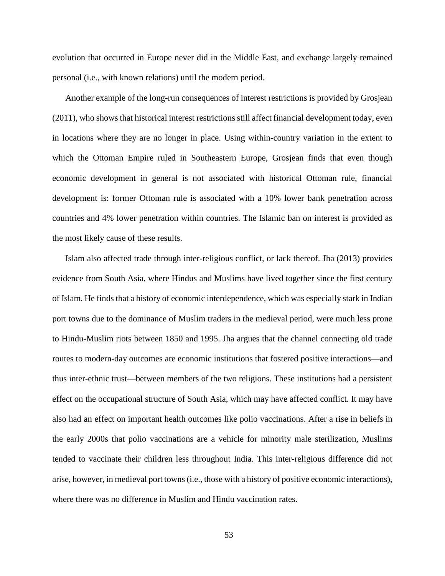evolution that occurred in Europe never did in the Middle East, and exchange largely remained personal (i.e., with known relations) until the modern period.

Another example of the long-run consequences of interest restrictions is provided by Grosjean (2011), who shows that historical interest restrictions still affect financial development today, even in locations where they are no longer in place. Using within-country variation in the extent to which the Ottoman Empire ruled in Southeastern Europe, Grosjean finds that even though economic development in general is not associated with historical Ottoman rule, financial development is: former Ottoman rule is associated with a 10% lower bank penetration across countries and 4% lower penetration within countries. The Islamic ban on interest is provided as the most likely cause of these results.

Islam also affected trade through inter-religious conflict, or lack thereof. Jha (2013) provides evidence from South Asia, where Hindus and Muslims have lived together since the first century of Islam. He finds that a history of economic interdependence, which was especially stark in Indian port towns due to the dominance of Muslim traders in the medieval period, were much less prone to Hindu-Muslim riots between 1850 and 1995. Jha argues that the channel connecting old trade routes to modern-day outcomes are economic institutions that fostered positive interactions—and thus inter-ethnic trust—between members of the two religions. These institutions had a persistent effect on the occupational structure of South Asia, which may have affected conflict. It may have also had an effect on important health outcomes like polio vaccinations. After a rise in beliefs in the early 2000s that polio vaccinations are a vehicle for minority male sterilization, Muslims tended to vaccinate their children less throughout India. This inter-religious difference did not arise, however, in medieval port towns (i.e., those with a history of positive economic interactions), where there was no difference in Muslim and Hindu vaccination rates.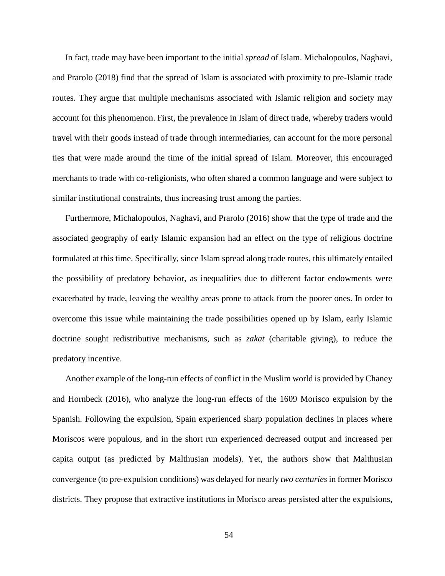In fact, trade may have been important to the initial *spread* of Islam. Michalopoulos, Naghavi, and Prarolo (2018) find that the spread of Islam is associated with proximity to pre-Islamic trade routes. They argue that multiple mechanisms associated with Islamic religion and society may account for this phenomenon. First, the prevalence in Islam of direct trade, whereby traders would travel with their goods instead of trade through intermediaries, can account for the more personal ties that were made around the time of the initial spread of Islam. Moreover, this encouraged merchants to trade with co-religionists, who often shared a common language and were subject to similar institutional constraints, thus increasing trust among the parties.

Furthermore, Michalopoulos, Naghavi, and Prarolo (2016) show that the type of trade and the associated geography of early Islamic expansion had an effect on the type of religious doctrine formulated at this time. Specifically, since Islam spread along trade routes, this ultimately entailed the possibility of predatory behavior, as inequalities due to different factor endowments were exacerbated by trade, leaving the wealthy areas prone to attack from the poorer ones. In order to overcome this issue while maintaining the trade possibilities opened up by Islam, early Islamic doctrine sought redistributive mechanisms, such as *zakat* (charitable giving), to reduce the predatory incentive.

Another example of the long-run effects of conflict in the Muslim world is provided by Chaney and Hornbeck (2016), who analyze the long-run effects of the 1609 Morisco expulsion by the Spanish. Following the expulsion, Spain experienced sharp population declines in places where Moriscos were populous, and in the short run experienced decreased output and increased per capita output (as predicted by Malthusian models). Yet, the authors show that Malthusian convergence (to pre-expulsion conditions) was delayed for nearly *two centuries* in former Morisco districts. They propose that extractive institutions in Morisco areas persisted after the expulsions,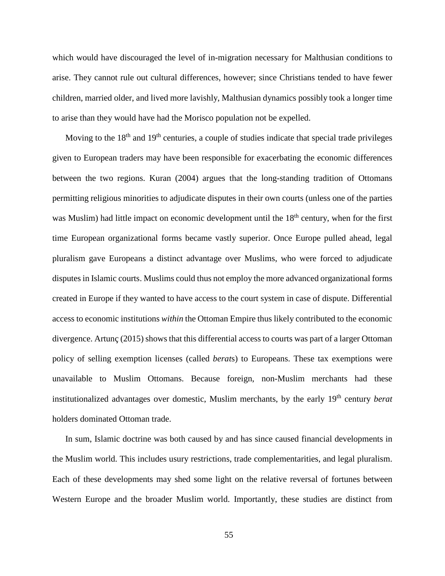which would have discouraged the level of in-migration necessary for Malthusian conditions to arise. They cannot rule out cultural differences, however; since Christians tended to have fewer children, married older, and lived more lavishly, Malthusian dynamics possibly took a longer time to arise than they would have had the Morisco population not be expelled.

Moving to the  $18<sup>th</sup>$  and  $19<sup>th</sup>$  centuries, a couple of studies indicate that special trade privileges given to European traders may have been responsible for exacerbating the economic differences between the two regions. Kuran (2004) argues that the long-standing tradition of Ottomans permitting religious minorities to adjudicate disputes in their own courts (unless one of the parties was Muslim) had little impact on economic development until the 18<sup>th</sup> century, when for the first time European organizational forms became vastly superior. Once Europe pulled ahead, legal pluralism gave Europeans a distinct advantage over Muslims, who were forced to adjudicate disputes in Islamic courts. Muslims could thus not employ the more advanced organizational forms created in Europe if they wanted to have access to the court system in case of dispute. Differential access to economic institutions *within* the Ottoman Empire thus likely contributed to the economic divergence. Artunç (2015) shows that this differential access to courts was part of a larger Ottoman policy of selling exemption licenses (called *berat*s) to Europeans. These tax exemptions were unavailable to Muslim Ottomans. Because foreign, non-Muslim merchants had these institutionalized advantages over domestic, Muslim merchants, by the early 19<sup>th</sup> century *berat* holders dominated Ottoman trade.

In sum, Islamic doctrine was both caused by and has since caused financial developments in the Muslim world. This includes usury restrictions, trade complementarities, and legal pluralism. Each of these developments may shed some light on the relative reversal of fortunes between Western Europe and the broader Muslim world. Importantly, these studies are distinct from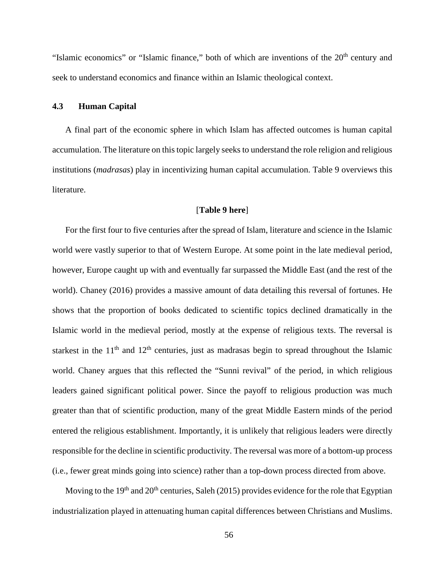"Islamic economics" or "Islamic finance," both of which are inventions of the 20<sup>th</sup> century and seek to understand economics and finance within an Islamic theological context.

#### **4.3 Human Capital**

A final part of the economic sphere in which Islam has affected outcomes is human capital accumulation. The literature on this topic largely seeks to understand the role religion and religious institutions (*madrasas*) play in incentivizing human capital accumulation. Table 9 overviews this literature.

## [**Table 9 here**]

For the first four to five centuries after the spread of Islam, literature and science in the Islamic world were vastly superior to that of Western Europe. At some point in the late medieval period, however, Europe caught up with and eventually far surpassed the Middle East (and the rest of the world). Chaney (2016) provides a massive amount of data detailing this reversal of fortunes. He shows that the proportion of books dedicated to scientific topics declined dramatically in the Islamic world in the medieval period, mostly at the expense of religious texts. The reversal is starkest in the  $11<sup>th</sup>$  and  $12<sup>th</sup>$  centuries, just as madrasas begin to spread throughout the Islamic world. Chaney argues that this reflected the "Sunni revival" of the period, in which religious leaders gained significant political power. Since the payoff to religious production was much greater than that of scientific production, many of the great Middle Eastern minds of the period entered the religious establishment. Importantly, it is unlikely that religious leaders were directly responsible for the decline in scientific productivity. The reversal was more of a bottom-up process (i.e., fewer great minds going into science) rather than a top-down process directed from above.

Moving to the 19<sup>th</sup> and 20<sup>th</sup> centuries, Saleh (2015) provides evidence for the role that Egyptian industrialization played in attenuating human capital differences between Christians and Muslims.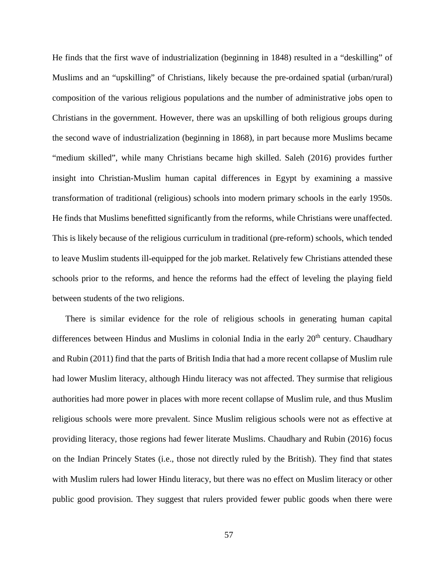He finds that the first wave of industrialization (beginning in 1848) resulted in a "deskilling" of Muslims and an "upskilling" of Christians, likely because the pre-ordained spatial (urban/rural) composition of the various religious populations and the number of administrative jobs open to Christians in the government. However, there was an upskilling of both religious groups during the second wave of industrialization (beginning in 1868), in part because more Muslims became "medium skilled", while many Christians became high skilled. Saleh (2016) provides further insight into Christian-Muslim human capital differences in Egypt by examining a massive transformation of traditional (religious) schools into modern primary schools in the early 1950s. He finds that Muslims benefitted significantly from the reforms, while Christians were unaffected. This is likely because of the religious curriculum in traditional (pre-reform) schools, which tended to leave Muslim students ill-equipped for the job market. Relatively few Christians attended these schools prior to the reforms, and hence the reforms had the effect of leveling the playing field between students of the two religions.

There is similar evidence for the role of religious schools in generating human capital differences between Hindus and Muslims in colonial India in the early 20<sup>th</sup> century. Chaudhary and Rubin (2011) find that the parts of British India that had a more recent collapse of Muslim rule had lower Muslim literacy, although Hindu literacy was not affected. They surmise that religious authorities had more power in places with more recent collapse of Muslim rule, and thus Muslim religious schools were more prevalent. Since Muslim religious schools were not as effective at providing literacy, those regions had fewer literate Muslims. Chaudhary and Rubin (2016) focus on the Indian Princely States (i.e., those not directly ruled by the British). They find that states with Muslim rulers had lower Hindu literacy, but there was no effect on Muslim literacy or other public good provision. They suggest that rulers provided fewer public goods when there were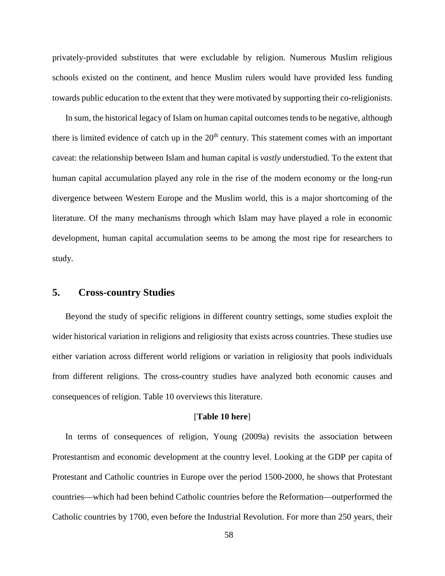privately-provided substitutes that were excludable by religion. Numerous Muslim religious schools existed on the continent, and hence Muslim rulers would have provided less funding towards public education to the extent that they were motivated by supporting their co-religionists.

In sum, the historical legacy of Islam on human capital outcomes tends to be negative, although there is limited evidence of catch up in the  $20<sup>th</sup>$  century. This statement comes with an important caveat: the relationship between Islam and human capital is *vastly* understudied. To the extent that human capital accumulation played any role in the rise of the modern economy or the long-run divergence between Western Europe and the Muslim world, this is a major shortcoming of the literature. Of the many mechanisms through which Islam may have played a role in economic development, human capital accumulation seems to be among the most ripe for researchers to study.

# **5. Cross-country Studies**

Beyond the study of specific religions in different country settings, some studies exploit the wider historical variation in religions and religiosity that exists across countries. These studies use either variation across different world religions or variation in religiosity that pools individuals from different religions. The cross-country studies have analyzed both economic causes and consequences of religion. Table 10 overviews this literature.

#### [**Table 10 here**]

In terms of consequences of religion, Young (2009a) revisits the association between Protestantism and economic development at the country level. Looking at the GDP per capita of Protestant and Catholic countries in Europe over the period 1500-2000, he shows that Protestant countries—which had been behind Catholic countries before the Reformation—outperformed the Catholic countries by 1700, even before the Industrial Revolution. For more than 250 years, their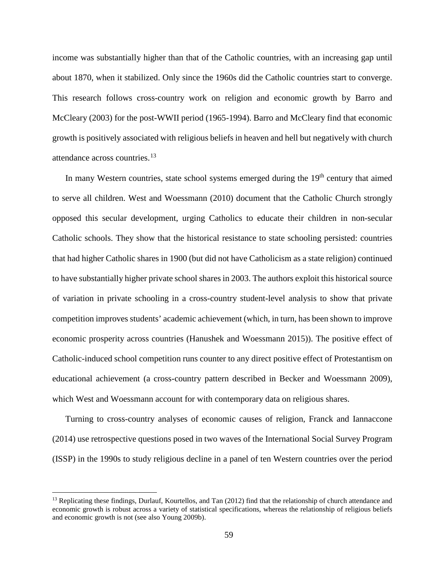income was substantially higher than that of the Catholic countries, with an increasing gap until about 1870, when it stabilized. Only since the 1960s did the Catholic countries start to converge. This research follows cross-country work on religion and economic growth by Barro and McCleary (2003) for the post-WWII period (1965-1994). Barro and McCleary find that economic growth is positively associated with religious beliefs in heaven and hell but negatively with church attendance across countries.<sup>13</sup>

In many Western countries, state school systems emerged during the  $19<sup>th</sup>$  century that aimed to serve all children. West and Woessmann (2010) document that the Catholic Church strongly opposed this secular development, urging Catholics to educate their children in non-secular Catholic schools. They show that the historical resistance to state schooling persisted: countries that had higher Catholic shares in 1900 (but did not have Catholicism as a state religion) continued to have substantially higher private school shares in 2003. The authors exploit this historical source of variation in private schooling in a cross-country student-level analysis to show that private competition improves students' academic achievement (which, in turn, has been shown to improve economic prosperity across countries (Hanushek and Woessmann 2015)). The positive effect of Catholic-induced school competition runs counter to any direct positive effect of Protestantism on educational achievement (a cross-country pattern described in Becker and Woessmann 2009), which West and Woessmann account for with contemporary data on religious shares.

Turning to cross-country analyses of economic causes of religion, Franck and Iannaccone (2014) use retrospective questions posed in two waves of the International Social Survey Program (ISSP) in the 1990s to study religious decline in a panel of ten Western countries over the period

<sup>&</sup>lt;sup>13</sup> Replicating these findings, Durlauf, Kourtellos, and Tan (2012) find that the relationship of church attendance and economic growth is robust across a variety of statistical specifications, whereas the relationship of religious beliefs and economic growth is not (see also Young 2009b).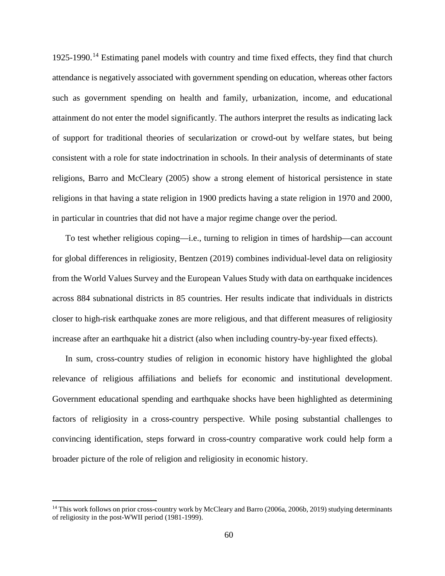1925-1990.<sup>14</sup> Estimating panel models with country and time fixed effects, they find that church attendance is negatively associated with government spending on education, whereas other factors such as government spending on health and family, urbanization, income, and educational attainment do not enter the model significantly. The authors interpret the results as indicating lack of support for traditional theories of secularization or crowd-out by welfare states, but being consistent with a role for state indoctrination in schools. In their analysis of determinants of state religions, Barro and McCleary (2005) show a strong element of historical persistence in state religions in that having a state religion in 1900 predicts having a state religion in 1970 and 2000, in particular in countries that did not have a major regime change over the period.

To test whether religious coping—i.e., turning to religion in times of hardship—can account for global differences in religiosity, Bentzen (2019) combines individual-level data on religiosity from the World Values Survey and the European Values Study with data on earthquake incidences across 884 subnational districts in 85 countries. Her results indicate that individuals in districts closer to high-risk earthquake zones are more religious, and that different measures of religiosity increase after an earthquake hit a district (also when including country-by-year fixed effects).

In sum, cross-country studies of religion in economic history have highlighted the global relevance of religious affiliations and beliefs for economic and institutional development. Government educational spending and earthquake shocks have been highlighted as determining factors of religiosity in a cross-country perspective. While posing substantial challenges to convincing identification, steps forward in cross-country comparative work could help form a broader picture of the role of religion and religiosity in economic history.

<sup>&</sup>lt;sup>14</sup> This work follows on prior cross-country work by McCleary and Barro (2006a, 2006b, 2019) studying determinants of religiosity in the post-WWII period (1981-1999).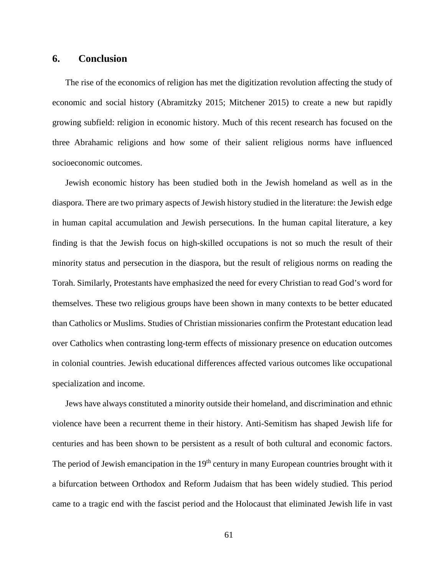# **6. Conclusion**

The rise of the economics of religion has met the digitization revolution affecting the study of economic and social history (Abramitzky 2015; Mitchener 2015) to create a new but rapidly growing subfield: religion in economic history. Much of this recent research has focused on the three Abrahamic religions and how some of their salient religious norms have influenced socioeconomic outcomes.

Jewish economic history has been studied both in the Jewish homeland as well as in the diaspora. There are two primary aspects of Jewish history studied in the literature: the Jewish edge in human capital accumulation and Jewish persecutions. In the human capital literature, a key finding is that the Jewish focus on high-skilled occupations is not so much the result of their minority status and persecution in the diaspora, but the result of religious norms on reading the Torah. Similarly, Protestants have emphasized the need for every Christian to read God's word for themselves. These two religious groups have been shown in many contexts to be better educated than Catholics or Muslims. Studies of Christian missionaries confirm the Protestant education lead over Catholics when contrasting long-term effects of missionary presence on education outcomes in colonial countries. Jewish educational differences affected various outcomes like occupational specialization and income.

Jews have always constituted a minority outside their homeland, and discrimination and ethnic violence have been a recurrent theme in their history. Anti-Semitism has shaped Jewish life for centuries and has been shown to be persistent as a result of both cultural and economic factors. The period of Jewish emancipation in the 19<sup>th</sup> century in many European countries brought with it a bifurcation between Orthodox and Reform Judaism that has been widely studied. This period came to a tragic end with the fascist period and the Holocaust that eliminated Jewish life in vast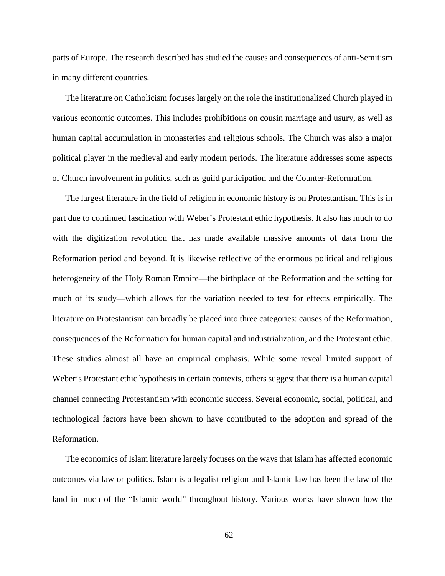parts of Europe. The research described has studied the causes and consequences of anti-Semitism in many different countries.

The literature on Catholicism focuses largely on the role the institutionalized Church played in various economic outcomes. This includes prohibitions on cousin marriage and usury, as well as human capital accumulation in monasteries and religious schools. The Church was also a major political player in the medieval and early modern periods. The literature addresses some aspects of Church involvement in politics, such as guild participation and the Counter-Reformation.

The largest literature in the field of religion in economic history is on Protestantism. This is in part due to continued fascination with Weber's Protestant ethic hypothesis. It also has much to do with the digitization revolution that has made available massive amounts of data from the Reformation period and beyond. It is likewise reflective of the enormous political and religious heterogeneity of the Holy Roman Empire—the birthplace of the Reformation and the setting for much of its study—which allows for the variation needed to test for effects empirically. The literature on Protestantism can broadly be placed into three categories: causes of the Reformation, consequences of the Reformation for human capital and industrialization, and the Protestant ethic. These studies almost all have an empirical emphasis. While some reveal limited support of Weber's Protestant ethic hypothesis in certain contexts, others suggest that there is a human capital channel connecting Protestantism with economic success. Several economic, social, political, and technological factors have been shown to have contributed to the adoption and spread of the Reformation.

The economics of Islam literature largely focuses on the ways that Islam has affected economic outcomes via law or politics. Islam is a legalist religion and Islamic law has been the law of the land in much of the "Islamic world" throughout history. Various works have shown how the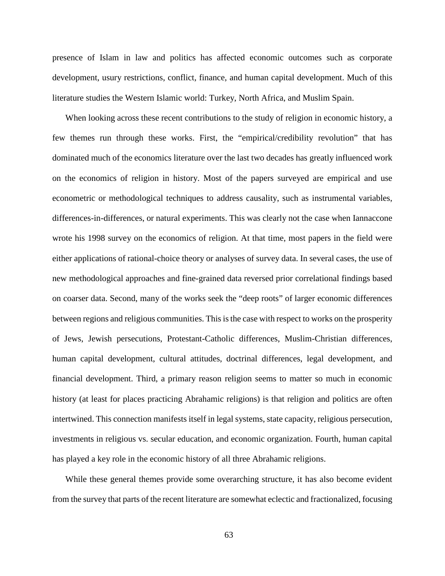presence of Islam in law and politics has affected economic outcomes such as corporate development, usury restrictions, conflict, finance, and human capital development. Much of this literature studies the Western Islamic world: Turkey, North Africa, and Muslim Spain.

When looking across these recent contributions to the study of religion in economic history, a few themes run through these works. First, the "empirical/credibility revolution" that has dominated much of the economics literature over the last two decades has greatly influenced work on the economics of religion in history. Most of the papers surveyed are empirical and use econometric or methodological techniques to address causality, such as instrumental variables, differences-in-differences, or natural experiments. This was clearly not the case when Iannaccone wrote his 1998 survey on the economics of religion. At that time, most papers in the field were either applications of rational-choice theory or analyses of survey data. In several cases, the use of new methodological approaches and fine-grained data reversed prior correlational findings based on coarser data. Second, many of the works seek the "deep roots" of larger economic differences between regions and religious communities. This is the case with respect to works on the prosperity of Jews, Jewish persecutions, Protestant-Catholic differences, Muslim-Christian differences, human capital development, cultural attitudes, doctrinal differences, legal development, and financial development. Third, a primary reason religion seems to matter so much in economic history (at least for places practicing Abrahamic religions) is that religion and politics are often intertwined. This connection manifests itself in legal systems, state capacity, religious persecution, investments in religious vs. secular education, and economic organization. Fourth, human capital has played a key role in the economic history of all three Abrahamic religions.

While these general themes provide some overarching structure, it has also become evident from the survey that parts of the recent literature are somewhat eclectic and fractionalized, focusing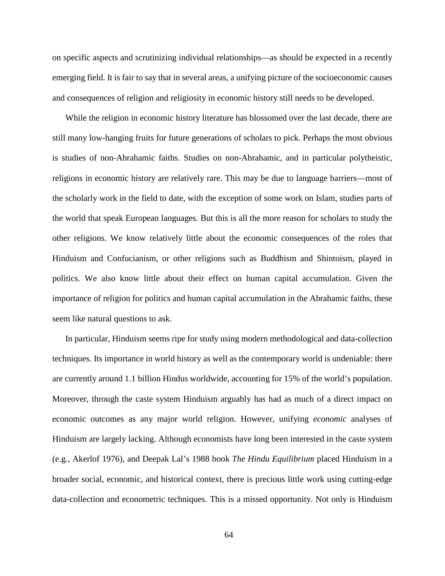on specific aspects and scrutinizing individual relationships—as should be expected in a recently emerging field. It is fair to say that in several areas, a unifying picture of the socioeconomic causes and consequences of religion and religiosity in economic history still needs to be developed.

While the religion in economic history literature has blossomed over the last decade, there are still many low-hanging fruits for future generations of scholars to pick. Perhaps the most obvious is studies of non-Abrahamic faiths. Studies on non-Abrahamic, and in particular polytheistic, religions in economic history are relatively rare. This may be due to language barriers—most of the scholarly work in the field to date, with the exception of some work on Islam, studies parts of the world that speak European languages. But this is all the more reason for scholars to study the other religions. We know relatively little about the economic consequences of the roles that Hinduism and Confucianism, or other religions such as Buddhism and Shintoism, played in politics. We also know little about their effect on human capital accumulation. Given the importance of religion for politics and human capital accumulation in the Abrahamic faiths, these seem like natural questions to ask.

In particular, Hinduism seems ripe for study using modern methodological and data-collection techniques. Its importance in world history as well as the contemporary world is undeniable: there are currently around 1.1 billion Hindus worldwide, accounting for 15% of the world's population. Moreover, through the caste system Hinduism arguably has had as much of a direct impact on economic outcomes as any major world religion. However, unifying *economic* analyses of Hinduism are largely lacking. Although economists have long been interested in the caste system (e.g., Akerlof 1976), and Deepak Lal's 1988 book *The Hindu Equilibrium* placed Hinduism in a broader social, economic, and historical context, there is precious little work using cutting-edge data-collection and econometric techniques. This is a missed opportunity. Not only is Hinduism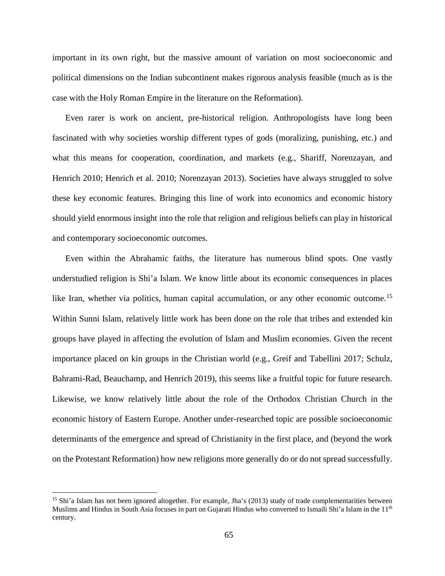important in its own right, but the massive amount of variation on most socioeconomic and political dimensions on the Indian subcontinent makes rigorous analysis feasible (much as is the case with the Holy Roman Empire in the literature on the Reformation).

Even rarer is work on ancient, pre-historical religion. Anthropologists have long been fascinated with why societies worship different types of gods (moralizing, punishing, etc.) and what this means for cooperation, coordination, and markets (e.g., Shariff, Norenzayan, and Henrich 2010; Henrich et al. 2010; Norenzayan 2013). Societies have always struggled to solve these key economic features. Bringing this line of work into economics and economic history should yield enormous insight into the role that religion and religious beliefs can play in historical and contemporary socioeconomic outcomes.

Even within the Abrahamic faiths, the literature has numerous blind spots. One vastly understudied religion is Shi'a Islam. We know little about its economic consequences in places like Iran, whether via politics, human capital accumulation, or any other economic outcome.<sup>15</sup> Within Sunni Islam, relatively little work has been done on the role that tribes and extended kin groups have played in affecting the evolution of Islam and Muslim economies. Given the recent importance placed on kin groups in the Christian world (e.g., Greif and Tabellini 2017; Schulz, Bahrami-Rad, Beauchamp, and Henrich 2019), this seems like a fruitful topic for future research. Likewise, we know relatively little about the role of the Orthodox Christian Church in the economic history of Eastern Europe. Another under-researched topic are possible socioeconomic determinants of the emergence and spread of Christianity in the first place, and (beyond the work on the Protestant Reformation) how new religions more generally do or do not spread successfully.

<sup>&</sup>lt;sup>15</sup> Shi'a Islam has not been ignored altogether. For example, Jha's (2013) study of trade complementarities between Muslims and Hindus in South Asia focuses in part on Gujarati Hindus who converted to Ismaili Shi'a Islam in the  $11<sup>th</sup>$ century.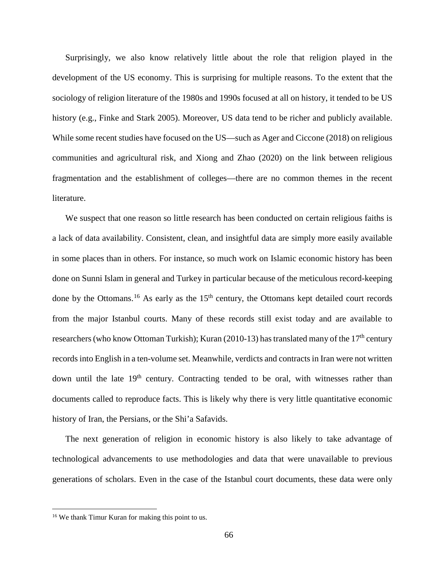Surprisingly, we also know relatively little about the role that religion played in the development of the US economy. This is surprising for multiple reasons. To the extent that the sociology of religion literature of the 1980s and 1990s focused at all on history, it tended to be US history (e.g., Finke and Stark 2005). Moreover, US data tend to be richer and publicly available. While some recent studies have focused on the US—such as Ager and Ciccone (2018) on religious communities and agricultural risk, and Xiong and Zhao (2020) on the link between religious fragmentation and the establishment of colleges—there are no common themes in the recent literature.

We suspect that one reason so little research has been conducted on certain religious faiths is a lack of data availability. Consistent, clean, and insightful data are simply more easily available in some places than in others. For instance, so much work on Islamic economic history has been done on Sunni Islam in general and Turkey in particular because of the meticulous record-keeping done by the Ottomans.<sup>16</sup> As early as the  $15<sup>th</sup>$  century, the Ottomans kept detailed court records from the major Istanbul courts. Many of these records still exist today and are available to researchers (who know Ottoman Turkish); Kuran (2010-13) has translated many of the 17<sup>th</sup> century records into English in a ten-volume set. Meanwhile, verdicts and contracts in Iran were not written down until the late  $19<sup>th</sup>$  century. Contracting tended to be oral, with witnesses rather than documents called to reproduce facts. This is likely why there is very little quantitative economic history of Iran, the Persians, or the Shi'a Safavids.

The next generation of religion in economic history is also likely to take advantage of technological advancements to use methodologies and data that were unavailable to previous generations of scholars. Even in the case of the Istanbul court documents, these data were only

 <sup>16</sup> We thank Timur Kuran for making this point to us.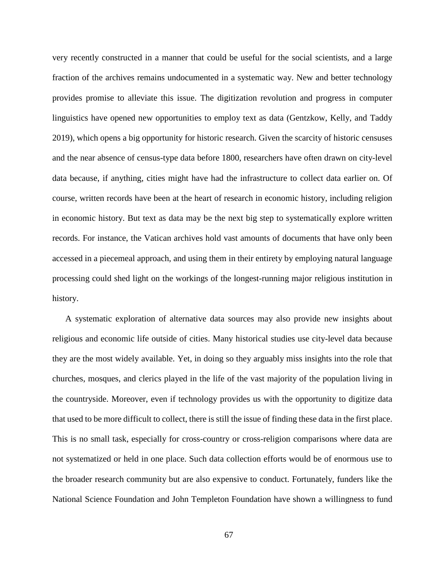very recently constructed in a manner that could be useful for the social scientists, and a large fraction of the archives remains undocumented in a systematic way. New and better technology provides promise to alleviate this issue. The digitization revolution and progress in computer linguistics have opened new opportunities to employ text as data (Gentzkow, Kelly, and Taddy 2019), which opens a big opportunity for historic research. Given the scarcity of historic censuses and the near absence of census-type data before 1800, researchers have often drawn on city-level data because, if anything, cities might have had the infrastructure to collect data earlier on. Of course, written records have been at the heart of research in economic history, including religion in economic history. But text as data may be the next big step to systematically explore written records. For instance, the Vatican archives hold vast amounts of documents that have only been accessed in a piecemeal approach, and using them in their entirety by employing natural language processing could shed light on the workings of the longest-running major religious institution in history.

A systematic exploration of alternative data sources may also provide new insights about religious and economic life outside of cities. Many historical studies use city-level data because they are the most widely available. Yet, in doing so they arguably miss insights into the role that churches, mosques, and clerics played in the life of the vast majority of the population living in the countryside. Moreover, even if technology provides us with the opportunity to digitize data that used to be more difficult to collect, there is still the issue of finding these data in the first place. This is no small task, especially for cross-country or cross-religion comparisons where data are not systematized or held in one place. Such data collection efforts would be of enormous use to the broader research community but are also expensive to conduct. Fortunately, funders like the National Science Foundation and John Templeton Foundation have shown a willingness to fund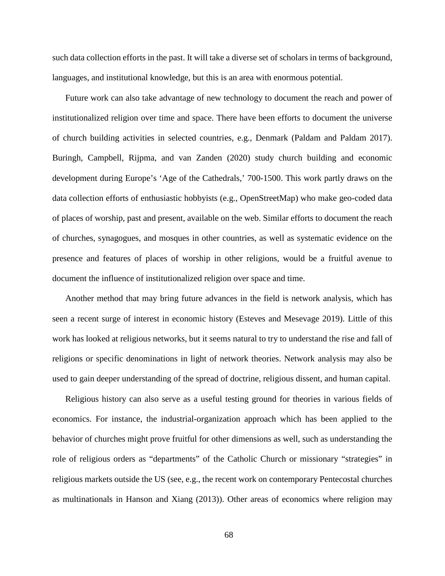such data collection efforts in the past. It will take a diverse set of scholars in terms of background, languages, and institutional knowledge, but this is an area with enormous potential.

Future work can also take advantage of new technology to document the reach and power of institutionalized religion over time and space. There have been efforts to document the universe of church building activities in selected countries, e.g., Denmark (Paldam and Paldam 2017). Buringh, Campbell, Rijpma, and van Zanden (2020) study church building and economic development during Europe's 'Age of the Cathedrals,' 700-1500. This work partly draws on the data collection efforts of enthusiastic hobbyists (e.g., OpenStreetMap) who make geo-coded data of places of worship, past and present, available on the web. Similar efforts to document the reach of churches, synagogues, and mosques in other countries, as well as systematic evidence on the presence and features of places of worship in other religions, would be a fruitful avenue to document the influence of institutionalized religion over space and time.

Another method that may bring future advances in the field is network analysis, which has seen a recent surge of interest in economic history (Esteves and Mesevage 2019). Little of this work has looked at religious networks, but it seems natural to try to understand the rise and fall of religions or specific denominations in light of network theories. Network analysis may also be used to gain deeper understanding of the spread of doctrine, religious dissent, and human capital.

Religious history can also serve as a useful testing ground for theories in various fields of economics. For instance, the industrial-organization approach which has been applied to the behavior of churches might prove fruitful for other dimensions as well, such as understanding the role of religious orders as "departments" of the Catholic Church or missionary "strategies" in religious markets outside the US (see, e.g., the recent work on contemporary Pentecostal churches as multinationals in Hanson and Xiang (2013)). Other areas of economics where religion may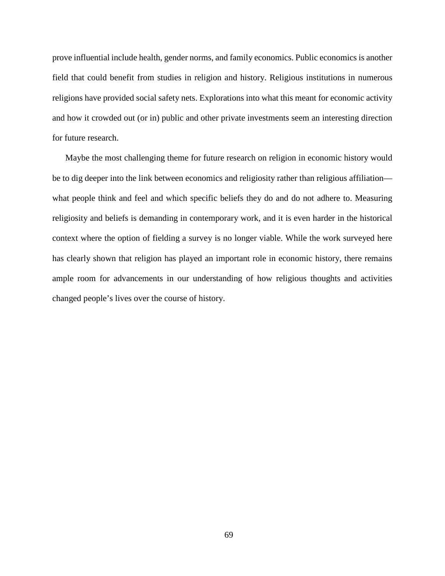prove influential include health, gender norms, and family economics. Public economics is another field that could benefit from studies in religion and history. Religious institutions in numerous religions have provided social safety nets. Explorations into what this meant for economic activity and how it crowded out (or in) public and other private investments seem an interesting direction for future research.

Maybe the most challenging theme for future research on religion in economic history would be to dig deeper into the link between economics and religiosity rather than religious affiliation what people think and feel and which specific beliefs they do and do not adhere to. Measuring religiosity and beliefs is demanding in contemporary work, and it is even harder in the historical context where the option of fielding a survey is no longer viable. While the work surveyed here has clearly shown that religion has played an important role in economic history, there remains ample room for advancements in our understanding of how religious thoughts and activities changed people's lives over the course of history.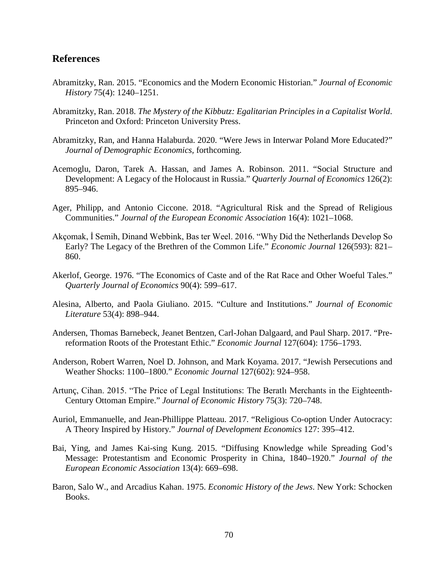#### **References**

- Abramitzky, Ran. 2015. "Economics and the Modern Economic Historian." *Journal of Economic History* 75(4): 1240–1251.
- Abramitzky, Ran. 2018. *The Mystery of the Kibbutz: Egalitarian Principles in a Capitalist World*. Princeton and Oxford: Princeton University Press.
- Abramitzky, Ran, and Hanna Halaburda. 2020. "Were Jews in Interwar Poland More Educated?" *Journal of Demographic Economics,* forthcoming.
- Acemoglu, Daron, Tarek A. Hassan, and James A. Robinson. 2011. "Social Structure and Development: A Legacy of the Holocaust in Russia." *Quarterly Journal of Economics* 126(2): 895–946.
- Ager, Philipp, and Antonio Ciccone. 2018. "Agricultural Risk and the Spread of Religious Communities." *Journal of the European Economic Association* 16(4): 1021–1068.
- Akçomak, İ Semih, Dinand Webbink, Bas ter Weel. 2016. "Why Did the Netherlands Develop So Early? The Legacy of the Brethren of the Common Life." *Economic Journal* 126(593): 821– 860.
- Akerlof, George. 1976. "The Economics of Caste and of the Rat Race and Other Woeful Tales." *Quarterly Journal of Economics* 90(4): 599–617.
- Alesina, Alberto, and Paola Giuliano. 2015. "Culture and Institutions." *Journal of Economic Literature* 53(4): 898–944.
- Andersen, Thomas Barnebeck, Jeanet Bentzen, Carl-Johan Dalgaard, and Paul Sharp. 2017. "Prereformation Roots of the Protestant Ethic." *Economic Journal* 127(604): 1756–1793.
- Anderson, Robert Warren, Noel D. Johnson, and Mark Koyama. 2017. "Jewish Persecutions and Weather Shocks: 1100–1800." *Economic Journal* 127(602): 924–958.
- Artunç, Cihan. 2015. "The Price of Legal Institutions: The Beratlı Merchants in the Eighteenth-Century Ottoman Empire." *Journal of Economic History* 75(3): 720–748.
- Auriol, Emmanuelle, and Jean-Phillippe Platteau. 2017. "Religious Co-option Under Autocracy: A Theory Inspired by History." *Journal of Development Economics* 127: 395–412.
- Bai, Ying, and James Kai-sing Kung. 2015. "Diffusing Knowledge while Spreading God's Message: Protestantism and Economic Prosperity in China, 1840–1920." *Journal of the European Economic Association* 13(4): 669–698.
- Baron, Salo W., and Arcadius Kahan. 1975. *Economic History of the Jews*. New York: Schocken Books.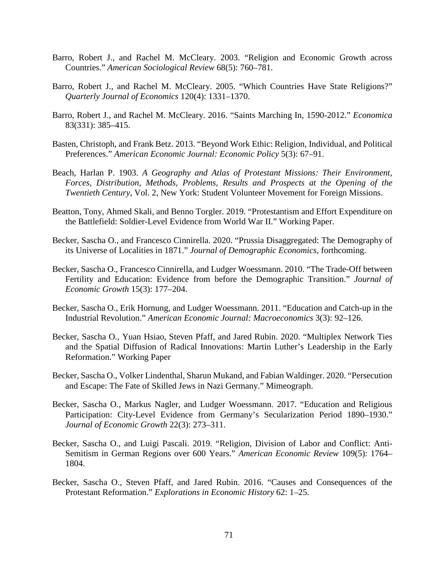- Barro, Robert J., and Rachel M. McCleary. 2003. "Religion and Economic Growth across Countries." *American Sociological Review* 68(5): 760–781.
- Barro, Robert J., and Rachel M. McCleary. 2005. "Which Countries Have State Religions?" *Quarterly Journal of Economics* 120(4): 1331–1370.
- Barro, Robert J., and Rachel M. McCleary. 2016. "Saints Marching In, 1590-2012." *Economica* 83(331): 385–415.
- Basten, Christoph, and Frank Betz. 2013. "Beyond Work Ethic: Religion, Individual, and Political Preferences." *American Economic Journal: Economic Policy* 5(3): 67–91.
- Beach, Harlan P. 1903. *A Geography and Atlas of Protestant Missions: Their Environment, Forces, Distribution, Methods, Problems, Results and Prospects at the Opening of the Twentieth Century*, Vol. 2, New York: Student Volunteer Movement for Foreign Missions.
- Beatton, Tony, Ahmed Skali, and Benno Torgler. 2019. "Protestantism and Effort Expenditure on the Battlefield: Soldier-Level Evidence from World War II." Working Paper.
- Becker, Sascha O., and Francesco Cinnirella. 2020. "Prussia Disaggregated: The Demography of its Universe of Localities in 1871." *Journal of Demographic Economics,* forthcoming.
- Becker, Sascha O., Francesco Cinnirella, and Ludger Woessmann. 2010. "The Trade-Off between Fertility and Education: Evidence from before the Demographic Transition." *Journal of Economic Growth* 15(3): 177–204.
- Becker, Sascha O., Erik Hornung, and Ludger Woessmann. 2011. "Education and Catch-up in the Industrial Revolution." *American Economic Journal: Macroeconomics* 3(3): 92–126.
- Becker, Sascha O., Yuan Hsiao, Steven Pfaff, and Jared Rubin. 2020. "Multiplex Network Ties and the Spatial Diffusion of Radical Innovations: Martin Luther's Leadership in the Early Reformation." Working Paper
- Becker, Sascha O., Volker Lindenthal, Sharun Mukand, and Fabian Waldinger. 2020. "Persecution and Escape: The Fate of Skilled Jews in Nazi Germany." Mimeograph.
- Becker, Sascha O., Markus Nagler, and Ludger Woessmann. 2017. "Education and Religious Participation: City-Level Evidence from Germany's Secularization Period 1890–1930." *Journal of Economic Growth* 22(3): 273–311.
- Becker, Sascha O., and Luigi Pascali. 2019. "Religion, Division of Labor and Conflict: Anti-Semitism in German Regions over 600 Years." *American Economic Review* 109(5): 1764– 1804.
- Becker, Sascha O., Steven Pfaff, and Jared Rubin. 2016. "Causes and Consequences of the Protestant Reformation." *Explorations in Economic History* 62: 1–25.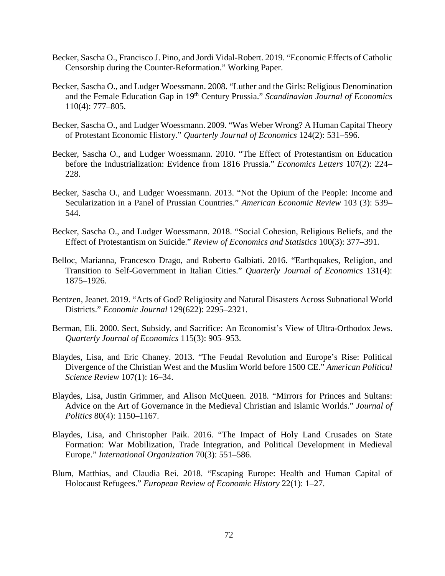- Becker, Sascha O., Francisco J. Pino, and Jordi Vidal-Robert. 2019. "Economic Effects of Catholic Censorship during the Counter-Reformation." Working Paper.
- Becker, Sascha O., and Ludger Woessmann. 2008. "Luther and the Girls: Religious Denomination and the Female Education Gap in 19th Century Prussia." *Scandinavian Journal of Economics* 110(4): 777–805.
- Becker, Sascha O., and Ludger Woessmann. 2009. "Was Weber Wrong? A Human Capital Theory of Protestant Economic History." *Quarterly Journal of Economics* 124(2): 531–596.
- Becker, Sascha O., and Ludger Woessmann. 2010. "The Effect of Protestantism on Education before the Industrialization: Evidence from 1816 Prussia." *Economics Letters* 107(2): 224– 228.
- Becker, Sascha O., and Ludger Woessmann. 2013. "Not the Opium of the People: Income and Secularization in a Panel of Prussian Countries." *American Economic Review* 103 (3): 539– 544.
- Becker, Sascha O., and Ludger Woessmann. 2018. "Social Cohesion, Religious Beliefs, and the Effect of Protestantism on Suicide." *Review of Economics and Statistics* 100(3): 377–391.
- Belloc, Marianna, Francesco Drago, and Roberto Galbiati. 2016. "Earthquakes, Religion, and Transition to Self-Government in Italian Cities." *Quarterly Journal of Economics* 131(4): 1875–1926.
- Bentzen, Jeanet. 2019. "Acts of God? Religiosity and Natural Disasters Across Subnational World Districts." *Economic Journal* 129(622): 2295–2321.
- Berman, Eli. 2000. Sect, Subsidy, and Sacrifice: An Economist's View of Ultra-Orthodox Jews. *Quarterly Journal of Economics* 115(3): 905–953.
- Blaydes, Lisa, and Eric Chaney. 2013. "The Feudal Revolution and Europe's Rise: Political Divergence of the Christian West and the Muslim World before 1500 CE." *American Political Science Review* 107(1): 16–34.
- Blaydes, Lisa, Justin Grimmer, and Alison McQueen. 2018. "Mirrors for Princes and Sultans: Advice on the Art of Governance in the Medieval Christian and Islamic Worlds." *Journal of Politics* 80(4): 1150–1167.
- Blaydes, Lisa, and Christopher Paik. 2016. "The Impact of Holy Land Crusades on State Formation: War Mobilization, Trade Integration, and Political Development in Medieval Europe." *International Organization* 70(3): 551–586.
- Blum, Matthias, and Claudia Rei. 2018. "Escaping Europe: Health and Human Capital of Holocaust Refugees." *European Review of Economic History* 22(1): 1–27.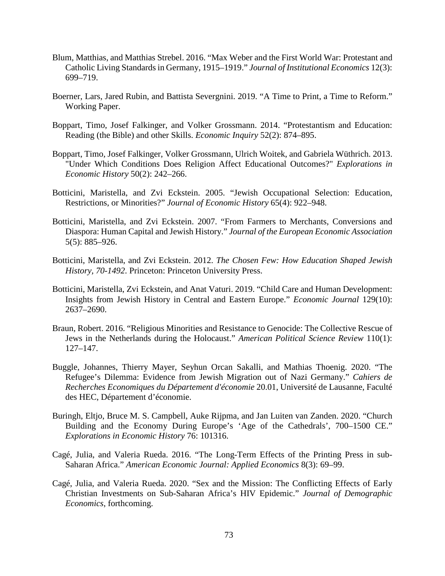- Blum, Matthias, and Matthias Strebel. 2016. "Max Weber and the First World War: Protestant and Catholic Living Standards in Germany, 1915–1919." *Journal of Institutional Economics* 12(3): 699–719.
- Boerner, Lars, Jared Rubin, and Battista Severgnini. 2019. "A Time to Print, a Time to Reform." Working Paper.
- Boppart, Timo, Josef Falkinger, and Volker Grossmann. 2014. "Protestantism and Education: Reading (the Bible) and other Skills. *Economic Inquiry* 52(2): 874–895.
- Boppart, Timo, Josef Falkinger, Volker Grossmann, Ulrich Woitek, and Gabriela Wüthrich. 2013. "Under Which Conditions Does Religion Affect Educational Outcomes?" *Explorations in Economic History* 50(2): 242–266.
- Botticini, Maristella, and Zvi Eckstein. 2005. "Jewish Occupational Selection: Education, Restrictions, or Minorities?" *Journal of Economic History* 65(4): 922–948.
- Botticini, Maristella, and Zvi Eckstein. 2007. "From Farmers to Merchants, Conversions and Diaspora: Human Capital and Jewish History." *Journal of the European Economic Association* 5(5): 885–926.
- Botticini, Maristella, and Zvi Eckstein. 2012. *The Chosen Few: How Education Shaped Jewish History, 70-1492*. Princeton: Princeton University Press.
- Botticini, Maristella, Zvi Eckstein, and Anat Vaturi. 2019. "Child Care and Human Development: Insights from Jewish History in Central and Eastern Europe." *Economic Journal* 129(10): 2637–2690.
- Braun, Robert. 2016. "Religious Minorities and Resistance to Genocide: The Collective Rescue of Jews in the Netherlands during the Holocaust." *American Political Science Review* 110(1): 127–147.
- Buggle, Johannes, Thierry Mayer, Seyhun Orcan Sakalli, and Mathias Thoenig. 2020. "The Refugee's Dilemma: Evidence from Jewish Migration out of Nazi Germany." *Cahiers de Recherches Economiques du Département d'économie* 20.01, Université de Lausanne, Faculté des HEC, Département d'économie.
- Buringh, Eltjo, Bruce M. S. Campbell, Auke Rijpma, and Jan Luiten van Zanden. 2020. "Church Building and the Economy During Europe's 'Age of the Cathedrals', 700–1500 CE." *Explorations in Economic History* 76: 101316.
- Cagé, Julia, and Valeria Rueda. 2016. "The Long-Term Effects of the Printing Press in sub-Saharan Africa." *American Economic Journal: Applied Economics* 8(3): 69–99.
- Cagé, Julia, and Valeria Rueda. 2020. "Sex and the Mission: The Conflicting Effects of Early Christian Investments on Sub-Saharan Africa's HIV Epidemic." *Journal of Demographic Economics*, forthcoming.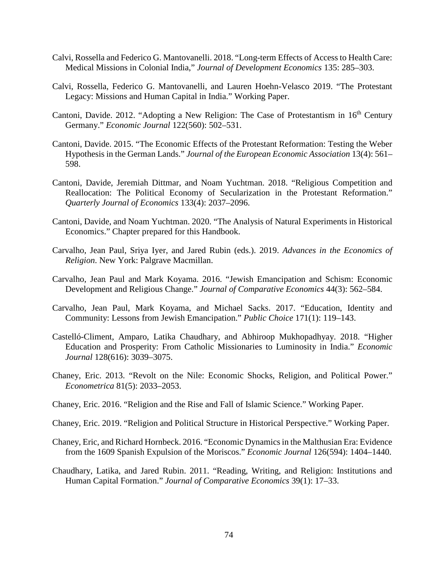- Calvi, Rossella and Federico G. Mantovanelli. 2018. "Long-term Effects of Access to Health Care: Medical Missions in Colonial India," *Journal of Development Economics* 135: 285–303.
- Calvi, Rossella, Federico G. Mantovanelli, and Lauren Hoehn-Velasco 2019. "The Protestant Legacy: Missions and Human Capital in India." Working Paper.
- Cantoni, Davide. 2012. "Adopting a New Religion: The Case of Protestantism in 16<sup>th</sup> Century Germany." *Economic Journal* 122(560): 502–531.
- Cantoni, Davide. 2015. "The Economic Effects of the Protestant Reformation: Testing the Weber Hypothesis in the German Lands." *Journal of the European Economic Association* 13(4): 561– 598.
- Cantoni, Davide, Jeremiah Dittmar, and Noam Yuchtman. 2018. "Religious Competition and Reallocation: The Political Economy of Secularization in the Protestant Reformation." *Quarterly Journal of Economics* 133(4): 2037–2096.
- Cantoni, Davide, and Noam Yuchtman. 2020. "The Analysis of Natural Experiments in Historical Economics." Chapter prepared for this Handbook.
- Carvalho, Jean Paul, Sriya Iyer, and Jared Rubin (eds.). 2019. *Advances in the Economics of Religion*. New York: Palgrave Macmillan.
- Carvalho, Jean Paul and Mark Koyama. 2016. "Jewish Emancipation and Schism: Economic Development and Religious Change." *Journal of Comparative Economics* 44(3): 562–584.
- Carvalho, Jean Paul, Mark Koyama, and Michael Sacks. 2017. "Education, Identity and Community: Lessons from Jewish Emancipation." *Public Choice* 171(1): 119–143.
- Castelló-Climent, Amparo, Latika Chaudhary, and Abhiroop Mukhopadhyay. 2018. "Higher Education and Prosperity: From Catholic Missionaries to Luminosity in India." *Economic Journal* 128(616): 3039–3075.
- Chaney, Eric. 2013. "Revolt on the Nile: Economic Shocks, Religion, and Political Power." *Econometrica* 81(5): 2033–2053.
- Chaney, Eric. 2016. "Religion and the Rise and Fall of Islamic Science." Working Paper.
- Chaney, Eric. 2019. "Religion and Political Structure in Historical Perspective." Working Paper.
- Chaney, Eric, and Richard Hornbeck. 2016. "Economic Dynamics in the Malthusian Era: Evidence from the 1609 Spanish Expulsion of the Moriscos." *Economic Journal* 126(594): 1404–1440.
- Chaudhary, Latika, and Jared Rubin. 2011. "Reading, Writing, and Religion: Institutions and Human Capital Formation." *Journal of Comparative Economics* 39(1): 17–33.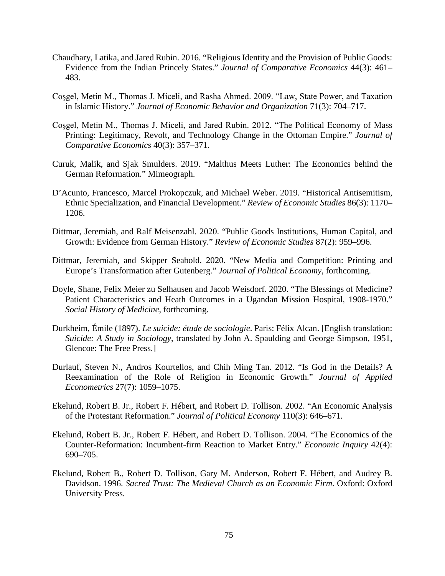- Chaudhary, Latika, and Jared Rubin. 2016. "Religious Identity and the Provision of Public Goods: Evidence from the Indian Princely States." *Journal of Comparative Economics* 44(3): 461– 483.
- Coşgel, Metin M., Thomas J. Miceli, and Rasha Ahmed. 2009. "Law, State Power, and Taxation in Islamic History." *Journal of Economic Behavior and Organization* 71(3): 704–717.
- Coşgel, Metin M., Thomas J. Miceli, and Jared Rubin. 2012. "The Political Economy of Mass Printing: Legitimacy, Revolt, and Technology Change in the Ottoman Empire." *Journal of Comparative Economics* 40(3): 357–371.
- Curuk, Malik, and Sjak Smulders. 2019. "Malthus Meets Luther: The Economics behind the German Reformation." Mimeograph.
- D'Acunto, Francesco, Marcel Prokopczuk, and Michael Weber. 2019. "Historical Antisemitism, Ethnic Specialization, and Financial Development." *Review of Economic Studies* 86(3): 1170– 1206.
- Dittmar, Jeremiah, and Ralf Meisenzahl. 2020. "Public Goods Institutions, Human Capital, and Growth: Evidence from German History." *Review of Economic Studies* 87(2): 959–996.
- Dittmar, Jeremiah, and Skipper Seabold. 2020. "New Media and Competition: Printing and Europe's Transformation after Gutenberg." *Journal of Political Economy*, forthcoming.
- Doyle, Shane, Felix Meier zu Selhausen and Jacob Weisdorf. 2020. "The Blessings of Medicine? Patient Characteristics and Heath Outcomes in a Ugandan Mission Hospital, 1908-1970." *Social History of Medicine*, forthcoming.
- Durkheim, Émile (1897). *Le suicide: étude de sociologie*. Paris: Félix Alcan. [English translation: *Suicide: A Study in Sociology*, translated by John A. Spaulding and George Simpson, 1951, Glencoe: The Free Press.]
- Durlauf, Steven N., Andros Kourtellos, and Chih Ming Tan. 2012. "Is God in the Details? A Reexamination of the Role of Religion in Economic Growth." *Journal of Applied Econometrics* 27(7): 1059–1075.
- Ekelund, Robert B. Jr., Robert F. Hébert, and Robert D. Tollison. 2002. "An Economic Analysis of the Protestant Reformation." *Journal of Political Economy* 110(3): 646–671.
- Ekelund, Robert B. Jr., Robert F. Hébert, and Robert D. Tollison. 2004. "The Economics of the Counter-Reformation: Incumbent-firm Reaction to Market Entry." *Economic Inquiry* 42(4): 690–705.
- Ekelund, Robert B., Robert D. Tollison, Gary M. Anderson, Robert F. Hébert, and Audrey B. Davidson. 1996. *Sacred Trust: The Medieval Church as an Economic Firm*. Oxford: Oxford University Press.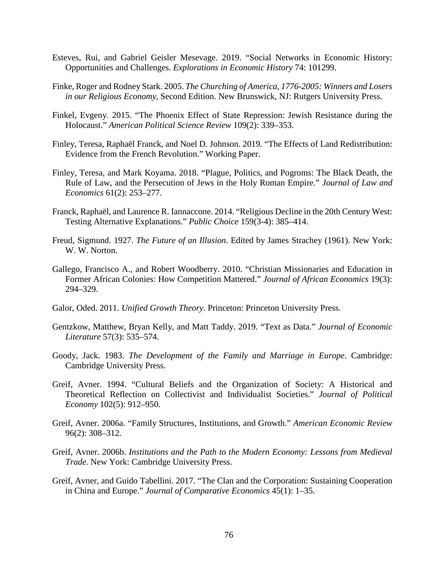- Esteves, Rui, and Gabriel Geisler Mesevage. 2019. "Social Networks in Economic History: Opportunities and Challenges. *Explorations in Economic History* 74: 101299.
- Finke, Roger and Rodney Stark. 2005. *The Churching of America, 1776-2005: Winners and Losers in our Religious Economy*, Second Edition. New Brunswick, NJ: Rutgers University Press.
- Finkel, Evgeny. 2015. "The Phoenix Effect of State Repression: Jewish Resistance during the Holocaust." *American Political Science Review* 109(2): 339–353.
- Finley, Teresa, Raphaël Franck, and Noel D. Johnson. 2019. "The Effects of Land Redistribution: Evidence from the French Revolution." Working Paper.
- Finley, Teresa, and Mark Koyama. 2018. "Plague, Politics, and Pogroms: The Black Death, the Rule of Law, and the Persecution of Jews in the Holy Roman Empire." *Journal of Law and Economics* 61(2): 253–277.
- Franck, Raphaël, and Laurence R. Iannaccone. 2014. "Religious Decline in the 20th Century West: Testing Alternative Explanations." *Public Choice* 159(3-4): 385–414.
- Freud, Sigmund. 1927. *The Future of an Illusion*. Edited by James Strachey (1961). New York: W. W. Norton.
- Gallego, Francisco A., and Robert Woodberry. 2010. "Christian Missionaries and Education in Former African Colonies: How Competition Mattered." *Journal of African Economics* 19(3): 294–329.
- Galor, Oded. 2011. *Unified Growth Theory*. Princeton: Princeton University Press.
- Gentzkow, Matthew, Bryan Kelly, and Matt Taddy. 2019. "Text as Data." *Journal of Economic Literature* 57(3): 535–574.
- Goody, Jack. 1983. *The Development of the Family and Marriage in Europe*. Cambridge: Cambridge University Press.
- Greif, Avner. 1994. "Cultural Beliefs and the Organization of Society: A Historical and Theoretical Reflection on Collectivist and Individualist Societies." *Journal of Political Economy* 102(5): 912–950.
- Greif, Avner. 2006a. "Family Structures, Institutions, and Growth." *American Economic Review*  96(2): 308–312.
- Greif, Avner. 2006b. *Institutions and the Path to the Modern Economy: Lessons from Medieval Trade*. New York: Cambridge University Press.
- Greif, Avner, and Guido Tabellini. 2017. "The Clan and the Corporation: Sustaining Cooperation in China and Europe." *Journal of Comparative Economics* 45(1): 1–35.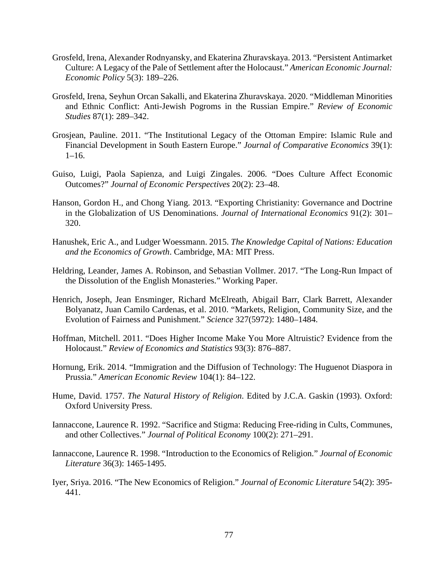- Grosfeld, Irena, Alexander Rodnyansky, and Ekaterina Zhuravskaya. 2013. "Persistent Antimarket Culture: A Legacy of the Pale of Settlement after the Holocaust." *American Economic Journal: Economic Policy* 5(3): 189–226.
- Grosfeld, Irena, Seyhun Orcan Sakalli, and Ekaterina Zhuravskaya. 2020. "Middleman Minorities and Ethnic Conflict: Anti-Jewish Pogroms in the Russian Empire." *Review of Economic Studies* 87(1): 289–342.
- Grosjean, Pauline. 2011. "The Institutional Legacy of the Ottoman Empire: Islamic Rule and Financial Development in South Eastern Europe." *Journal of Comparative Economics* 39(1):  $1-16.$
- Guiso, Luigi, Paola Sapienza, and Luigi Zingales. 2006. "Does Culture Affect Economic Outcomes?" *Journal of Economic Perspectives* 20(2): 23–48.
- Hanson, Gordon H., and Chong Yiang. 2013. "Exporting Christianity: Governance and Doctrine in the Globalization of US Denominations. *Journal of International Economics* 91(2): 301– 320.
- Hanushek, Eric A., and Ludger Woessmann. 2015. *The Knowledge Capital of Nations: Education and the Economics of Growth*. Cambridge, MA: MIT Press.
- Heldring, Leander, James A. Robinson, and Sebastian Vollmer. 2017. "The Long-Run Impact of the Dissolution of the English Monasteries." Working Paper.
- Henrich, Joseph, Jean Ensminger, Richard McElreath, Abigail Barr, Clark Barrett, Alexander Bolyanatz, Juan Camilo Cardenas, et al. 2010. "Markets, Religion, Community Size, and the Evolution of Fairness and Punishment." *Science* 327(5972): 1480–1484.
- Hoffman, Mitchell. 2011. "Does Higher Income Make You More Altruistic? Evidence from the Holocaust." *Review of Economics and Statistics* 93(3): 876–887.
- Hornung, Erik. 2014. "Immigration and the Diffusion of Technology: The Huguenot Diaspora in Prussia." *American Economic Review* 104(1): 84–122.
- Hume, David. 1757. *The Natural History of Religion*. Edited by J.C.A. Gaskin (1993). Oxford: Oxford University Press.
- Iannaccone, Laurence R. 1992. "Sacrifice and Stigma: Reducing Free-riding in Cults, Communes, and other Collectives." *Journal of Political Economy* 100(2): 271–291.
- Iannaccone, Laurence R. 1998. "Introduction to the Economics of Religion." *Journal of Economic Literature* 36(3): 1465-1495.
- Iyer, Sriya. 2016. "The New Economics of Religion." *Journal of Economic Literature* 54(2): 395- 441.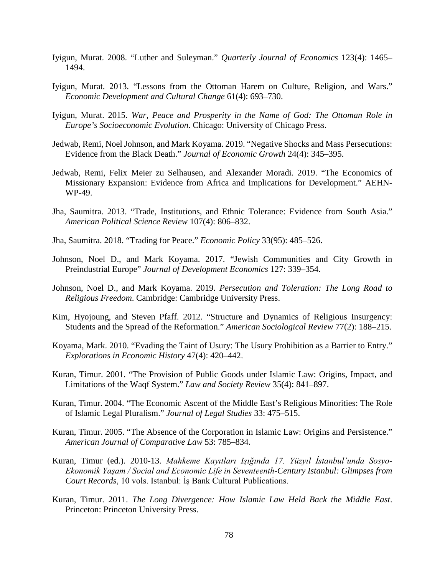- Iyigun, Murat. 2008. "Luther and Suleyman." *Quarterly Journal of Economics* 123(4): 1465– 1494.
- Iyigun, Murat. 2013. "Lessons from the Ottoman Harem on Culture, Religion, and Wars." *Economic Development and Cultural Change* 61(4): 693–730.
- Iyigun, Murat. 2015. *War, Peace and Prosperity in the Name of God: The Ottoman Role in Europe's Socioeconomic Evolution*. Chicago: University of Chicago Press.
- Jedwab, Remi, Noel Johnson, and Mark Koyama. 2019. "Negative Shocks and Mass Persecutions: Evidence from the Black Death." *Journal of Economic Growth* 24(4): 345–395.
- Jedwab, Remi, Felix Meier zu Selhausen, and Alexander Moradi. 2019. "The Economics of Missionary Expansion: Evidence from Africa and Implications for Development." AEHN-WP-49.
- Jha, Saumitra. 2013. "Trade, Institutions, and Ethnic Tolerance: Evidence from South Asia." *American Political Science Review* 107(4): 806–832.
- Jha, Saumitra. 2018. "Trading for Peace." *Economic Policy* 33(95): 485–526.
- Johnson, Noel D., and Mark Koyama. 2017. "Jewish Communities and City Growth in Preindustrial Europe" *Journal of Development Economics* 127: 339–354.
- Johnson, Noel D., and Mark Koyama. 2019. *Persecution and Toleration: The Long Road to Religious Freedom*. Cambridge: Cambridge University Press.
- Kim, Hyojoung, and Steven Pfaff. 2012. "Structure and Dynamics of Religious Insurgency: Students and the Spread of the Reformation." *American Sociological Review* 77(2): 188–215.
- Koyama, Mark. 2010. "Evading the Taint of Usury: The Usury Prohibition as a Barrier to Entry." *Explorations in Economic History* 47(4): 420–442.
- Kuran, Timur. 2001. "The Provision of Public Goods under Islamic Law: Origins, Impact, and Limitations of the Waqf System." *Law and Society Review* 35(4): 841–897.
- Kuran, Timur. 2004. "The Economic Ascent of the Middle East's Religious Minorities: The Role of Islamic Legal Pluralism." *Journal of Legal Studies* 33: 475–515.
- Kuran, Timur. 2005. "The Absence of the Corporation in Islamic Law: Origins and Persistence." *American Journal of Comparative Law* 53: 785–834.
- Kuran, Timur (ed.). 2010-13. *Mahkeme Kayıtları Işığında 17. Yüzyıl İstanbul'unda Sosyo-Ekonomik Yaşam / Social and Economic Life in Seventeenth-Century Istanbul: Glimpses from Court Records*, 10 vols. Istanbul: İş Bank Cultural Publications.
- Kuran, Timur. 2011. *The Long Divergence: How Islamic Law Held Back the Middle East*. Princeton: Princeton University Press.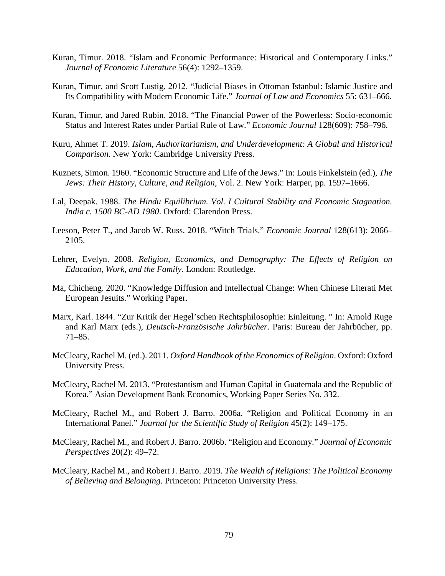- Kuran, Timur. 2018. "Islam and Economic Performance: Historical and Contemporary Links." *Journal of Economic Literature* 56(4): 1292–1359.
- Kuran, Timur, and Scott Lustig. 2012. "Judicial Biases in Ottoman Istanbul: Islamic Justice and Its Compatibility with Modern Economic Life." *Journal of Law and Economics* 55: 631–666.
- Kuran, Timur, and Jared Rubin. 2018. "The Financial Power of the Powerless: Socio-economic Status and Interest Rates under Partial Rule of Law." *Economic Journal* 128(609): 758–796.
- Kuru, Ahmet T. 2019. *Islam, Authoritarianism, and Underdevelopment: A Global and Historical Comparison*. New York: Cambridge University Press.
- Kuznets, Simon. 1960. "Economic Structure and Life of the Jews." In: Louis Finkelstein (ed.), *The Jews: Their History, Culture, and Religion*, Vol. 2. New York: Harper, pp. 1597–1666.
- Lal, Deepak. 1988. *The Hindu Equilibrium. Vol. I Cultural Stability and Economic Stagnation. India c. 1500 BC-AD 1980*. Oxford: Clarendon Press.
- Leeson, Peter T., and Jacob W. Russ. 2018. "Witch Trials." *Economic Journal* 128(613): 2066– 2105.
- Lehrer, Evelyn. 2008. *Religion, Economics, and Demography: The Effects of Religion on Education, Work, and the Family*. London: Routledge.
- Ma, Chicheng. 2020. "Knowledge Diffusion and Intellectual Change: When Chinese Literati Met European Jesuits." Working Paper.
- Marx, Karl. 1844. "Zur Kritik der Hegel'schen Rechtsphilosophie: Einleitung. " In: Arnold Ruge and Karl Marx (eds.), *Deutsch-Französische Jahrbücher*. Paris: Bureau der Jahrbücher, pp. 71–85.
- McCleary, Rachel M. (ed.). 2011. *Oxford Handbook of the Economics of Religion*. Oxford: Oxford University Press.
- McCleary, Rachel M. 2013. "Protestantism and Human Capital in Guatemala and the Republic of Korea." Asian Development Bank Economics, Working Paper Series No. 332.
- McCleary, Rachel M., and Robert J. Barro. 2006a. "Religion and Political Economy in an International Panel." *Journal for the Scientific Study of Religion* 45(2): 149–175.
- McCleary, Rachel M., and Robert J. Barro. 2006b. "Religion and Economy." *Journal of Economic Perspectives* 20(2): 49–72.
- McCleary, Rachel M., and Robert J. Barro. 2019. *The Wealth of Religions: The Political Economy of Believing and Belonging*. Princeton: Princeton University Press.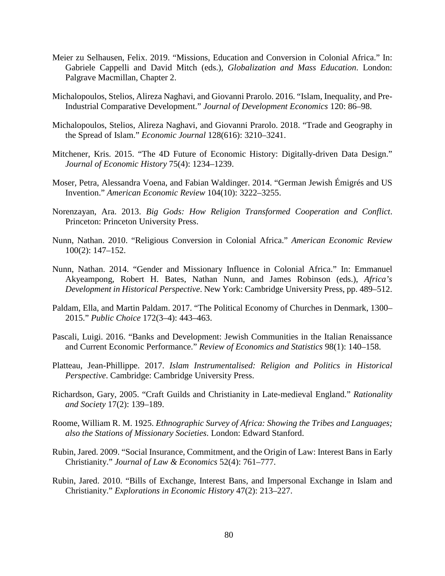- Meier zu Selhausen, Felix. 2019. "Missions, Education and Conversion in Colonial Africa." In: Gabriele Cappelli and David Mitch (eds.), *Globalization and Mass Education*. London: Palgrave Macmillan, Chapter 2.
- Michalopoulos, Stelios, Alireza Naghavi, and Giovanni Prarolo. 2016. "Islam, Inequality, and Pre-Industrial Comparative Development." *Journal of Development Economics* 120: 86–98.
- Michalopoulos, Stelios, Alireza Naghavi, and Giovanni Prarolo. 2018. "Trade and Geography in the Spread of Islam." *Economic Journal* 128(616): 3210–3241.
- Mitchener, Kris. 2015. "The 4D Future of Economic History: Digitally-driven Data Design." *Journal of Economic History* 75(4): 1234–1239.
- Moser, Petra, Alessandra Voena, and Fabian Waldinger. 2014. "German Jewish Émigrés and US Invention." *American Economic Review* 104(10): 3222–3255.
- Norenzayan, Ara. 2013. *Big Gods: How Religion Transformed Cooperation and Conflict*. Princeton: Princeton University Press.
- Nunn, Nathan. 2010. "Religious Conversion in Colonial Africa." *American Economic Review*  100(2): 147–152.
- Nunn, Nathan. 2014. "Gender and Missionary Influence in Colonial Africa." In: Emmanuel Akyeampong, Robert H. Bates, Nathan Nunn, and James Robinson (eds.), *Africa's Development in Historical Perspective*. New York: Cambridge University Press, pp. 489–512.
- Paldam, Ella, and Martin Paldam. 2017. "The Political Economy of Churches in Denmark, 1300– 2015." *Public Choice* 172(3–4): 443–463.
- Pascali, Luigi. 2016. "Banks and Development: Jewish Communities in the Italian Renaissance and Current Economic Performance." *Review of Economics and Statistics* 98(1): 140–158.
- Platteau, Jean-Phillippe. 2017. *Islam Instrumentalised: Religion and Politics in Historical Perspective*. Cambridge: Cambridge University Press.
- Richardson, Gary, 2005. "Craft Guilds and Christianity in Late-medieval England." *Rationality and Society* 17(2): 139–189.
- Roome, William R. M. 1925. *Ethnographic Survey of Africa: Showing the Tribes and Languages; also the Stations of Missionary Societies*. London: Edward Stanford.
- Rubin, Jared. 2009. "Social Insurance, Commitment, and the Origin of Law: Interest Bans in Early Christianity." *Journal of Law & Economics* 52(4): 761–777.
- Rubin, Jared. 2010. "Bills of Exchange, Interest Bans, and Impersonal Exchange in Islam and Christianity." *Explorations in Economic History* 47(2): 213–227.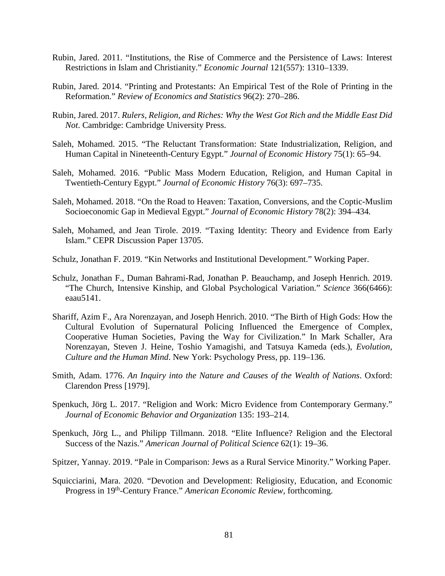- Rubin, Jared. 2011. "Institutions, the Rise of Commerce and the Persistence of Laws: Interest Restrictions in Islam and Christianity." *Economic Journal* 121(557): 1310–1339.
- Rubin, Jared. 2014. "Printing and Protestants: An Empirical Test of the Role of Printing in the Reformation." *Review of Economics and Statistics* 96(2): 270–286.
- Rubin, Jared. 2017. *Rulers, Religion, and Riches: Why the West Got Rich and the Middle East Did Not*. Cambridge: Cambridge University Press.
- Saleh, Mohamed. 2015. "The Reluctant Transformation: State Industrialization, Religion, and Human Capital in Nineteenth-Century Egypt." *Journal of Economic History* 75(1): 65–94.
- Saleh, Mohamed. 2016. "Public Mass Modern Education, Religion, and Human Capital in Twentieth-Century Egypt." *Journal of Economic History* 76(3): 697–735.
- Saleh, Mohamed. 2018. "On the Road to Heaven: Taxation, Conversions, and the Coptic-Muslim Socioeconomic Gap in Medieval Egypt." *Journal of Economic History* 78(2): 394–434*.*
- Saleh, Mohamed, and Jean Tirole. 2019. "Taxing Identity: Theory and Evidence from Early Islam." CEPR Discussion Paper 13705.
- Schulz, Jonathan F. 2019. "Kin Networks and Institutional Development." Working Paper.
- Schulz, Jonathan F., Duman Bahrami-Rad, Jonathan P. Beauchamp, and Joseph Henrich. 2019. "The Church, Intensive Kinship, and Global Psychological Variation." *Science* 366(6466): eaau5141.
- Shariff, Azim F., Ara Norenzayan, and Joseph Henrich. 2010. "The Birth of High Gods: How the Cultural Evolution of Supernatural Policing Influenced the Emergence of Complex, Cooperative Human Societies, Paving the Way for Civilization." In Mark Schaller, Ara Norenzayan, Steven J. Heine, Toshio Yamagishi, and Tatsuya Kameda (eds.), *Evolution, Culture and the Human Mind*. New York: Psychology Press, pp. 119–136.
- Smith, Adam. 1776. *An Inquiry into the Nature and Causes of the Wealth of Nations*. Oxford: Clarendon Press [1979].
- Spenkuch, Jörg L. 2017. "Religion and Work: Micro Evidence from Contemporary Germany." *Journal of Economic Behavior and Organization* 135: 193–214.
- Spenkuch, Jörg L., and Philipp Tillmann. 2018. "Elite Influence? Religion and the Electoral Success of the Nazis." *American Journal of Political Science* 62(1): 19–36.
- Spitzer, Yannay. 2019. "Pale in Comparison: Jews as a Rural Service Minority." Working Paper.
- Squicciarini, Mara. 2020. "Devotion and Development: Religiosity, Education, and Economic Progress in 19<sup>th</sup>-Century France." *American Economic Review*, forthcoming.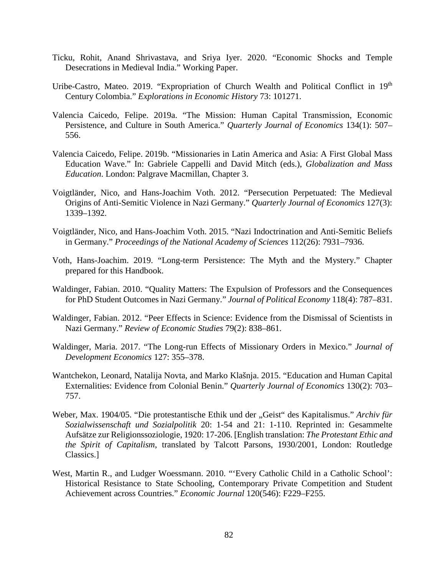- Ticku, Rohit, Anand Shrivastava, and Sriya Iyer. 2020. "Economic Shocks and Temple Desecrations in Medieval India." Working Paper.
- Uribe-Castro, Mateo. 2019. "Expropriation of Church Wealth and Political Conflict in 19th Century Colombia." *Explorations in Economic History* 73: 101271.
- Valencia Caicedo, Felipe. 2019a. "The Mission: Human Capital Transmission, Economic Persistence, and Culture in South America." *Quarterly Journal of Economics* 134(1): 507– 556.
- Valencia Caicedo, Felipe. 2019b. "Missionaries in Latin America and Asia: A First Global Mass Education Wave." In: Gabriele Cappelli and David Mitch (eds.), *Globalization and Mass Education*. London: Palgrave Macmillan, Chapter 3.
- Voigtländer, Nico, and Hans-Joachim Voth. 2012. "Persecution Perpetuated: The Medieval Origins of Anti-Semitic Violence in Nazi Germany." *Quarterly Journal of Economics* 127(3): 1339–1392.
- Voigtländer, Nico, and Hans-Joachim Voth. 2015. "Nazi Indoctrination and Anti-Semitic Beliefs in Germany." *Proceedings of the National Academy of Sciences* 112(26): 7931–7936.
- Voth, Hans-Joachim. 2019. "Long-term Persistence: The Myth and the Mystery." Chapter prepared for this Handbook.
- Waldinger, Fabian. 2010. "Quality Matters: The Expulsion of Professors and the Consequences for PhD Student Outcomes in Nazi Germany." *Journal of Political Economy* 118(4): 787–831.
- Waldinger, Fabian. 2012. "Peer Effects in Science: Evidence from the Dismissal of Scientists in Nazi Germany." *Review of Economic Studies* 79(2): 838–861.
- Waldinger, Maria. 2017. "The Long-run Effects of Missionary Orders in Mexico." *Journal of Development Economics* 127: 355–378.
- Wantchekon, Leonard, Natalija Novta, and Marko Klašnja. 2015. "Education and Human Capital Externalities: Evidence from Colonial Benin." *Quarterly Journal of Economics* 130(2): 703– 757.
- Weber, Max. 1904/05. "Die protestantische Ethik und der "Geist" des Kapitalismus." *Archiv für Sozialwissenschaft und Sozialpolitik* 20: 1-54 and 21: 1-110. Reprinted in: Gesammelte Aufsätze zur Religionssoziologie, 1920: 17-206. [English translation: *The Protestant Ethic and the Spirit of Capitalism*, translated by Talcott Parsons, 1930/2001, London: Routledge Classics.]
- West, Martin R., and Ludger Woessmann. 2010. "'Every Catholic Child in a Catholic School': Historical Resistance to State Schooling, Contemporary Private Competition and Student Achievement across Countries." *Economic Journal* 120(546): F229–F255.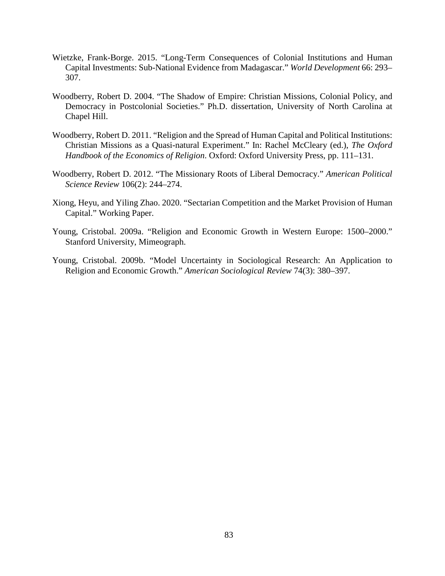- Wietzke, Frank-Borge. 2015. "Long-Term Consequences of Colonial Institutions and Human Capital Investments: Sub-National Evidence from Madagascar." *World Development* 66: 293– 307.
- Woodberry, Robert D. 2004. "The Shadow of Empire: Christian Missions, Colonial Policy, and Democracy in Postcolonial Societies." Ph.D. dissertation, University of North Carolina at Chapel Hill.
- Woodberry, Robert D. 2011. "Religion and the Spread of Human Capital and Political Institutions: Christian Missions as a Quasi-natural Experiment." In: Rachel McCleary (ed.), *The Oxford Handbook of the Economics of Religion*. Oxford: Oxford University Press, pp. 111–131.
- Woodberry, Robert D. 2012. "The Missionary Roots of Liberal Democracy." *American Political Science Review* 106(2): 244–274.
- Xiong, Heyu, and Yiling Zhao. 2020. "Sectarian Competition and the Market Provision of Human Capital." Working Paper.
- Young, Cristobal. 2009a. "Religion and Economic Growth in Western Europe: 1500–2000." Stanford University, Mimeograph.
- Young, Cristobal. 2009b. "Model Uncertainty in Sociological Research: An Application to Religion and Economic Growth." *American Sociological Review* 74(3): 380–397.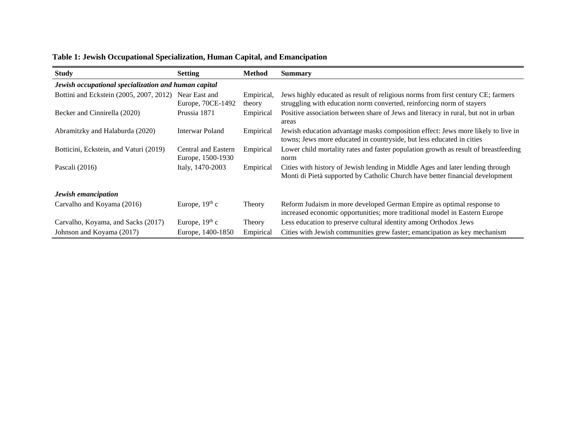| <b>Study</b>                                         | <b>Setting</b>                           | <b>Method</b>        | <b>Summary</b>                                                                                                                                                  |
|------------------------------------------------------|------------------------------------------|----------------------|-----------------------------------------------------------------------------------------------------------------------------------------------------------------|
| Jewish occupational specialization and human capital |                                          |                      |                                                                                                                                                                 |
| Bottini and Eckstein (2005, 2007, 2012)              | Near East and<br>Europe, 70CE-1492       | Empirical,<br>theory | Jews highly educated as result of religious norms from first century CE; farmers<br>struggling with education norm converted, reinforcing norm of stayers       |
| Becker and Cinnirella (2020)                         | Prussia 1871                             | Empirical            | Positive association between share of Jews and literacy in rural, but not in urban<br>areas                                                                     |
| Abramitzky and Halaburda (2020)                      | <b>Interwar Poland</b>                   | Empirical            | Jewish education advantage masks composition effect: Jews more likely to live in<br>towns; Jews more educated in countryside, but less educated in cities       |
| Botticini, Eckstein, and Vaturi (2019)               | Central and Eastern<br>Europe, 1500-1930 | Empirical            | Lower child mortality rates and faster population growth as result of breastfeeding<br>norm                                                                     |
| Pascali (2016)                                       | Italy, 1470-2003                         | Empirical            | Cities with history of Jewish lending in Middle Ages and later lending through<br>Monti di Pietà supported by Catholic Church have better financial development |
| Jewish emancipation                                  |                                          |                      |                                                                                                                                                                 |
| Carvalho and Koyama (2016)                           | Europe, $19th$ c                         | Theory               | Reform Judaism in more developed German Empire as optimal response to<br>increased economic opportunities; more traditional model in Eastern Europe             |
| Carvalho, Koyama, and Sacks (2017)                   | Europe, $19th$ c                         | Theory               | Less education to preserve cultural identity among Orthodox Jews                                                                                                |
| Johnson and Koyama (2017)                            | Europe, 1400-1850                        | Empirical            | Cities with Jewish communities grew faster; emancipation as key mechanism                                                                                       |

|  |  |  |  |  |  | Table 1: Jewish Occupational Specialization, Human Capital, and Emancipation |
|--|--|--|--|--|--|------------------------------------------------------------------------------|
|--|--|--|--|--|--|------------------------------------------------------------------------------|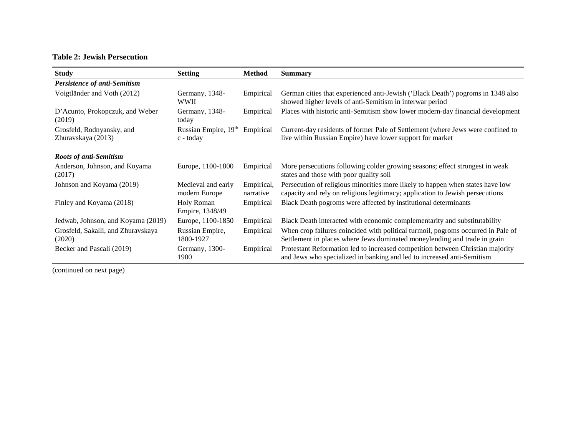## **Table 2: Jewish Persecution**

| <b>Study</b>                                    | <b>Setting</b>                      | <b>Method</b>           | <b>Summary</b>                                                                                                                                                  |
|-------------------------------------------------|-------------------------------------|-------------------------|-----------------------------------------------------------------------------------------------------------------------------------------------------------------|
| <b>Persistence of anti-Semitism</b>             |                                     |                         |                                                                                                                                                                 |
| Voigtländer and Voth (2012)                     | Germany, 1348-<br><b>WWII</b>       | Empirical               | German cities that experienced anti-Jewish ('Black Death') pogroms in 1348 also<br>showed higher levels of anti-Semitism in interwar period                     |
| D'Acunto, Prokopczuk, and Weber<br>(2019)       | Germany, 1348-<br>today             | Empirical               | Places with historic anti-Semitism show lower modern-day financial development                                                                                  |
| Grosfeld, Rodnyansky, and<br>Zhuravskaya (2013) | Russian Empire, 19th<br>c - today   | Empirical               | Current-day residents of former Pale of Settlement (where Jews were confined to<br>live within Russian Empire) have lower support for market                    |
| <b>Roots of anti-Semitism</b>                   |                                     |                         |                                                                                                                                                                 |
| Anderson, Johnson, and Koyama<br>(2017)         | Europe, 1100-1800                   | Empirical               | More persecutions following colder growing seasons; effect strongest in weak<br>states and those with poor quality soil                                         |
| Johnson and Koyama (2019)                       | Medieval and early<br>modern Europe | Empirical,<br>narrative | Persecution of religious minorities more likely to happen when states have low<br>capacity and rely on religious legitimacy; application to Jewish persecutions |
| Finley and Koyama (2018)                        | Holy Roman<br>Empire, 1348/49       | Empirical               | Black Death pogroms were affected by institutional determinants                                                                                                 |
| Jedwab, Johnson, and Koyama (2019)              | Europe, 1100-1850                   | Empirical               | Black Death interacted with economic complementarity and substitutability                                                                                       |
| Grosfeld, Sakalli, and Zhuravskaya<br>(2020)    | Russian Empire,<br>1800-1927        | Empirical               | When crop failures coincided with political turmoil, pogroms occurred in Pale of<br>Settlement in places where Jews dominated moneylending and trade in grain   |
| Becker and Pascali (2019)                       | Germany, 1300-<br>1900              | Empirical               | Protestant Reformation led to increased competition between Christian majority<br>and Jews who specialized in banking and led to increased anti-Semitism        |

(continued on next page)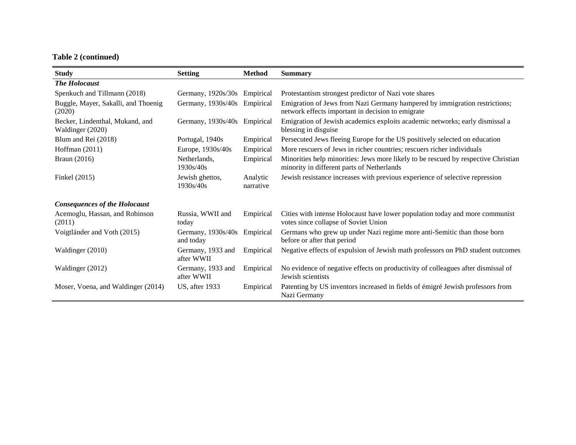## **Table 2 (continued)**

| <b>Study</b>                                        | <b>Setting</b>                            | <b>Method</b>         | <b>Summary</b>                                                                                                                   |
|-----------------------------------------------------|-------------------------------------------|-----------------------|----------------------------------------------------------------------------------------------------------------------------------|
| <b>The Holocaust</b>                                |                                           |                       |                                                                                                                                  |
| Spenkuch and Tillmann (2018)                        | Germany, 1920s/30s Empirical              |                       | Protestantism strongest predictor of Nazi vote shares                                                                            |
| Buggle, Mayer, Sakalli, and Thoenig<br>(2020)       | Germany, 1930s/40s Empirical              |                       | Emigration of Jews from Nazi Germany hampered by immigration restrictions;<br>network effects important in decision to emigrate  |
| Becker, Lindenthal, Mukand, and<br>Waldinger (2020) | Germany, 1930s/40s Empirical              |                       | Emigration of Jewish academics exploits academic networks; early dismissal a<br>blessing in disguise                             |
| Blum and Rei (2018)                                 | Portugal, 1940s                           | Empirical             | Persecuted Jews fleeing Europe for the US positively selected on education                                                       |
| Hoffman (2011)                                      | Europe, 1930s/40s                         | Empirical             | More rescuers of Jews in richer countries; rescuers richer individuals                                                           |
| Braun (2016)                                        | Netherlands.<br>1930s/40s                 | Empirical             | Minorities help minorities: Jews more likely to be rescued by respective Christian<br>minority in different parts of Netherlands |
| Finkel (2015)                                       | Jewish ghettos,<br>1930s/40s              | Analytic<br>narrative | Jewish resistance increases with previous experience of selective repression                                                     |
| <b>Consequences of the Holocaust</b>                |                                           |                       |                                                                                                                                  |
| Acemoglu, Hassan, and Robinson<br>(2011)            | Russia, WWII and<br>today                 | Empirical             | Cities with intense Holocaust have lower population today and more communist<br>votes since collapse of Soviet Union             |
| Voigtländer and Voth (2015)                         | Germany, 1930s/40s Empirical<br>and today |                       | Germans who grew up under Nazi regime more anti-Semitic than those born<br>before or after that period                           |
| Waldinger (2010)                                    | Germany, 1933 and<br>after WWII           | Empirical             | Negative effects of expulsion of Jewish math professors on PhD student outcomes                                                  |
| Waldinger (2012)                                    | Germany, 1933 and<br>after WWII           | Empirical             | No evidence of negative effects on productivity of colleagues after dismissal of<br>Jewish scientists                            |
| Moser, Voena, and Waldinger (2014)                  | <b>US</b> , after 1933                    | Empirical             | Patenting by US inventors increased in fields of émigré Jewish professors from<br>Nazi Germany                                   |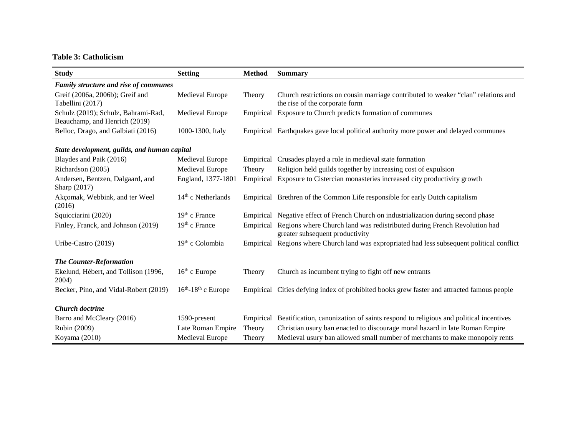## **Table 3: Catholicism**

| <b>Study</b>                                                         | <b>Setting</b>                 | <b>Method</b> | <b>Summary</b>                                                                                                        |
|----------------------------------------------------------------------|--------------------------------|---------------|-----------------------------------------------------------------------------------------------------------------------|
| <b>Family structure and rise of communes</b>                         |                                |               |                                                                                                                       |
| Greif (2006a, 2006b); Greif and<br>Tabellini (2017)                  | Medieval Europe                | Theory        | Church restrictions on cousin marriage contributed to weaker "clan" relations and<br>the rise of the corporate form   |
| Schulz (2019); Schulz, Bahrami-Rad,<br>Beauchamp, and Henrich (2019) | Medieval Europe                |               | Empirical Exposure to Church predicts formation of communes                                                           |
| Belloc, Drago, and Galbiati (2016)                                   | 1000-1300, Italy               |               | Empirical Earthquakes gave local political authority more power and delayed communes                                  |
| State development, guilds, and human capital                         |                                |               |                                                                                                                       |
| Blaydes and Paik (2016)                                              | Medieval Europe                | Empirical     | Crusades played a role in medieval state formation                                                                    |
| Richardson (2005)                                                    | Medieval Europe                | Theory        | Religion held guilds together by increasing cost of expulsion                                                         |
| Andersen, Bentzen, Dalgaard, and<br>Sharp (2017)                     | England, 1377-1801             | Empirical     | Exposure to Cistercian monasteries increased city productivity growth                                                 |
| Akçomak, Webbink, and ter Weel<br>(2016)                             | 14 <sup>th</sup> c Netherlands |               | Empirical Brethren of the Common Life responsible for early Dutch capitalism                                          |
| Squicciarini (2020)                                                  | $19th$ c France                |               | Empirical Negative effect of French Church on industrialization during second phase                                   |
| Finley, Franck, and Johnson (2019)                                   | $19th$ c France                |               | Empirical Regions where Church land was redistributed during French Revolution had<br>greater subsequent productivity |
| Uribe-Castro (2019)                                                  | $19th$ c Colombia              |               | Empirical Regions where Church land was expropriated had less subsequent political conflict                           |
| <b>The Counter-Reformation</b>                                       |                                |               |                                                                                                                       |
| Ekelund, Hébert, and Tollison (1996,<br>2004)                        | $16th$ c Europe                | Theory        | Church as incumbent trying to fight off new entrants                                                                  |
| Becker, Pino, and Vidal-Robert (2019)                                | $16th - 18th$ c Europe         |               | Empirical Cities defying index of prohibited books grew faster and attracted famous people                            |
| <b>Church</b> doctrine                                               |                                |               |                                                                                                                       |
| Barro and McCleary (2016)                                            | 1590-present                   |               | Empirical Beatification, canonization of saints respond to religious and political incentives                         |
| Rubin (2009)                                                         | Late Roman Empire              | Theory        | Christian usury ban enacted to discourage moral hazard in late Roman Empire                                           |
| Koyama (2010)                                                        | <b>Medieval Europe</b>         | Theory        | Medieval usury ban allowed small number of merchants to make monopoly rents                                           |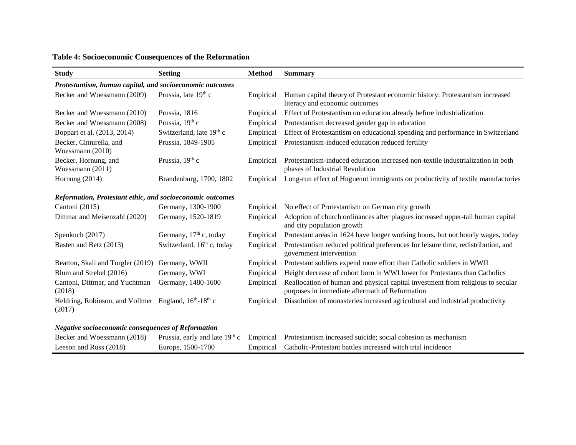| <b>Table 4: Socioeconomic Consequences of the Reformation</b> |  |  |
|---------------------------------------------------------------|--|--|
|---------------------------------------------------------------|--|--|

| <b>Study</b>                                                                            | <b>Setting</b>                         | <b>Method</b> | <b>Summary</b>                                                                                                                    |  |  |  |
|-----------------------------------------------------------------------------------------|----------------------------------------|---------------|-----------------------------------------------------------------------------------------------------------------------------------|--|--|--|
| Protestantism, human capital, and socioeconomic outcomes                                |                                        |               |                                                                                                                                   |  |  |  |
| Becker and Woessmann (2009)                                                             | Prussia, late 19 <sup>th</sup> c       | Empirical     | Human capital theory of Protestant economic history: Protestantism increased<br>literacy and economic outcomes                    |  |  |  |
| Becker and Woessmann (2010)                                                             | Prussia, 1816                          | Empirical     | Effect of Protestantism on education already before industrialization                                                             |  |  |  |
| Becker and Woessmann (2008)                                                             | Prussia, 19 <sup>th</sup> c            | Empirical     | Protestantism decreased gender gap in education                                                                                   |  |  |  |
| Boppart et al. (2013, 2014)                                                             | Switzerland, late 19th c               | Empirical     | Effect of Protestantism on educational spending and performance in Switzerland                                                    |  |  |  |
| Becker, Cinnirella, and<br>Woessmann $(2010)$                                           | Prussia, 1849-1905                     | Empirical     | Protestantism-induced education reduced fertility                                                                                 |  |  |  |
| Becker, Hornung, and<br>Woessmann (2011)                                                | Prussia, 19 <sup>th</sup> c            | Empirical     | Protestantism-induced education increased non-textile industrialization in both<br>phases of Industrial Revolution                |  |  |  |
| Hornung (2014)                                                                          | Brandenburg, 1700, 1802                | Empirical     | Long-run effect of Huguenot immigrants on productivity of textile manufactories                                                   |  |  |  |
| Reformation, Protestant ethic, and socioeconomic outcomes                               |                                        |               |                                                                                                                                   |  |  |  |
| Cantoni (2015)                                                                          | Germany, 1300-1900                     | Empirical     | No effect of Protestantism on German city growth                                                                                  |  |  |  |
| Dittmar and Meisenzahl (2020)                                                           | Germany, 1520-1819                     | Empirical     | Adoption of church ordinances after plagues increased upper-tail human capital<br>and city population growth                      |  |  |  |
| Spenkuch (2017)                                                                         | Germany, 17 <sup>th</sup> c, today     | Empirical     | Protestant areas in 1624 have longer working hours, but not hourly wages, today                                                   |  |  |  |
| Basten and Betz (2013)                                                                  | Switzerland, 16 <sup>th</sup> c, today | Empirical     | Protestantism reduced political preferences for leisure time, redistribution, and<br>government intervention                      |  |  |  |
| Beatton, Skali and Torgler (2019)                                                       | Germany, WWII                          | Empirical     | Protestant soldiers expend more effort than Catholic soldiers in WWII                                                             |  |  |  |
| Blum and Strebel (2016)                                                                 | Germany, WWI                           | Empirical     | Height decrease of cohort born in WWI lower for Protestants than Catholics                                                        |  |  |  |
| Cantoni, Dittmar, and Yuchtman<br>(2018)                                                | Germany, 1480-1600                     | Empirical     | Reallocation of human and physical capital investment from religious to secular<br>purposes in immediate aftermath of Reformation |  |  |  |
| Heldring, Robinson, and Vollmer England, 16 <sup>th</sup> -18 <sup>th</sup> c<br>(2017) |                                        | Empirical     | Dissolution of monasteries increased agricultural and industrial productivity                                                     |  |  |  |
| <b>Negative socioeconomic consequences of Reformation</b>                               |                                        |               |                                                                                                                                   |  |  |  |

#### Becker and Woessmann (2018) Prussia, early and late 19<sup>th</sup> c Empirical Protestantism increased suicide; social cohesion as mechanism Leeson and Russ (2018) Europe, 1500-1700 Empirical Catholic-Protestant battles increased witch trial incidence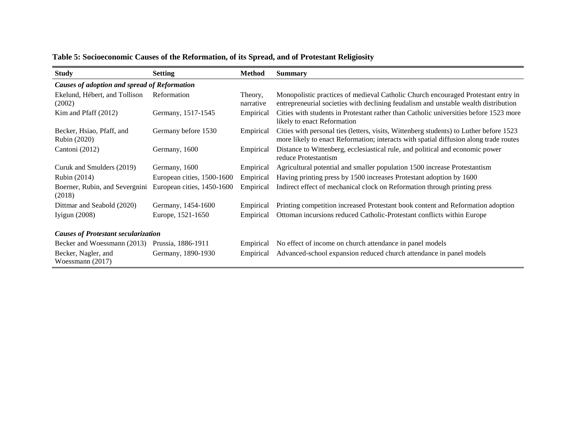| <b>Study</b>                                     | <b>Setting</b>             | <b>Method</b>        | <b>Summary</b>                                                                                                                                                                  |  |  |
|--------------------------------------------------|----------------------------|----------------------|---------------------------------------------------------------------------------------------------------------------------------------------------------------------------------|--|--|
| Causes of adoption and spread of Reformation     |                            |                      |                                                                                                                                                                                 |  |  |
| Ekelund, Hébert, and Tollison<br>(2002)          | Reformation                | Theory,<br>narrative | Monopolistic practices of medieval Catholic Church encouraged Protestant entry in<br>entrepreneurial societies with declining feudalism and unstable wealth distribution        |  |  |
| Kim and Pfaff $(2012)$                           | Germany, 1517-1545         | Empirical            | Cities with students in Protestant rather than Catholic universities before 1523 more<br>likely to enact Reformation                                                            |  |  |
| Becker, Hsiao, Pfaff, and<br><b>Rubin (2020)</b> | Germany before 1530        | Empirical            | Cities with personal ties (letters, visits, Wittenberg students) to Luther before 1523<br>more likely to enact Reformation; interacts with spatial diffusion along trade routes |  |  |
| Cantoni (2012)                                   | Germany, 1600              | Empirical            | Distance to Wittenberg, ecclesiastical rule, and political and economic power<br>reduce Protestantism                                                                           |  |  |
| Curuk and Smulders (2019)                        | Germany, 1600              | Empirical            | Agricultural potential and smaller population 1500 increase Protestantism                                                                                                       |  |  |
| Rubin (2014)                                     | European cities, 1500-1600 | Empirical            | Having printing press by 1500 increases Protestant adoption by 1600                                                                                                             |  |  |
| Boerner, Rubin, and Severgnini<br>(2018)         | European cities, 1450-1600 | Empirical            | Indirect effect of mechanical clock on Reformation through printing press                                                                                                       |  |  |
| Dittmar and Seabold (2020)                       | Germany, 1454-1600         | Empirical            | Printing competition increased Protestant book content and Reformation adoption                                                                                                 |  |  |
| Iyigun $(2008)$                                  | Europe, 1521-1650          | Empirical            | Ottoman incursions reduced Catholic-Protestant conflicts within Europe                                                                                                          |  |  |
| <b>Causes of Protestant secularization</b>       |                            |                      |                                                                                                                                                                                 |  |  |
| Becker and Woessmann (2013)                      | Prussia, 1886-1911         | Empirical            | No effect of income on church attendance in panel models                                                                                                                        |  |  |
| Becker, Nagler, and<br>Woessmann (2017)          | Germany, 1890-1930         | Empirical            | Advanced-school expansion reduced church attendance in panel models                                                                                                             |  |  |

## **Table 5: Socioeconomic Causes of the Reformation, of its Spread, and of Protestant Religiosity**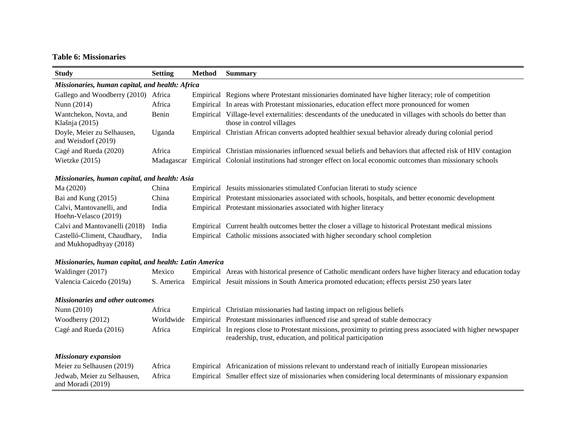#### **Table 6: Missionaries**

| <b>Study</b>                                            | <b>Setting</b> | <b>Method</b> | <b>Summary</b>                                                                                                                                                               |
|---------------------------------------------------------|----------------|---------------|------------------------------------------------------------------------------------------------------------------------------------------------------------------------------|
| Missionaries, human capital, and health: Africa         |                |               |                                                                                                                                                                              |
| Gallego and Woodberry (2010) Africa                     |                |               | Empirical Regions where Protestant missionaries dominated have higher literacy; role of competition                                                                          |
| Nunn (2014)                                             | Africa         |               | Empirical In areas with Protestant missionaries, education effect more pronounced for women                                                                                  |
| Wantchekon, Novta, and<br>Klašnja (2015)                | Benin          |               | Empirical Village-level externalities: descendants of the uneducated in villages with schools do better than<br>those in control villages                                    |
| Doyle, Meier zu Selhausen,<br>and Weisdorf (2019)       | Uganda         |               | Empirical Christian African converts adopted healthier sexual behavior already during colonial period                                                                        |
| Cagé and Rueda (2020)                                   | Africa         |               | Empirical Christian missionaries influenced sexual beliefs and behaviors that affected risk of HIV contagion                                                                 |
| Wietzke (2015)                                          | Madagascar     |               | Empirical Colonial institutions had stronger effect on local economic outcomes than missionary schools                                                                       |
| Missionaries, human capital, and health: Asia           |                |               |                                                                                                                                                                              |
| Ma (2020)                                               | China          |               | Empirical Jesuits missionaries stimulated Confucian literati to study science                                                                                                |
| Bai and Kung (2015)                                     | China          |               | Empirical Protestant missionaries associated with schools, hospitals, and better economic development                                                                        |
| Calvi, Mantovanelli, and<br>Hoehn-Velasco (2019)        | India          |               | Empirical Protestant missionaries associated with higher literacy                                                                                                            |
| Calvi and Mantovanelli (2018)                           | India          |               | Empirical Current health outcomes better the closer a village to historical Protestant medical missions                                                                      |
| Castelló-Climent, Chaudhary,<br>and Mukhopadhyay (2018) | India          |               | Empirical Catholic missions associated with higher secondary school completion                                                                                               |
| Missionaries, human capital, and health: Latin America  |                |               |                                                                                                                                                                              |
| Waldinger (2017)                                        | Mexico         |               | Empirical Areas with historical presence of Catholic mendicant orders have higher literacy and education today                                                               |
| Valencia Caicedo (2019a)                                | S. America     |               | Empirical Jesuit missions in South America promoted education; effects persist 250 years later                                                                               |
| <b>Missionaries and other outcomes</b>                  |                |               |                                                                                                                                                                              |
| Nunn (2010)                                             | Africa         |               | Empirical Christian missionaries had lasting impact on religious beliefs                                                                                                     |
| Woodberry (2012)                                        | Worldwide      |               | Empirical Protestant missionaries influenced rise and spread of stable democracy                                                                                             |
| Cagé and Rueda (2016)                                   | Africa         |               | Empirical In regions close to Protestant missions, proximity to printing press associated with higher newspaper<br>readership, trust, education, and political participation |
| <b>Missionary expansion</b>                             |                |               |                                                                                                                                                                              |
| Meier zu Selhausen (2019)                               | Africa         |               | Empirical Africanization of missions relevant to understand reach of initially European missionaries                                                                         |
| Jedwab, Meier zu Selhausen,<br>and Moradi (2019)        | Africa         |               | Empirical Smaller effect size of missionaries when considering local determinants of missionary expansion                                                                    |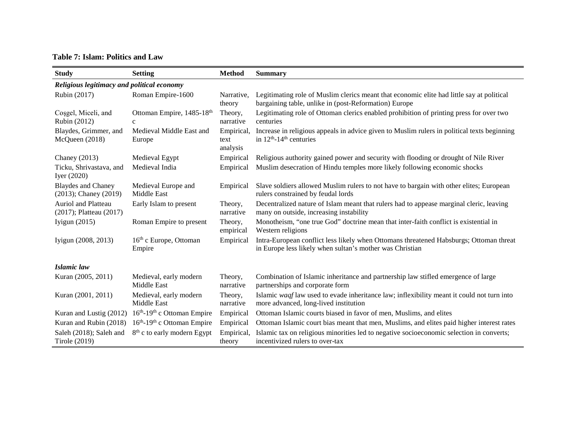## **Table 7: Islam: Politics and Law**

| <b>Study</b>                                            | <b>Setting</b>                                      | <b>Method</b>                  | <b>Summary</b>                                                                                                                                     |  |  |  |
|---------------------------------------------------------|-----------------------------------------------------|--------------------------------|----------------------------------------------------------------------------------------------------------------------------------------------------|--|--|--|
| Religious legitimacy and political economy              |                                                     |                                |                                                                                                                                                    |  |  |  |
| Rubin (2017)                                            | Roman Empire-1600                                   | Narrative,<br>theory           | Legitimating role of Muslim clerics meant that economic elite had little say at political<br>bargaining table, unlike in (post-Reformation) Europe |  |  |  |
| Cosgel, Miceli, and<br>Rubin (2012)                     | Ottoman Empire, 1485-18th<br>$\mathbf{C}$           | Theory,<br>narrative           | Legitimating role of Ottoman clerics enabled prohibition of printing press for over two<br>centuries                                               |  |  |  |
| Blaydes, Grimmer, and<br>McQueen (2018)                 | Medieval Middle East and<br>Europe                  | Empirical,<br>text<br>analysis | Increase in religious appeals in advice given to Muslim rulers in political texts beginning<br>in $12th$ -14 <sup>th</sup> centuries               |  |  |  |
| <b>Chaney</b> (2013)                                    | Medieval Egypt                                      | Empirical                      | Religious authority gained power and security with flooding or drought of Nile River                                                               |  |  |  |
| Ticku, Shrivastava, and<br>Iyer $(2020)$                | Medieval India                                      | Empirical                      | Muslim desecration of Hindu temples more likely following economic shocks                                                                          |  |  |  |
| <b>Blaydes and Chaney</b><br>$(2013)$ ; Chaney $(2019)$ | Medieval Europe and<br>Middle East                  | Empirical                      | Slave soldiers allowed Muslim rulers to not have to bargain with other elites; European<br>rulers constrained by feudal lords                      |  |  |  |
| Auriol and Platteau<br>(2017); Platteau (2017)          | Early Islam to present                              | Theory,<br>narrative           | Decentralized nature of Islam meant that rulers had to appease marginal cleric, leaving<br>many on outside, increasing instability                 |  |  |  |
| Iyigun $(2015)$                                         | Roman Empire to present                             | Theory,<br>empirical           | Monotheism, "one true God" doctrine mean that inter-faith conflict is existential in<br>Western religions                                          |  |  |  |
| Iyigun (2008, 2013)                                     | $16th$ c Europe, Ottoman<br>Empire                  | Empirical                      | Intra-European conflict less likely when Ottomans threatened Habsburgs; Ottoman threat<br>in Europe less likely when sultan's mother was Christian |  |  |  |
| Islamic law                                             |                                                     |                                |                                                                                                                                                    |  |  |  |
| Kuran (2005, 2011)                                      | Medieval, early modern<br>Middle East               | Theory,<br>narrative           | Combination of Islamic inheritance and partnership law stifled emergence of large<br>partnerships and corporate form                               |  |  |  |
| Kuran (2001, 2011)                                      | Medieval, early modern<br><b>Middle East</b>        | Theory,<br>narrative           | Islamic waqf law used to evade inheritance law; inflexibility meant it could not turn into<br>more advanced, long-lived institution                |  |  |  |
| Kuran and Lustig (2012)                                 | $16th - 19th$ c Ottoman Empire                      | Empirical                      | Ottoman Islamic courts biased in favor of men, Muslims, and elites                                                                                 |  |  |  |
| Kuran and Rubin (2018)                                  | 16 <sup>th</sup> -19 <sup>th</sup> c Ottoman Empire | Empirical                      | Ottoman Islamic court bias meant that men, Muslims, and elites paid higher interest rates                                                          |  |  |  |
| Saleh (2018); Saleh and<br><b>Tirole (2019)</b>         | 8 <sup>th</sup> c to early modern Egypt             | Empirical,<br>theory           | Islamic tax on religious minorities led to negative socioeconomic selection in converts;<br>incentivized rulers to over-tax                        |  |  |  |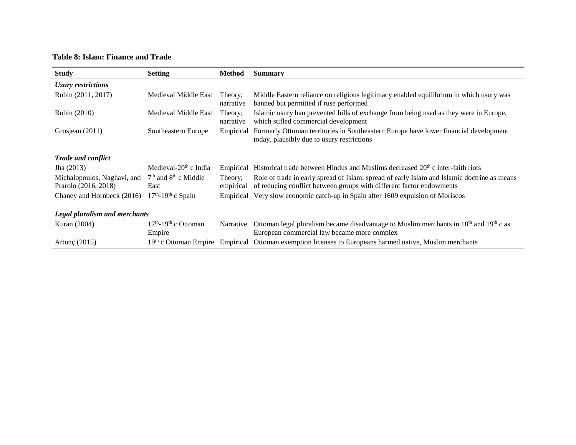#### **Table 8: Islam: Finance and Trade**

| <b>Study</b>                                        | <b>Setting</b>                    | <b>Method</b>        | <b>Summary</b>                                                                                                                                                      |  |  |
|-----------------------------------------------------|-----------------------------------|----------------------|---------------------------------------------------------------------------------------------------------------------------------------------------------------------|--|--|
| <b>Usury restrictions</b>                           |                                   |                      |                                                                                                                                                                     |  |  |
| Rubin (2011, 2017)                                  | Medieval Middle East              | Theory;<br>narrative | Middle Eastern reliance on religious legitimacy enabled equilibrium in which usury was<br>banned but permitted if ruse performed                                    |  |  |
| <b>Rubin</b> (2010)                                 | Medieval Middle East              | Theory;<br>narrative | Islamic usury ban prevented bills of exchange from being used as they were in Europe,<br>which stifled commercial development                                       |  |  |
| Grosjean (2011)                                     | Southeastern Europe               | Empirical            | Formerly Ottoman territories in Southeastern Europe have lower financial development<br>today, plausibly due to usury restrictions                                  |  |  |
| <b>Trade and conflict</b>                           |                                   |                      |                                                                                                                                                                     |  |  |
| Jha $(2013)$                                        | Medieval- $20th$ c India          | Empirical            | Historical trade between Hindus and Muslims decreased $20th$ c inter-faith riots                                                                                    |  |  |
| Michalopoulos, Naghavi, and<br>Prarolo (2016, 2018) | $7th$ and $8th$ c Middle<br>East  | Theory:<br>empirical | Role of trade in early spread of Islam; spread of early Islam and Islamic doctrine as means<br>of reducing conflict between groups with different factor endowments |  |  |
| Chaney and Hornbeck (2016)                          | $17th$ -19 <sup>th</sup> c Spain  | Empirical            | Very slow economic catch-up in Spain after 1609 expulsion of Moriscos                                                                                               |  |  |
| <b>Legal pluralism and merchants</b>                |                                   |                      |                                                                                                                                                                     |  |  |
| Kuran (2004)                                        | $17th - 19th$ c Ottoman<br>Empire | Narrative            | Ottoman legal pluralism became disadvantage to Muslim merchants in $18th$ and $19th$ c as<br>European commercial law became more complex                            |  |  |
| Artunç $(2015)$                                     | $19th$ c Ottoman Empire           |                      | Empirical Ottoman exemption licenses to Europeans harmed native, Muslim merchants                                                                                   |  |  |
|                                                     |                                   |                      |                                                                                                                                                                     |  |  |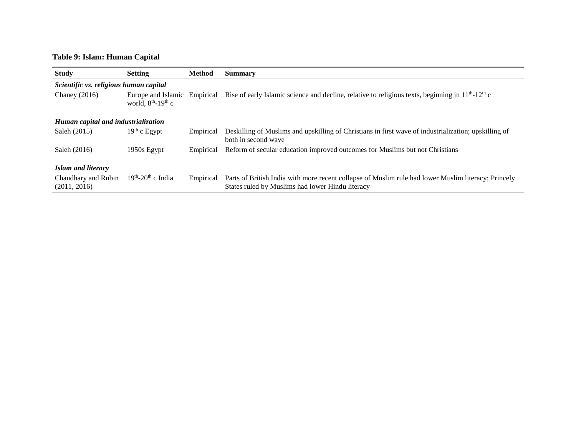# **Table 9: Islam: Human Capital**

| <b>Study</b>                           | <b>Setting</b>                                                   | <b>Method</b> | <b>Summary</b>                                                                                                                                          |
|----------------------------------------|------------------------------------------------------------------|---------------|---------------------------------------------------------------------------------------------------------------------------------------------------------|
| Scientific vs. religious human capital |                                                                  |               |                                                                                                                                                         |
| Chaney $(2016)$                        | Europe and Islamic Empirical<br>world, $8th$ -19 <sup>th</sup> c |               | Rise of early Islamic science and decline, relative to religious texts, beginning in $11th$ -12 <sup>th</sup> c                                         |
| Human capital and industrialization    |                                                                  |               |                                                                                                                                                         |
| Saleh (2015)                           | $19th$ c Egypt                                                   | Empirical     | Deskilling of Muslims and upskilling of Christians in first wave of industrialization; upskilling of<br>both in second wave                             |
| Saleh (2016)                           | 1950s Egypt                                                      | Empirical     | Reform of secular education improved outcomes for Muslims but not Christians                                                                            |
| <b>Islam and literacy</b>              |                                                                  |               |                                                                                                                                                         |
| Chaudhary and Rubin<br>(2011, 2016)    | $19th$ -20 <sup>th</sup> c India                                 | Empirical     | Parts of British India with more recent collapse of Muslim rule had lower Muslim literacy; Princely<br>States ruled by Muslims had lower Hindu literacy |